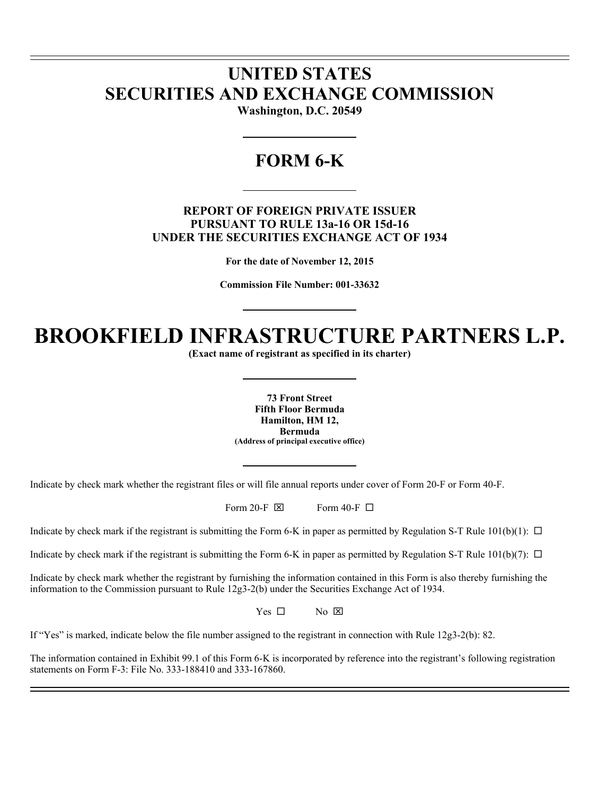# **UNITED STATES SECURITIES AND EXCHANGE COMMISSION**

l l

 $\overline{a}$ 

**Washington, D.C. 20549** 

# **FORM 6-K**

# **REPORT OF FOREIGN PRIVATE ISSUER PURSUANT TO RULE 13a-16 OR 15d-16 UNDER THE SECURITIES EXCHANGE ACT OF 1934**

**For the date of November 12, 2015** 

**Commission File Number: 001-33632** 

# **BROOKFIELD INFRASTRUCTURE PARTNERS L.P.**

**(Exact name of registrant as specified in its charter)** 

**73 Front Street Fifth Floor Bermuda Hamilton, HM 12, Bermuda (Address of principal executive office)** 

Indicate by check mark whether the registrant files or will file annual reports under cover of Form 20-F or Form 40-F.

Form 20-F  $\boxtimes$  Form 40-F  $\Box$ 

Indicate by check mark if the registrant is submitting the Form 6-K in paper as permitted by Regulation S-T Rule  $101(b)(1)$ :  $\Box$ 

Indicate by check mark if the registrant is submitting the Form 6-K in paper as permitted by Regulation S-T Rule  $101(b)(7)$ :  $\Box$ 

Indicate by check mark whether the registrant by furnishing the information contained in this Form is also thereby furnishing the information to the Commission pursuant to Rule 12g3-2(b) under the Securities Exchange Act of 1934.

 $Yes \Box$  No  $\boxtimes$ 

If "Yes" is marked, indicate below the file number assigned to the registrant in connection with Rule 12g3-2(b): 82.

The information contained in Exhibit 99.1 of this Form 6-K is incorporated by reference into the registrant's following registration statements on Form F-3: File No. 333-188410 and 333-167860.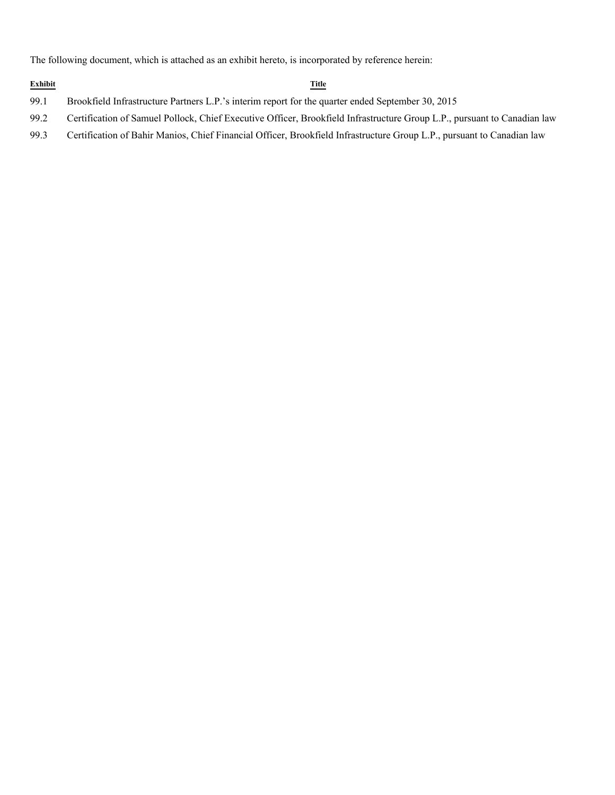The following document, which is attached as an exhibit hereto, is incorporated by reference herein:

# **Exhibit Title**

- 99.1 Brookfield Infrastructure Partners L.P.'s interim report for the quarter ended September 30, 2015
- 99.2 Certification of Samuel Pollock, Chief Executive Officer, Brookfield Infrastructure Group L.P., pursuant to Canadian law
- 99.3 Certification of Bahir Manios, Chief Financial Officer, Brookfield Infrastructure Group L.P., pursuant to Canadian law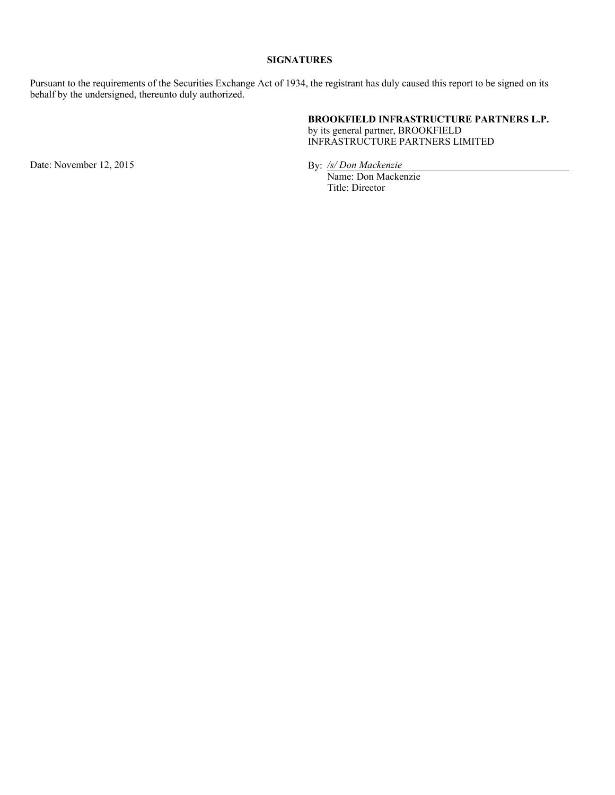# **SIGNATURES**

Pursuant to the requirements of the Securities Exchange Act of 1934, the registrant has duly caused this report to be signed on its behalf by the undersigned, thereunto duly authorized.

# **BROOKFIELD INFRASTRUCTURE PARTNERS L.P.**

by its general partner, BROOKFIELD INFRASTRUCTURE PARTNERS LIMITED

Date: November 12, 2015 By: /s/ Don Mackenzie

Name: Don Mackenzie Title: Director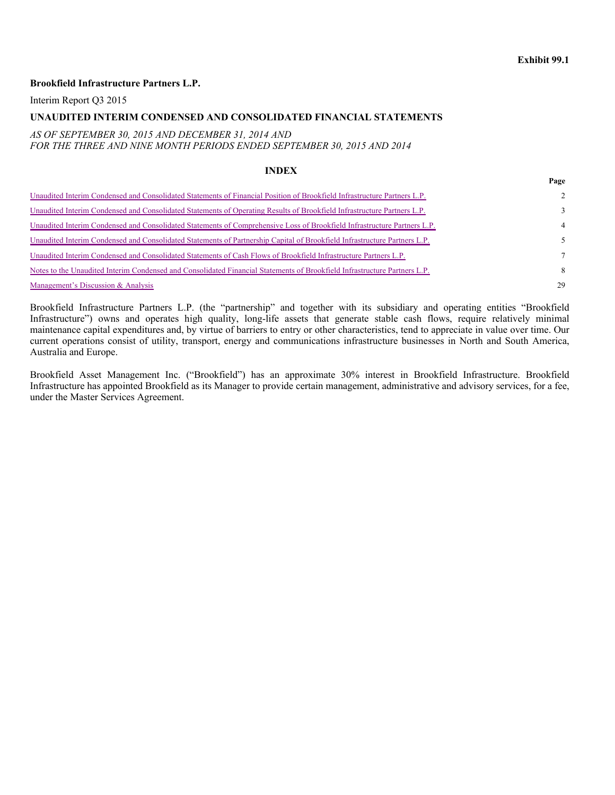#### **Exhibit 99.1**

**Page**

#### **Brookfield Infrastructure Partners L.P.**

Interim Report Q3 2015

#### **UNAUDITED INTERIM CONDENSED AND CONSOLIDATED FINANCIAL STATEMENTS**

*AS OF SEPTEMBER 30, 2015 AND DECEMBER 31, 2014 AND FOR THE THREE AND NINE MONTH PERIODS ENDED SEPTEMBER 30, 2015 AND 2014* 

#### **INDEX**

|                                                                                                                           | $\sim$         |
|---------------------------------------------------------------------------------------------------------------------------|----------------|
| Unaudited Interim Condensed and Consolidated Statements of Financial Position of Brookfield Infrastructure Partners L.P.  | $2^{\circ}$    |
| Unaudited Interim Condensed and Consolidated Statements of Operating Results of Brookfield Infrastructure Partners L.P.   | $\mathcal{F}$  |
| Unaudited Interim Condensed and Consolidated Statements of Comprehensive Loss of Brookfield Infrastructure Partners L.P.  | $\overline{4}$ |
| Unaudited Interim Condensed and Consolidated Statements of Partnership Capital of Brookfield Infrastructure Partners L.P. |                |
| Unaudited Interim Condensed and Consolidated Statements of Cash Flows of Brookfield Infrastructure Partners L.P.          | $\tau$         |
| Notes to the Unaudited Interim Condensed and Consolidated Financial Statements of Brookfield Infrastructure Partners L.P. | 8              |
| Management's Discussion & Analysis                                                                                        | 29             |

Brookfield Infrastructure Partners L.P. (the "partnership" and together with its subsidiary and operating entities "Brookfield Infrastructure") owns and operates high quality, long-life assets that generate stable cash flows, require relatively minimal maintenance capital expenditures and, by virtue of barriers to entry or other characteristics, tend to appreciate in value over time. Our current operations consist of utility, transport, energy and communications infrastructure businesses in North and South America, Australia and Europe.

Brookfield Asset Management Inc. ("Brookfield") has an approximate 30% interest in Brookfield Infrastructure. Brookfield Infrastructure has appointed Brookfield as its Manager to provide certain management, administrative and advisory services, for a fee, under the Master Services Agreement.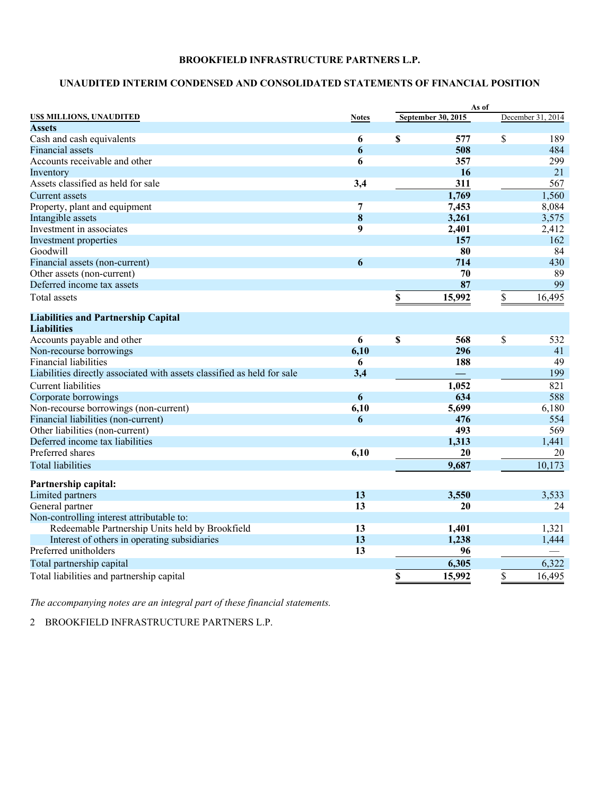# **UNAUDITED INTERIM CONDENSED AND CONSOLIDATED STATEMENTS OF FINANCIAL POSITION**

|                                                                         |                | As of                     |                   |
|-------------------------------------------------------------------------|----------------|---------------------------|-------------------|
| US\$ MILLIONS, UNAUDITED                                                | <b>Notes</b>   | <b>September 30, 2015</b> | December 31, 2014 |
| <b>Assets</b>                                                           |                |                           |                   |
| Cash and cash equivalents                                               | 6              | \$<br>577                 | \$<br>189         |
| <b>Financial assets</b>                                                 | 6              | 508                       | 484               |
| Accounts receivable and other                                           | 6              | 357                       | 299               |
| Inventory                                                               |                | 16                        | 21                |
| Assets classified as held for sale                                      | 3,4            | 311                       | 567               |
| Current assets                                                          |                | 1,769                     | 1,560             |
| Property, plant and equipment                                           | 7              | 7,453                     | 8,084             |
| Intangible assets                                                       | 8              | 3,261                     | 3,575             |
| Investment in associates                                                | 9              | 2,401                     | 2,412             |
| Investment properties                                                   |                | 157                       | 162               |
| Goodwill                                                                |                | 80                        | 84                |
| Financial assets (non-current)                                          | 6              | 714                       | 430               |
| Other assets (non-current)                                              |                | 70                        | 89                |
| Deferred income tax assets                                              |                | 87                        | 99                |
| Total assets                                                            |                | \$<br>15,992              | \$<br>16,495      |
| <b>Liabilities and Partnership Capital</b>                              |                |                           |                   |
| <b>Liabilities</b>                                                      |                |                           |                   |
| Accounts payable and other                                              | $\overline{6}$ | \$<br>568                 | \$<br>532         |
| Non-recourse borrowings                                                 | 6,10           | 296                       | 41                |
| <b>Financial liabilities</b>                                            | 6              | 188                       | 49                |
| Liabilities directly associated with assets classified as held for sale | 3,4            |                           | 199               |
| <b>Current liabilities</b>                                              |                | 1,052                     | 821               |
| Corporate borrowings                                                    | 6              | 634                       | 588               |
| Non-recourse borrowings (non-current)                                   | 6,10           | 5,699                     | 6,180             |
| Financial liabilities (non-current)                                     | 6              | 476                       | 554               |
| Other liabilities (non-current)                                         |                | 493                       | 569               |
| Deferred income tax liabilities                                         |                | 1,313                     | 1,441             |
| Preferred shares                                                        | 6,10           | 20                        | 20                |
| <b>Total liabilities</b>                                                |                | 9,687                     | 10,173            |
| Partnership capital:                                                    |                |                           |                   |
| Limited partners                                                        | 13             | 3,550                     | 3,533             |
| General partner                                                         | 13             | 20                        | 24                |
| Non-controlling interest attributable to:                               |                |                           |                   |
| Redeemable Partnership Units held by Brookfield                         | 13             | 1,401                     | 1,321             |
| Interest of others in operating subsidiaries                            | 13             | 1,238                     | 1,444             |
| Preferred unitholders                                                   | 13             | 96                        |                   |
| Total partnership capital                                               |                | 6,305                     | 6,322             |
| Total liabilities and partnership capital                               |                | \$<br>15,992              | \$<br>16,495      |

*The accompanying notes are an integral part of these financial statements.*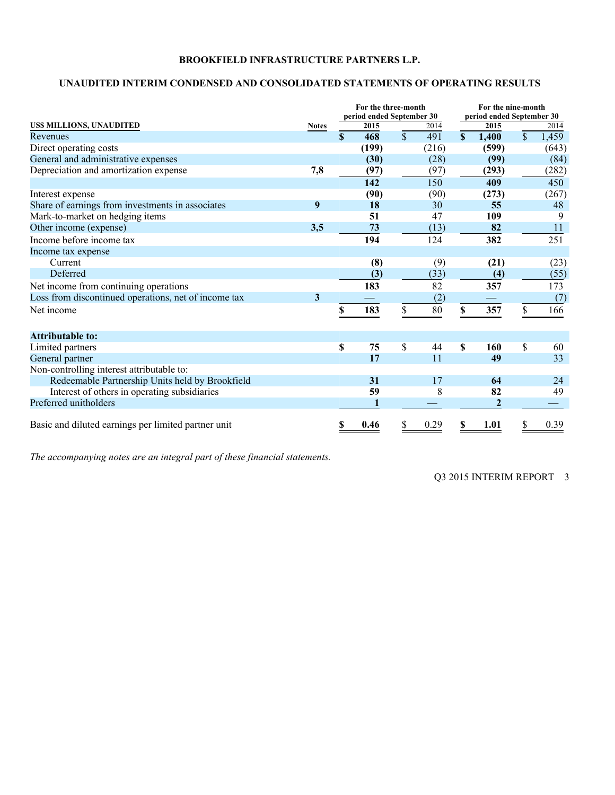# **UNAUDITED INTERIM CONDENSED AND CONSOLIDATED STATEMENTS OF OPERATING RESULTS**

|                                                      |              |             | For the three-month<br>period ended September 30 |                 |        | For the nine-month<br>period ended September 30 |                  |              |       |  |
|------------------------------------------------------|--------------|-------------|--------------------------------------------------|-----------------|--------|-------------------------------------------------|------------------|--------------|-------|--|
| <b>USS MILLIONS, UNAUDITED</b>                       | <b>Notes</b> |             | 2015                                             |                 | 2014   |                                                 | 2015             |              | 2014  |  |
| Revenues                                             |              | $\mathbf S$ | 468                                              | $\overline{\$}$ | 491    | $\mathbf S$                                     | 1,400            | $\mathbb{S}$ | 1,459 |  |
| Direct operating costs                               |              |             | (199)                                            |                 | (216)  |                                                 | (599)            |              | (643) |  |
| General and administrative expenses                  |              |             | (30)                                             |                 | (28)   |                                                 | (99)             |              | (84)  |  |
| Depreciation and amortization expense                | 7,8          |             | (97)                                             |                 | (97)   |                                                 | (293)            |              | (282) |  |
|                                                      |              |             | 142                                              |                 | 150    |                                                 | 409              |              | 450   |  |
| Interest expense                                     |              |             | (90)                                             |                 | (90)   |                                                 | (273)            |              | (267) |  |
| Share of earnings from investments in associates     | 9            |             | 18                                               |                 | 30     |                                                 | 55               |              | 48    |  |
| Mark-to-market on hedging items                      |              |             | 51                                               |                 | 47     |                                                 | 109              |              | 9     |  |
| Other income (expense)                               | 3,5          |             | 73                                               |                 | (13)   |                                                 | 82               |              | 11    |  |
| Income before income tax                             |              |             | 194                                              |                 | 124    |                                                 | 382              |              | 251   |  |
| Income tax expense                                   |              |             |                                                  |                 |        |                                                 |                  |              |       |  |
| Current                                              |              |             | (8)                                              |                 | (9)    |                                                 | (21)             |              | (23)  |  |
| Deferred                                             |              |             | (3)                                              |                 | (33)   |                                                 | (4)              |              | (55)  |  |
| Net income from continuing operations                |              |             | 183                                              |                 | 82     |                                                 | 357              |              | 173   |  |
| Loss from discontinued operations, net of income tax | 3            |             |                                                  |                 | (2)    |                                                 |                  |              | (7)   |  |
| Net income                                           |              |             | 183                                              | \$              | $80\,$ | \$                                              | 357              | \$           | 166   |  |
| <b>Attributable to:</b>                              |              |             |                                                  |                 |        |                                                 |                  |              |       |  |
| Limited partners                                     |              | \$          | 75                                               | \$              | 44     | \$                                              | 160              | \$           | 60    |  |
| General partner                                      |              |             | 17                                               |                 | 11     |                                                 | 49               |              | 33    |  |
| Non-controlling interest attributable to:            |              |             |                                                  |                 |        |                                                 |                  |              |       |  |
| Redeemable Partnership Units held by Brookfield      |              |             | 31                                               |                 | 17     |                                                 | 64               |              | 24    |  |
| Interest of others in operating subsidiaries         |              |             | 59                                               |                 | 8      |                                                 | 82               |              | 49    |  |
| Preferred unitholders                                |              |             |                                                  |                 |        |                                                 | $\boldsymbol{2}$ |              |       |  |
| Basic and diluted earnings per limited partner unit  |              | S           | 0.46                                             | \$              | 0.29   | \$                                              | 1.01             | \$           | 0.39  |  |

*The accompanying notes are an integral part of these financial statements.*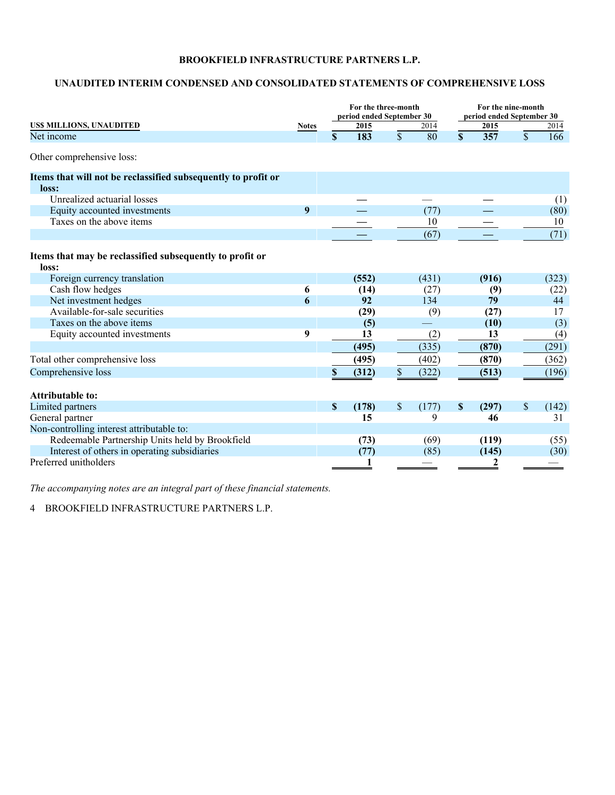# **UNAUDITED INTERIM CONDENSED AND CONSOLIDATED STATEMENTS OF COMPREHENSIVE LOSS**

|                                                                        |              | For the three-month<br>period ended September 30 |       |              |       |                           |       | For the nine-month<br>period ended September 30 |       |  |
|------------------------------------------------------------------------|--------------|--------------------------------------------------|-------|--------------|-------|---------------------------|-------|-------------------------------------------------|-------|--|
| US\$ MILLIONS, UNAUDITED                                               | <b>Notes</b> |                                                  | 2015  |              | 2014  |                           | 2015  |                                                 | 2014  |  |
| Net income                                                             |              | \$                                               | 183   | $\mathbb{S}$ | 80    | $\mathbf S$               | 357   | $\mathcal{S}$                                   | 166   |  |
| Other comprehensive loss:                                              |              |                                                  |       |              |       |                           |       |                                                 |       |  |
| Items that will not be reclassified subsequently to profit or<br>loss: |              |                                                  |       |              |       |                           |       |                                                 |       |  |
| Unrealized actuarial losses                                            |              |                                                  |       |              |       |                           |       |                                                 | (1)   |  |
| Equity accounted investments                                           | 9            |                                                  |       |              | (77)  |                           |       |                                                 | (80)  |  |
| Taxes on the above items                                               |              |                                                  |       |              | 10    |                           |       |                                                 | 10    |  |
|                                                                        |              |                                                  |       |              | (67)  |                           |       |                                                 | (71)  |  |
| Items that may be reclassified subsequently to profit or<br>loss:      |              |                                                  |       |              |       |                           |       |                                                 |       |  |
| Foreign currency translation                                           |              |                                                  | (552) |              | (431) |                           | (916) |                                                 | (323) |  |
| Cash flow hedges                                                       | 6            |                                                  | (14)  |              | (27)  |                           | (9)   |                                                 | (22)  |  |
| Net investment hedges                                                  | 6            |                                                  | 92    |              | 134   |                           | 79    |                                                 | 44    |  |
| Available-for-sale securities                                          |              |                                                  | (29)  |              | (9)   |                           | (27)  |                                                 | 17    |  |
| Taxes on the above items                                               |              |                                                  | (5)   |              |       |                           | (10)  |                                                 | (3)   |  |
| Equity accounted investments                                           | 9            |                                                  | 13    |              | (2)   |                           | 13    |                                                 | (4)   |  |
|                                                                        |              |                                                  | (495) |              | (335) |                           | (870) |                                                 | (291) |  |
| Total other comprehensive loss                                         |              |                                                  | (495) |              | (402) |                           | (870) |                                                 | (362) |  |
| Comprehensive loss                                                     |              | \$                                               | (312) | \$           | (322) |                           | (513) |                                                 | (196) |  |
| <b>Attributable to:</b>                                                |              |                                                  |       |              |       |                           |       |                                                 |       |  |
| Limited partners                                                       |              | $\mathbf{s}$                                     | (178) | \$           | (177) | $\boldsymbol{\mathsf{S}}$ | (297) | \$                                              | (142) |  |
| General partner                                                        |              |                                                  | 15    |              | 9     |                           | 46    |                                                 | 31    |  |
| Non-controlling interest attributable to:                              |              |                                                  |       |              |       |                           |       |                                                 |       |  |
| Redeemable Partnership Units held by Brookfield                        |              |                                                  | (73)  |              | (69)  |                           | (119) |                                                 | (55)  |  |
| Interest of others in operating subsidiaries                           |              |                                                  | (77)  |              | (85)  |                           | (145) |                                                 | (30)  |  |
| Preferred unitholders                                                  |              |                                                  |       |              |       |                           | 2     |                                                 |       |  |

*The accompanying notes are an integral part of these financial statements.*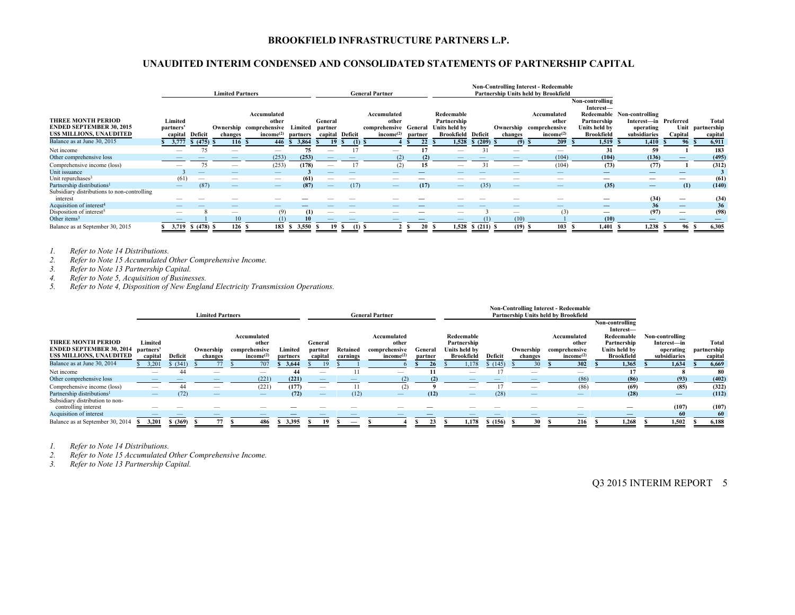# **UNAUDITED INTERIM CONDENSED AND CONSOLIDATED STATEMENTS OF PARTNERSHIP CAPITAL**

|                                                                                                |                                 | <b>Limited Partners</b><br><b>General Partner</b> |         |                                                                          |                     |                    |                  |                                                                        |         |                                                                         | <b>Non-Controlling Interest - Redeemable</b><br>Partnership Units held by Brookfield |                                 |                                                                          |                                                                                   |                                                                                  |                          |                                      |
|------------------------------------------------------------------------------------------------|---------------------------------|---------------------------------------------------|---------|--------------------------------------------------------------------------|---------------------|--------------------|------------------|------------------------------------------------------------------------|---------|-------------------------------------------------------------------------|--------------------------------------------------------------------------------------|---------------------------------|--------------------------------------------------------------------------|-----------------------------------------------------------------------------------|----------------------------------------------------------------------------------|--------------------------|--------------------------------------|
| <b>THREE MONTH PERIOD</b><br><b>ENDED SEPTEMBER 30, 2015</b><br><b>USS MILLIONS, UNAUDITED</b> | Limited<br>partners'<br>capital | Deficit                                           | changes | Accumulated<br>other<br>Ownership comprehensive<br>income <sup>(2)</sup> | Limited<br>partners | General<br>partner | capital Deficit  | Accumulated<br>other<br>comprehensive General<br>income <sup>(2)</sup> | partner | Redeemable<br>Partnership<br>Units held by<br><b>Brookfield Deficit</b> |                                                                                      | changes                         | Accumulated<br>other<br>Ownership comprehensive<br>income <sup>(2)</sup> | Non-controlling<br>Interest-<br>Partnership<br>Units held by<br><b>Brookfield</b> | Redeemable Non-controlling<br>Interest-in Preferred<br>operating<br>subsidiaries | Capital                  | Total<br>Unit partnership<br>capital |
| Balance as at June 30, 2015                                                                    | 3,777                           | \$ (475) \$                                       | 116S    | 446                                                                      | 3,864<br>-S.        | 19                 | $(1)$ \$<br>- 55 |                                                                        | 22      | 1,528                                                                   | \$ (209) \$                                                                          | $(9)$ \$                        | 209                                                                      | 1.519                                                                             | 1.410                                                                            |                          | 6,911<br>96S                         |
| Net income                                                                                     |                                 |                                                   |         |                                                                          | 75                  |                    |                  |                                                                        |         |                                                                         |                                                                                      | -                               |                                                                          | 31                                                                                | 59                                                                               |                          | 183                                  |
| Other comprehensive loss                                                                       |                                 |                                                   |         | (253)                                                                    | (253)               |                    |                  | (2)                                                                    | (2)     |                                                                         |                                                                                      |                                 | (104)                                                                    | (104)                                                                             | (136)                                                                            |                          | (495)                                |
| Comprehensive income (loss)                                                                    |                                 |                                                   |         | (253)                                                                    | (178)               |                    |                  | (2)                                                                    | 15      |                                                                         | 31                                                                                   | -                               | (104)                                                                    | (73)                                                                              | (77)                                                                             |                          | (312)                                |
| Unit issuance                                                                                  |                                 |                                                   |         |                                                                          |                     |                    |                  |                                                                        |         |                                                                         |                                                                                      |                                 |                                                                          |                                                                                   | $\qquad \qquad$                                                                  |                          |                                      |
| Unit repurchases <sup>3</sup>                                                                  | (61)                            | $\hspace{0.05cm}$                                 |         |                                                                          | (61)                |                    |                  |                                                                        |         |                                                                         |                                                                                      |                                 |                                                                          | –                                                                                 |                                                                                  |                          | (61)                                 |
| Partnership distributions <sup>1</sup>                                                         | –                               | (87)                                              |         |                                                                          | (87)                |                    | (17)             |                                                                        | (17)    | $-$                                                                     | (35)                                                                                 | $\hspace{0.1mm}-\hspace{0.1mm}$ |                                                                          | (35)                                                                              | $\qquad \qquad$                                                                  | (1)                      | (140)                                |
| Subsidiary distributions to non-controlling<br>interest                                        |                                 |                                                   |         |                                                                          |                     |                    |                  |                                                                        |         |                                                                         |                                                                                      |                                 |                                                                          |                                                                                   | (34)                                                                             |                          | (34)                                 |
| Acquisition of interest <sup>4</sup>                                                           |                                 |                                                   |         |                                                                          |                     |                    |                  |                                                                        |         |                                                                         |                                                                                      |                                 |                                                                          |                                                                                   | 36                                                                               | $\overline{\phantom{0}}$ | 36 <sub>1</sub>                      |
| Disposition of interest <sup>5</sup>                                                           |                                 |                                                   |         | (9)                                                                      | (1)                 |                    |                  | _                                                                      |         |                                                                         |                                                                                      |                                 | (3)                                                                      | $\hspace{0.05cm}$                                                                 | (97)                                                                             |                          | (98)                                 |
| Other items <sup>3</sup>                                                                       |                                 |                                                   | 10      | (1)                                                                      | 10                  |                    |                  |                                                                        |         |                                                                         |                                                                                      | (10)                            |                                                                          | (10)                                                                              |                                                                                  |                          |                                      |
| Balance as at September 30, 2015                                                               | 3,719                           | $$ (478)$ \$                                      | 126S    | 183                                                                      | \$3,550             | 19 S<br>N.         | $(1)$ \$         |                                                                        | 20      | -8                                                                      | 1,528 \$ (211) \$                                                                    | $(19)$ \$                       | 103                                                                      | 1,401S                                                                            | 1,238                                                                            | 96                       | 6,305                                |

*1. Refer to Note 14 Distributions.* 

*2. Refer to Note 15 Accumulated Other Comprehensive Income.* 

*3. Refer to Note 13 Partnership Capital.* 

*4. Refer to Note 5, Acquisition of Businesses.* 

*5. Refer to Note 4, Disposition of New England Electricity Transmission Operations.* 

|                                        |                   |          |                         |                       |          |                          |          |                          |         |                   |         |           | <b>Non-Controlling Interest - Redeemable</b> |                   |                                 |             |
|----------------------------------------|-------------------|----------|-------------------------|-----------------------|----------|--------------------------|----------|--------------------------|---------|-------------------|---------|-----------|----------------------------------------------|-------------------|---------------------------------|-------------|
|                                        |                   |          | <b>Limited Partners</b> |                       |          |                          |          | <b>General Partner</b>   |         |                   |         |           | <b>Partnership Units held by Brookfield</b>  |                   |                                 |             |
|                                        |                   |          |                         |                       |          |                          |          |                          |         |                   |         |           |                                              | Non-controlling   |                                 |             |
|                                        |                   |          |                         |                       |          |                          |          |                          |         |                   |         |           |                                              | Interest-         |                                 |             |
|                                        |                   |          |                         | Accumulated           |          |                          |          | Accumulated              |         | Redeemable        |         |           | Accumulated                                  | Redeemable        | Non-controlling                 |             |
| <b>THREE MONTH PERIOD</b>              | Limited           |          |                         | other                 |          | General                  |          | other                    |         | Partnership       |         |           | other                                        | Partnership       | Interest—in                     | Total       |
| <b>ENDED SEPTEMBER 30, 2014</b>        | partners'         |          | Ownership               | comprehensive         | Limited  | partner                  | Retained | comprehensive            | General | Units held by     |         | Ownership | comprehensive                                | Units held by     | operating                       | partnership |
| US\$ MILLIONS, UNAUDITED               | capital           | Deficit  | changes                 | income <sup>(2)</sup> | partners | capital                  | earnings | income <sup>(2)</sup>    | partner | <b>Brookfield</b> | Deficit | changes   | income <sup>(2)</sup>                        | <b>Brookfield</b> | subsidiaries                    | capital     |
| Balance as at June 30, 2014            | 3,201             | \$ (341) |                         | 707                   | 3.644    |                          |          |                          | 26      | 1,178             | (145)   |           | 302                                          | 1.365             | 1.634                           | 6,669       |
| Net income                             | $\hspace{0.05cm}$ | 44       | $\qquad \qquad$         |                       | 44       | $\overline{\phantom{a}}$ |          | $\overline{\phantom{a}}$ |         | $\hspace{0.05cm}$ |         |           |                                              |                   |                                 | 80          |
| Other comprehensive loss               |                   |          |                         | (221)                 | (221)    |                          |          |                          | (2)     |                   |         |           | (86)                                         | (86)              | (93)                            | (402)       |
| Comprehensive income (loss)            |                   | 44       |                         | (221)                 | (177)    | $\overline{\phantom{a}}$ |          | (2)                      |         |                   |         |           | (86)                                         | (69)              | (85)                            | (322)       |
| Partnership distributions <sup>1</sup> |                   | (72)     |                         | $-$                   | (72)     | $\overline{\phantom{a}}$ | (12)     |                          | (12)    | $\qquad \qquad -$ | (28)    |           | –                                            | (28)              | $\hspace{0.1mm}-\hspace{0.1mm}$ | (112)       |
| Subsidiary distribution to non-        |                   |          |                         |                       |          |                          |          |                          |         |                   |         |           |                                              |                   |                                 |             |
| controlling interest                   |                   |          |                         |                       |          |                          |          |                          |         |                   |         |           |                                              |                   | (107)                           | (107)       |
| Acquisition of interest                |                   |          |                         |                       |          |                          |          |                          |         |                   |         |           |                                              |                   | -60                             | 60          |
| Balance as at September 30, 2014       | 3.201             | \$ (369) | 77                      | 486                   | 3.395    |                          |          |                          |         | 1.178             | \$(156) | 30        | 216                                          | 1.268             | 1.502                           | 6,188       |

*1. Refer to Note 14 Distributions.* 

*2. Refer to Note 15 Accumulated Other Comprehensive Income.* 

*3. Refer to Note 13 Partnership Capital.*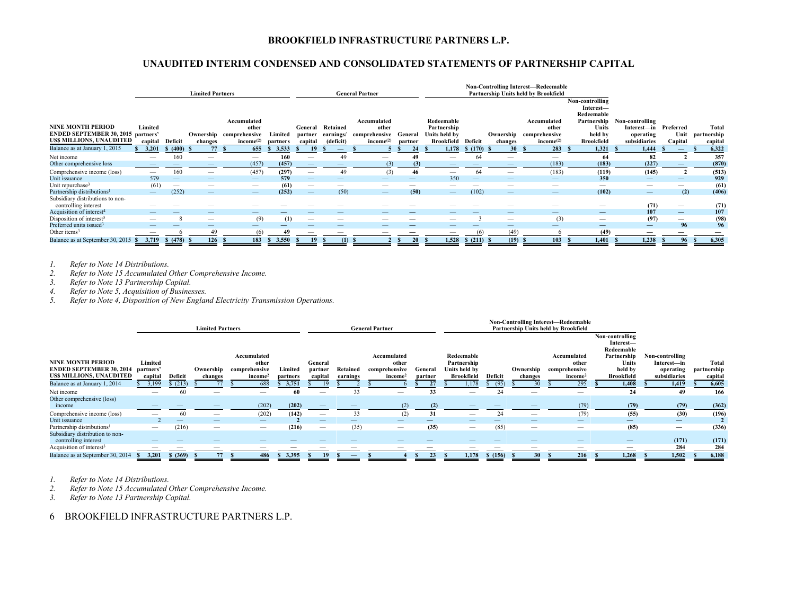# **UNAUDITED INTERIM CONDENSED AND CONSOLIDATED STATEMENTS OF PARTNERSHIP CAPITAL**

|                                           |                          |                         | <b>Limited Partners</b>  |                                                                                                                                                                                                                                                                                                                                                                                               |          |                                 |                          | <b>General Partner</b> |                          |                                 |              | <b>Non-Controlling Interest-Redeemable</b><br>Partnership Units held by Brookfield |                         |                          |                                 |                          |             |
|-------------------------------------------|--------------------------|-------------------------|--------------------------|-----------------------------------------------------------------------------------------------------------------------------------------------------------------------------------------------------------------------------------------------------------------------------------------------------------------------------------------------------------------------------------------------|----------|---------------------------------|--------------------------|------------------------|--------------------------|---------------------------------|--------------|------------------------------------------------------------------------------------|-------------------------|--------------------------|---------------------------------|--------------------------|-------------|
|                                           |                          |                         |                          |                                                                                                                                                                                                                                                                                                                                                                                               |          |                                 |                          |                        |                          |                                 |              |                                                                                    |                         | Non-controlling          |                                 |                          |             |
|                                           |                          |                         |                          |                                                                                                                                                                                                                                                                                                                                                                                               |          |                                 |                          |                        |                          |                                 |              |                                                                                    |                         | Interest-                |                                 |                          |             |
|                                           |                          |                         |                          |                                                                                                                                                                                                                                                                                                                                                                                               |          |                                 |                          |                        |                          |                                 |              |                                                                                    |                         | Redeemable               |                                 |                          |             |
|                                           |                          |                         |                          | Accumulated                                                                                                                                                                                                                                                                                                                                                                                   |          |                                 |                          | Accumulated            |                          | Redeemable                      |              |                                                                                    | Accumulated             | Partnership              | Non-controlling                 |                          |             |
| <b>NINE MONTH PERIOD</b>                  | Limited                  |                         |                          | other                                                                                                                                                                                                                                                                                                                                                                                         |          | General                         | Retained                 | other                  |                          | Partnership                     |              |                                                                                    | other                   | <b>Units</b>             | Interest—in                     | Preferred                | Total       |
| <b>ENDED SEPTEMBER 30, 2015 partners'</b> |                          |                         |                          | Ownership comprehensive                                                                                                                                                                                                                                                                                                                                                                       | Limited  | partner                         | earnings/                | comprehensive          | General                  | Units held by                   |              |                                                                                    | Ownership comprehensive | held by                  | operating                       | Unit                     | partnership |
| US\$ MILLIONS, UNAUDITED                  | capital                  | Deficit                 | changes                  | income <sup>(2)</sup>                                                                                                                                                                                                                                                                                                                                                                         | partners | capital                         | (deficit)                | income <sup>(2)</sup>  | partner                  | <b>Brookfield</b>               | Deficit      | changes                                                                            | income <sup>(2)</sup>   | <b>Brookfield</b>        | subsidiaries                    | Capital                  | capital     |
| Balance as at January 1, 2015             | 3,201                    | \$ (400)                | 77                       | 655                                                                                                                                                                                                                                                                                                                                                                                           | 3,533    | 19                              | $\overline{\phantom{0}}$ |                        | 24                       | 1,178                           | \$(170)      | 30 <sup>2</sup><br>- 36                                                            | 283                     | 1.321                    | 1.444                           | $\qquad \qquad$          | 6,322       |
| Net income                                | $\overline{\phantom{0}}$ | 160                     | $\overline{\phantom{a}}$ | $\hspace{1.0cm} \overline{\hspace{1.0cm} \hspace{1.0cm} \hspace{1.0cm} } \hspace{1.0cm} \hspace{1.0cm} \overline{\hspace{1.0cm} \hspace{1.0cm} \hspace{1.0cm} } \hspace{1.0cm} \hspace{1.0cm} \overline{\hspace{1.0cm} \hspace{1.0cm} \hspace{1.0cm} } \hspace{1.0cm} \hspace{1.0cm} \overline{\hspace{1.0cm} \hspace{1.0cm} \hspace{1.0cm} } \hspace{1.0cm} \hspace{1.0cm} \hspace{1.0cm} }$ | 160      |                                 | 49                       |                        | 49                       |                                 | 64           | -                                                                                  | -                       | 64                       | 82                              |                          | 357         |
| Other comprehensive loss                  |                          |                         |                          | (457)                                                                                                                                                                                                                                                                                                                                                                                         | (457)    |                                 |                          | (3)                    | (3)                      |                                 |              |                                                                                    | (183)                   | (183)                    | (227)                           |                          | (870)       |
| Comprehensive income (loss)               |                          | 160                     |                          | (457)                                                                                                                                                                                                                                                                                                                                                                                         | (297)    |                                 | 49                       | (3)                    | 46                       |                                 | 64           |                                                                                    | (183)                   | (119)                    | (145)                           |                          | (513)       |
| Unit issuance                             | 579                      |                         |                          |                                                                                                                                                                                                                                                                                                                                                                                               | 579      |                                 |                          |                        | $\overline{\phantom{0}}$ | 350                             |              |                                                                                    |                         | 350                      |                                 |                          | 929         |
| Unit repurchase <sup>3</sup>              | (61)                     | $\hspace{0.05cm}$       |                          | $\hspace{0.05cm}$                                                                                                                                                                                                                                                                                                                                                                             | (61)     |                                 |                          |                        | --                       |                                 |              |                                                                                    |                         |                          | $\hspace{0.05cm}$               | $\qquad \qquad$          | (61)        |
| Partnership distributions <sup>1</sup>    |                          | (252)                   | $\overline{\phantom{m}}$ |                                                                                                                                                                                                                                                                                                                                                                                               | (252)    | $\hspace{0.1mm}-\hspace{0.1mm}$ | (50)                     |                        | (50)                     | $\hspace{0.1mm}-\hspace{0.1mm}$ | (102)        |                                                                                    |                         | (102)                    | $\hspace{0.1mm}-\hspace{0.1mm}$ | (2)                      | (406)       |
| Subsidiary distributions to non-          |                          |                         |                          |                                                                                                                                                                                                                                                                                                                                                                                               |          |                                 |                          |                        |                          |                                 |              |                                                                                    |                         |                          |                                 |                          |             |
| controlling interest                      |                          |                         |                          |                                                                                                                                                                                                                                                                                                                                                                                               |          |                                 |                          |                        |                          |                                 |              |                                                                                    |                         |                          | (71)                            | $\qquad \qquad$          | (71)        |
| Acquisition of interest <sup>4</sup>      |                          |                         |                          |                                                                                                                                                                                                                                                                                                                                                                                               |          |                                 |                          |                        |                          |                                 |              |                                                                                    | _                       | $\overline{\phantom{0}}$ | 107                             | $\overline{\phantom{0}}$ | 107         |
| Disposition of interest <sup>5</sup>      |                          | $\mathbf{\overline{8}}$ | -                        | (9)                                                                                                                                                                                                                                                                                                                                                                                           | (1)      | _                               | -                        |                        |                          | $\overline{\phantom{a}}$        |              | -                                                                                  | (3)                     |                          | (97)                            | $\qquad \qquad$          | (98)        |
| Preferred units issued <sup>3</sup>       |                          |                         |                          |                                                                                                                                                                                                                                                                                                                                                                                               |          |                                 | _                        |                        |                          |                                 |              |                                                                                    | –                       | —                        | $\qquad \qquad$                 | 96                       | 96          |
| Other items $3$                           |                          |                         | 49                       | (6)                                                                                                                                                                                                                                                                                                                                                                                           | 49       |                                 |                          |                        |                          |                                 |              | (49)                                                                               |                         | (49)                     |                                 |                          |             |
| Balance as at September 30, 2015 \$       | 3,719                    | \$ (478) \$             | 126                      | 183                                                                                                                                                                                                                                                                                                                                                                                           | 3,550    | 19                              | (1)                      |                        | 20                       | 1,528                           | $$(211)$ $$$ | (19) S                                                                             | 103                     | 1,401                    | 1,238                           | 96                       | 6,305       |

*1. Refer to Note 14 Distributions.* 

*2. Refer to Note 15 Accumulated Other Comprehensive Income.* 

*3. Refer to Note 13 Partnership Capital.* 

*4. Refer to Note 5, Acquisition of Businesses.* 

*5. Refer to Note 4, Disposition of New England Electricity Transmission Operations.* 

|                                        |                          |          |                         |                     |          |                                 |          |                          |         |                          |         |                          | <b>Non-Controlling Interest—Redeemable</b> |                   |                                 |             |
|----------------------------------------|--------------------------|----------|-------------------------|---------------------|----------|---------------------------------|----------|--------------------------|---------|--------------------------|---------|--------------------------|--------------------------------------------|-------------------|---------------------------------|-------------|
|                                        |                          |          | <b>Limited Partners</b> |                     |          |                                 |          | <b>General Partner</b>   |         |                          |         |                          | Partnership Units held by Brookfield       |                   |                                 |             |
|                                        |                          |          |                         |                     |          |                                 |          |                          |         |                          |         |                          |                                            | Non-controlling   |                                 |             |
|                                        |                          |          |                         |                     |          |                                 |          |                          |         |                          |         |                          |                                            | Interest-         |                                 |             |
|                                        |                          |          |                         |                     |          |                                 |          |                          |         |                          |         |                          |                                            | Redeemable        |                                 |             |
|                                        |                          |          |                         | Accumulated         |          |                                 |          | Accumulated              |         | Redeemable               |         |                          | Accumulated                                | Partnership       | Non-controlling                 |             |
| <b>NINE MONTH PERIOD</b>               | Limited                  |          |                         | other               |          | General                         |          | other                    |         | Partnership              |         |                          | other                                      | Units             | Interest—in                     | Total       |
| <b>ENDED SEPTEMBER 30, 2014</b>        | partners'                |          | Ownership               | comprehensive       | Limited  | partner                         | Retained | comprehensive            | General | Units held by            |         | Ownership                | comprehensive                              | held by           | operating                       | partnership |
| <b>USS MILLIONS, UNAUDITED</b>         | capital                  | Deficit  | changes                 | income <sup>2</sup> | partners | capital                         | earnings | income <sup>2</sup>      | partner | <b>Brookfield</b>        | Deficit | changes                  | income <sup>2</sup>                        | <b>Brookfield</b> | subsidiaries                    | capital     |
| Balance as at January 1, 2014          | 3,199                    | (213)    |                         | 688                 | 3,751    | 19                              |          |                          | 27      | 1,178                    | (95)    |                          | 295                                        | 1,408             | 1,419                           | 6,605       |
| Net income                             | -                        | 60       |                         | -                   | 60       | -                               | 33       | $\overline{\phantom{a}}$ | 33      |                          | 24      | $\hspace{0.05cm}$        |                                            | 24                | 49                              | 166         |
| Other comprehensive (loss)             |                          |          |                         |                     |          |                                 |          |                          |         |                          |         |                          |                                            |                   |                                 |             |
| income                                 |                          |          |                         | (202)               | (202)    |                                 |          |                          | (2)     |                          |         |                          | (79)                                       | (79)              | (79)                            | (362)       |
| Comprehensive income (loss)            |                          | 60       |                         | (202)               | (142)    |                                 | 33       | (2)                      | 31      | $\overline{\phantom{a}}$ | 24      | $\qquad \qquad$          | (79)                                       | (55)              | (30)                            | (196)       |
| Unit issuance                          |                          | -        | $\qquad \qquad -$       |                     |          |                                 |          |                          |         |                          |         |                          |                                            | —                 |                                 |             |
| Partnership distributions <sup>1</sup> | $\overline{\phantom{a}}$ | (216)    |                         | $\hspace{0.05cm}$   | (216)    | $\hspace{0.1mm}-\hspace{0.1mm}$ | (35)     |                          | (35)    |                          | (85)    | $\hspace{0.05cm}$        |                                            | (85)              | $\hspace{0.1mm}-\hspace{0.1mm}$ | (336)       |
| Subsidiary distribution to non-        |                          |          |                         |                     |          |                                 |          |                          |         |                          |         |                          |                                            |                   |                                 |             |
| controlling interest                   |                          |          |                         |                     |          |                                 |          |                          |         |                          |         | $\overline{\phantom{a}}$ |                                            |                   | (171)                           | (171)       |
| Acquisition of interest <sup>3</sup>   |                          | --       |                         |                     |          |                                 |          |                          |         |                          |         |                          |                                            |                   | 284                             | 284         |
| Balance as at September 30, 2014       | 3,201                    | \$ (369) | 77                      | 486                 | \$3,395  | 19                              |          |                          | 23      | 1,178                    | \$(156) | 30                       | 216                                        | 1,268             | 1,502                           | 6,188       |

*1. Refer to Note 14 Distributions. 2. Refer to Note 15 Accumulated Other Comprehensive Income.* 

*3. Refer to Note 13 Partnership Capital.*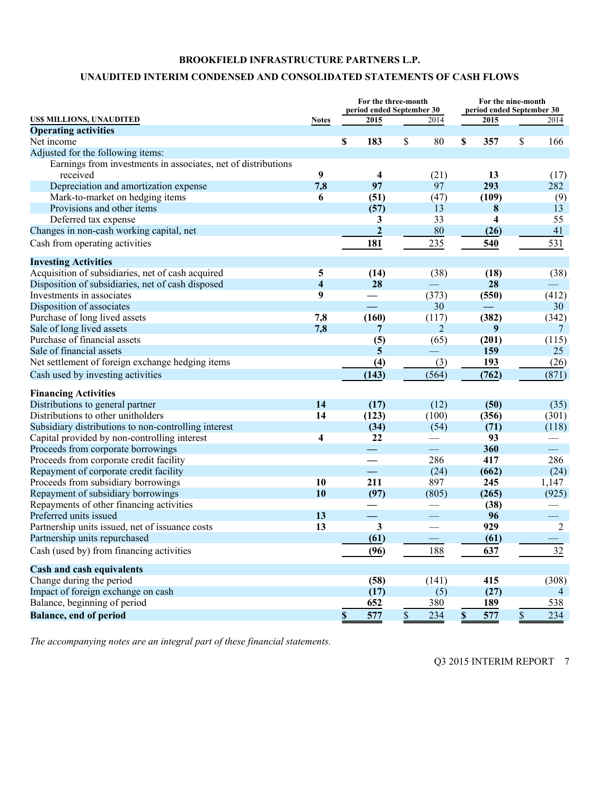# **UNAUDITED INTERIM CONDENSED AND CONSOLIDATED STATEMENTS OF CASH FLOWS**

|                                                               |                         |                           | For the three-month<br>period ended September 30 |               |                | For the nine-month<br>period ended September 30 |                         |             |                |  |
|---------------------------------------------------------------|-------------------------|---------------------------|--------------------------------------------------|---------------|----------------|-------------------------------------------------|-------------------------|-------------|----------------|--|
| US\$ MILLIONS, UNAUDITED                                      | <b>Notes</b>            |                           | 2015                                             |               | 2014           |                                                 | 2015                    |             | 2014           |  |
| <b>Operating activities</b>                                   |                         |                           |                                                  |               |                |                                                 |                         |             |                |  |
| Net income                                                    |                         | \$                        | 183                                              | \$            | 80             | \$                                              | 357                     | \$          | 166            |  |
| Adjusted for the following items:                             |                         |                           |                                                  |               |                |                                                 |                         |             |                |  |
| Earnings from investments in associates, net of distributions |                         |                           |                                                  |               |                |                                                 |                         |             |                |  |
| received                                                      | 9                       |                           | $\overline{\mathbf{4}}$                          |               | (21)           |                                                 | 13                      |             | (17)           |  |
| Depreciation and amortization expense                         | 7,8                     |                           | 97                                               |               | 97             |                                                 | 293                     |             | 282            |  |
| Mark-to-market on hedging items                               | 6                       |                           | (51)                                             |               | (47)           |                                                 | (109)                   |             | (9)            |  |
| Provisions and other items                                    |                         |                           | (57)                                             |               | 13             |                                                 | 8                       |             | 13             |  |
| Deferred tax expense                                          |                         |                           | 3                                                |               | 33             |                                                 | $\overline{\mathbf{4}}$ |             | 55             |  |
| Changes in non-cash working capital, net                      |                         |                           | $\mathbf{2}$                                     |               | 80             |                                                 | (26)                    |             | 41             |  |
| Cash from operating activities                                |                         |                           | 181                                              |               | 235            |                                                 | 540                     |             | 531            |  |
| <b>Investing Activities</b>                                   |                         |                           |                                                  |               |                |                                                 |                         |             |                |  |
| Acquisition of subsidiaries, net of cash acquired             | 5                       |                           | (14)                                             |               | (38)           |                                                 | (18)                    |             | (38)           |  |
| Disposition of subsidiaries, net of cash disposed             | $\overline{\mathbf{4}}$ |                           | 28                                               |               |                |                                                 | 28                      |             |                |  |
| Investments in associates                                     | 9                       |                           |                                                  |               | (373)          |                                                 | (550)                   |             | (412)          |  |
| Disposition of associates                                     |                         |                           |                                                  |               | 30             |                                                 |                         |             | 30             |  |
| Purchase of long lived assets                                 | 7,8                     |                           | (160)                                            |               | (117)          |                                                 | (382)                   |             | (342)          |  |
| Sale of long lived assets                                     | 7,8                     |                           | 7                                                |               | $\overline{2}$ |                                                 | 9                       |             | 7              |  |
| Purchase of financial assets                                  |                         |                           | (5)                                              |               | (65)           |                                                 | (201)                   |             | (115)          |  |
| Sale of financial assets                                      |                         |                           | 5                                                |               |                |                                                 | 159                     |             | 25             |  |
| Net settlement of foreign exchange hedging items              |                         |                           | (4)                                              |               | (3)            |                                                 | 193                     |             | (26)           |  |
| Cash used by investing activities                             |                         |                           | (143)                                            |               | (564)          |                                                 | (762)                   |             | (871)          |  |
| <b>Financing Activities</b>                                   |                         |                           |                                                  |               |                |                                                 |                         |             |                |  |
| Distributions to general partner                              | 14                      |                           | (17)                                             |               | (12)           |                                                 | (50)                    |             | (35)           |  |
| Distributions to other unitholders                            | 14                      |                           | (123)                                            |               | (100)          |                                                 | (356)                   |             | (301)          |  |
| Subsidiary distributions to non-controlling interest          |                         |                           | (34)                                             |               | (54)           |                                                 | (71)                    |             | (118)          |  |
| Capital provided by non-controlling interest                  | $\overline{\mathbf{4}}$ |                           | 22                                               |               |                |                                                 | 93                      |             |                |  |
| Proceeds from corporate borrowings                            |                         |                           | ㅡ                                                |               |                |                                                 | 360                     |             |                |  |
| Proceeds from corporate credit facility                       |                         |                           |                                                  |               | 286            |                                                 | 417                     |             | 286            |  |
| Repayment of corporate credit facility                        |                         |                           | $\equiv$                                         |               | (24)           |                                                 | (662)                   |             | (24)           |  |
| Proceeds from subsidiary borrowings                           | 10                      |                           | 211                                              |               | 897            |                                                 | 245                     |             | 1,147          |  |
| Repayment of subsidiary borrowings                            | 10                      |                           | (97)                                             |               | (805)          |                                                 | (265)                   |             | (925)          |  |
| Repayments of other financing activities                      |                         |                           |                                                  |               |                |                                                 | (38)                    |             |                |  |
| Preferred units issued                                        | 13                      |                           |                                                  |               |                |                                                 | 96                      |             |                |  |
| Partnership units issued, net of issuance costs               | 13                      |                           | 3                                                |               |                |                                                 | 929                     |             | $\overline{2}$ |  |
| Partnership units repurchased                                 |                         |                           | (61)                                             |               |                |                                                 | (61)                    |             |                |  |
| Cash (used by) from financing activities                      |                         |                           | (96)                                             |               | 188            |                                                 | 637                     |             | 32             |  |
| <b>Cash and cash equivalents</b>                              |                         |                           |                                                  |               |                |                                                 |                         |             |                |  |
| Change during the period                                      |                         |                           | (58)                                             |               | (141)          |                                                 | 415                     |             | (308)          |  |
| Impact of foreign exchange on cash                            |                         |                           | (17)                                             |               | (5)            |                                                 | (27)                    |             | $\overline{4}$ |  |
| Balance, beginning of period                                  |                         |                           | 652                                              |               | 380            |                                                 | 189                     |             | 538            |  |
| <b>Balance, end of period</b>                                 |                         | $\boldsymbol{\mathsf{S}}$ | 577                                              | $\mathsf{\$}$ | 234            | $\mathbf S$                                     | 577                     | $\mathbb S$ | 234            |  |

*The accompanying notes are an integral part of these financial statements.*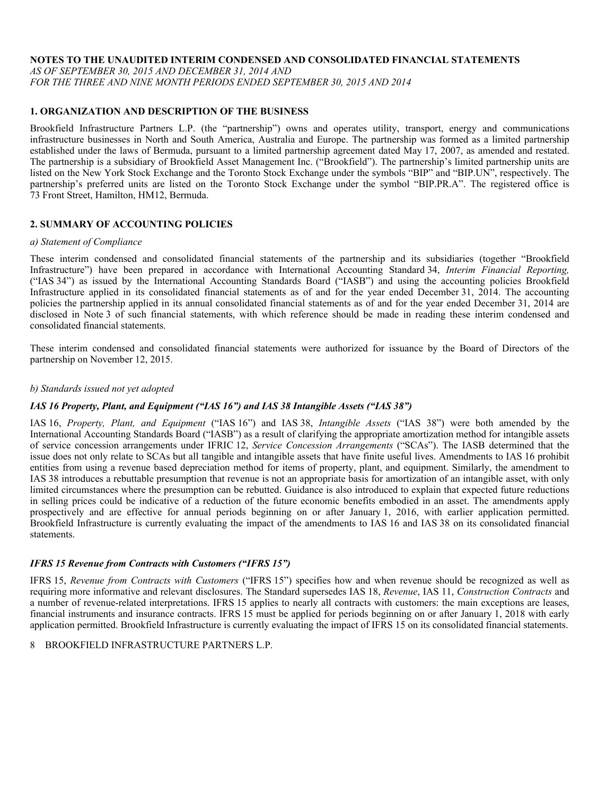#### **NOTES TO THE UNAUDITED INTERIM CONDENSED AND CONSOLIDATED FINANCIAL STATEMENTS**

*AS OF SEPTEMBER 30, 2015 AND DECEMBER 31, 2014 AND FOR THE THREE AND NINE MONTH PERIODS ENDED SEPTEMBER 30, 2015 AND 2014* 

# **1. ORGANIZATION AND DESCRIPTION OF THE BUSINESS**

Brookfield Infrastructure Partners L.P. (the "partnership") owns and operates utility, transport, energy and communications infrastructure businesses in North and South America, Australia and Europe. The partnership was formed as a limited partnership established under the laws of Bermuda, pursuant to a limited partnership agreement dated May 17, 2007, as amended and restated. The partnership is a subsidiary of Brookfield Asset Management Inc. ("Brookfield"). The partnership's limited partnership units are listed on the New York Stock Exchange and the Toronto Stock Exchange under the symbols "BIP" and "BIP.UN", respectively. The partnership's preferred units are listed on the Toronto Stock Exchange under the symbol "BIP.PR.A". The registered office is 73 Front Street, Hamilton, HM12, Bermuda.

#### **2. SUMMARY OF ACCOUNTING POLICIES**

#### *a) Statement of Compliance*

These interim condensed and consolidated financial statements of the partnership and its subsidiaries (together "Brookfield Infrastructure") have been prepared in accordance with International Accounting Standard 34, *Interim Financial Reporting,* ("IAS 34") as issued by the International Accounting Standards Board ("IASB") and using the accounting policies Brookfield Infrastructure applied in its consolidated financial statements as of and for the year ended December 31, 2014. The accounting policies the partnership applied in its annual consolidated financial statements as of and for the year ended December 31, 2014 are disclosed in Note 3 of such financial statements, with which reference should be made in reading these interim condensed and consolidated financial statements.

These interim condensed and consolidated financial statements were authorized for issuance by the Board of Directors of the partnership on November 12, 2015.

#### *b) Standards issued not yet adopted*

#### *IAS 16 Property, Plant, and Equipment ("IAS 16") and IAS 38 Intangible Assets ("IAS 38")*

IAS 16, *Property, Plant, and Equipment* ("IAS 16") and IAS 38, *Intangible Assets* ("IAS 38") were both amended by the International Accounting Standards Board ("IASB") as a result of clarifying the appropriate amortization method for intangible assets of service concession arrangements under IFRIC 12, *Service Concession Arrangements* ("SCAs"). The IASB determined that the issue does not only relate to SCAs but all tangible and intangible assets that have finite useful lives. Amendments to IAS 16 prohibit entities from using a revenue based depreciation method for items of property, plant, and equipment. Similarly, the amendment to IAS 38 introduces a rebuttable presumption that revenue is not an appropriate basis for amortization of an intangible asset, with only limited circumstances where the presumption can be rebutted. Guidance is also introduced to explain that expected future reductions in selling prices could be indicative of a reduction of the future economic benefits embodied in an asset. The amendments apply prospectively and are effective for annual periods beginning on or after January 1, 2016, with earlier application permitted. Brookfield Infrastructure is currently evaluating the impact of the amendments to IAS 16 and IAS 38 on its consolidated financial statements.

#### *IFRS 15 Revenue from Contracts with Customers ("IFRS 15")*

IFRS 15, *Revenue from Contracts with Customers* ("IFRS 15") specifies how and when revenue should be recognized as well as requiring more informative and relevant disclosures. The Standard supersedes IAS 18, *Revenue*, IAS 11, *Construction Contracts* and a number of revenue-related interpretations. IFRS 15 applies to nearly all contracts with customers: the main exceptions are leases, financial instruments and insurance contracts. IFRS 15 must be applied for periods beginning on or after January 1, 2018 with early application permitted. Brookfield Infrastructure is currently evaluating the impact of IFRS 15 on its consolidated financial statements.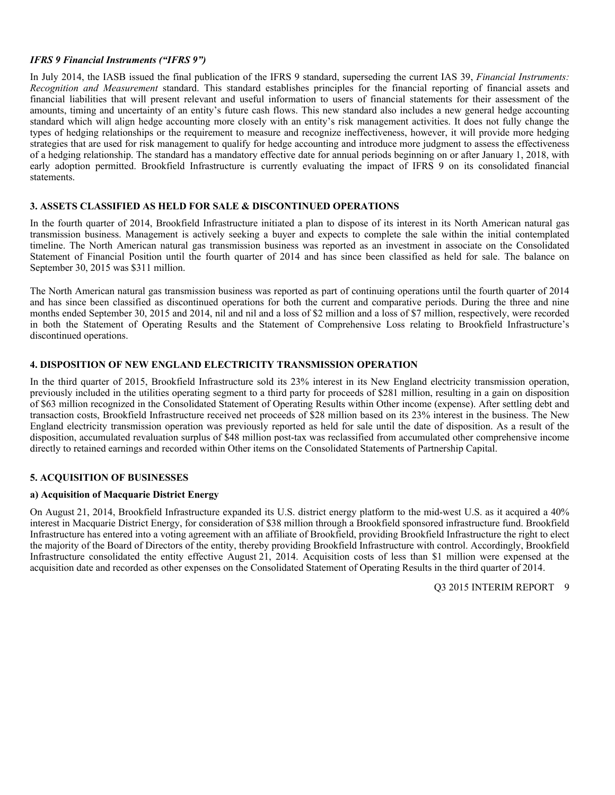# *IFRS 9 Financial Instruments ("IFRS 9")*

In July 2014, the IASB issued the final publication of the IFRS 9 standard, superseding the current IAS 39, *Financial Instruments: Recognition and Measurement* standard. This standard establishes principles for the financial reporting of financial assets and financial liabilities that will present relevant and useful information to users of financial statements for their assessment of the amounts, timing and uncertainty of an entity's future cash flows. This new standard also includes a new general hedge accounting standard which will align hedge accounting more closely with an entity's risk management activities. It does not fully change the types of hedging relationships or the requirement to measure and recognize ineffectiveness, however, it will provide more hedging strategies that are used for risk management to qualify for hedge accounting and introduce more judgment to assess the effectiveness of a hedging relationship. The standard has a mandatory effective date for annual periods beginning on or after January 1, 2018, with early adoption permitted. Brookfield Infrastructure is currently evaluating the impact of IFRS 9 on its consolidated financial statements.

# **3. ASSETS CLASSIFIED AS HELD FOR SALE & DISCONTINUED OPERATIONS**

In the fourth quarter of 2014, Brookfield Infrastructure initiated a plan to dispose of its interest in its North American natural gas transmission business. Management is actively seeking a buyer and expects to complete the sale within the initial contemplated timeline. The North American natural gas transmission business was reported as an investment in associate on the Consolidated Statement of Financial Position until the fourth quarter of 2014 and has since been classified as held for sale. The balance on September 30, 2015 was \$311 million.

The North American natural gas transmission business was reported as part of continuing operations until the fourth quarter of 2014 and has since been classified as discontinued operations for both the current and comparative periods. During the three and nine months ended September 30, 2015 and 2014, nil and nil and a loss of \$2 million and a loss of \$7 million, respectively, were recorded in both the Statement of Operating Results and the Statement of Comprehensive Loss relating to Brookfield Infrastructure's discontinued operations.

# **4. DISPOSITION OF NEW ENGLAND ELECTRICITY TRANSMISSION OPERATION**

In the third quarter of 2015, Brookfield Infrastructure sold its 23% interest in its New England electricity transmission operation, previously included in the utilities operating segment to a third party for proceeds of \$281 million, resulting in a gain on disposition of \$63 million recognized in the Consolidated Statement of Operating Results within Other income (expense). After settling debt and transaction costs, Brookfield Infrastructure received net proceeds of \$28 million based on its 23% interest in the business. The New England electricity transmission operation was previously reported as held for sale until the date of disposition. As a result of the disposition, accumulated revaluation surplus of \$48 million post-tax was reclassified from accumulated other comprehensive income directly to retained earnings and recorded within Other items on the Consolidated Statements of Partnership Capital.

# **5. ACQUISITION OF BUSINESSES**

# **a) Acquisition of Macquarie District Energy**

On August 21, 2014, Brookfield Infrastructure expanded its U.S. district energy platform to the mid-west U.S. as it acquired a 40% interest in Macquarie District Energy, for consideration of \$38 million through a Brookfield sponsored infrastructure fund. Brookfield Infrastructure has entered into a voting agreement with an affiliate of Brookfield, providing Brookfield Infrastructure the right to elect the majority of the Board of Directors of the entity, thereby providing Brookfield Infrastructure with control. Accordingly, Brookfield Infrastructure consolidated the entity effective August 21, 2014. Acquisition costs of less than \$1 million were expensed at the acquisition date and recorded as other expenses on the Consolidated Statement of Operating Results in the third quarter of 2014.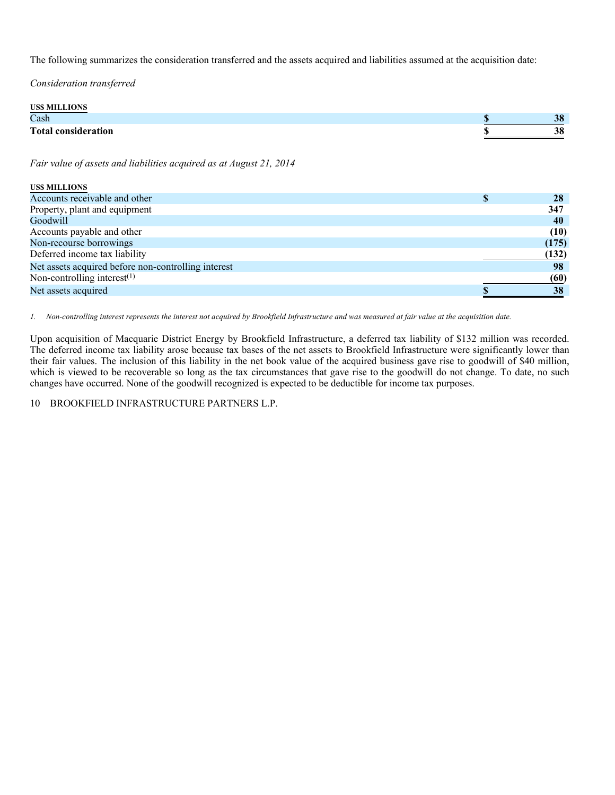The following summarizes the consideration transferred and the assets acquired and liabilities assumed at the acquisition date:

*Consideration transferred* 

| <b>USS MILLIONS</b>        |          |
|----------------------------|----------|
| Cash                       | 38       |
| <b>Total consideration</b> | 20<br>JО |

*Fair value of assets and liabilities acquired as at August 21, 2014* 

| <b>USS MILLIONS</b>                                 |       |
|-----------------------------------------------------|-------|
| Accounts receivable and other                       | 28    |
| Property, plant and equipment                       | 347   |
| Goodwill                                            | 40    |
| Accounts payable and other                          | (10)  |
| Non-recourse borrowings                             | (175) |
| Deferred income tax liability                       | (132) |
| Net assets acquired before non-controlling interest | 98    |
| Non-controlling interest $(1)$                      | (60)  |
| Net assets acquired                                 | 38    |

*1. Non-controlling interest represents the interest not acquired by Brookfield Infrastructure and was measured at fair value at the acquisition date.* 

Upon acquisition of Macquarie District Energy by Brookfield Infrastructure, a deferred tax liability of \$132 million was recorded. The deferred income tax liability arose because tax bases of the net assets to Brookfield Infrastructure were significantly lower than their fair values. The inclusion of this liability in the net book value of the acquired business gave rise to goodwill of \$40 million, which is viewed to be recoverable so long as the tax circumstances that gave rise to the goodwill do not change. To date, no such changes have occurred. None of the goodwill recognized is expected to be deductible for income tax purposes.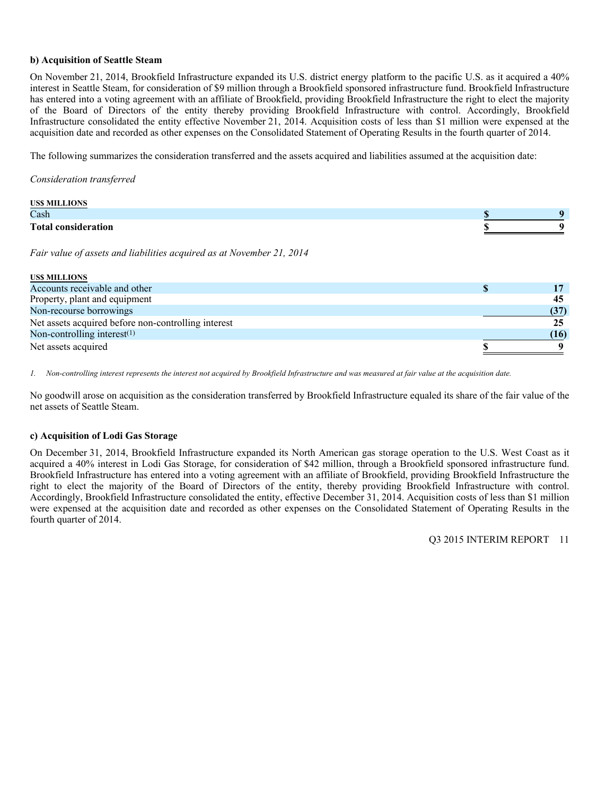# **b) Acquisition of Seattle Steam**

On November 21, 2014, Brookfield Infrastructure expanded its U.S. district energy platform to the pacific U.S. as it acquired a 40% interest in Seattle Steam, for consideration of \$9 million through a Brookfield sponsored infrastructure fund. Brookfield Infrastructure has entered into a voting agreement with an affiliate of Brookfield, providing Brookfield Infrastructure the right to elect the majority of the Board of Directors of the entity thereby providing Brookfield Infrastructure with control. Accordingly, Brookfield Infrastructure consolidated the entity effective November 21, 2014. Acquisition costs of less than \$1 million were expensed at the acquisition date and recorded as other expenses on the Consolidated Statement of Operating Results in the fourth quarter of 2014.

The following summarizes the consideration transferred and the assets acquired and liabilities assumed at the acquisition date:

*Consideration transferred* 

| <b>USS MILLIONS</b>        |   |
|----------------------------|---|
| Cash                       |   |
| <b>Total consideration</b> | U |

*Fair value of assets and liabilities acquired as at November 21, 2014* 

| <b>USS MILLIONS</b>                                 |      |
|-----------------------------------------------------|------|
| Accounts receivable and other                       |      |
| Property, plant and equipment                       | 45   |
| Non-recourse borrowings                             |      |
| Net assets acquired before non-controlling interest |      |
| Non-controlling interest $(1)$                      | (16) |
| Net assets acquired                                 |      |

*1. Non-controlling interest represents the interest not acquired by Brookfield Infrastructure and was measured at fair value at the acquisition date.* 

No goodwill arose on acquisition as the consideration transferred by Brookfield Infrastructure equaled its share of the fair value of the net assets of Seattle Steam.

# **c) Acquisition of Lodi Gas Storage**

On December 31, 2014, Brookfield Infrastructure expanded its North American gas storage operation to the U.S. West Coast as it acquired a 40% interest in Lodi Gas Storage, for consideration of \$42 million, through a Brookfield sponsored infrastructure fund. Brookfield Infrastructure has entered into a voting agreement with an affiliate of Brookfield, providing Brookfield Infrastructure the right to elect the majority of the Board of Directors of the entity, thereby providing Brookfield Infrastructure with control. Accordingly, Brookfield Infrastructure consolidated the entity, effective December 31, 2014. Acquisition costs of less than \$1 million were expensed at the acquisition date and recorded as other expenses on the Consolidated Statement of Operating Results in the fourth quarter of 2014.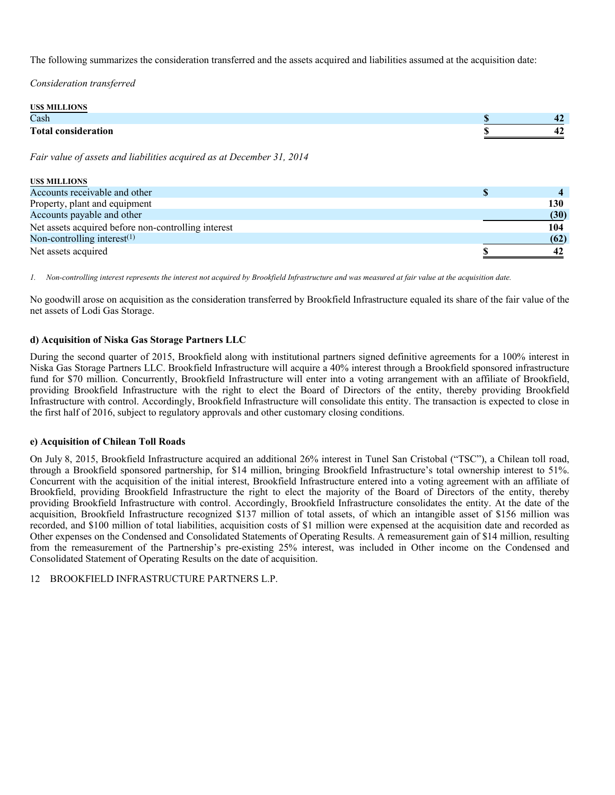The following summarizes the consideration transferred and the assets acquired and liabilities assumed at the acquisition date:

*Consideration transferred* 

| US\$ MILLIONS              |      |
|----------------------------|------|
| Cash                       | - 7  |
| <b>Total consideration</b> | - 12 |

*Fair value of assets and liabilities acquired as at December 31, 2014* 

| <b>USS MILLIONS</b>                                 |      |
|-----------------------------------------------------|------|
| Accounts receivable and other                       |      |
| Property, plant and equipment                       | 130  |
| Accounts payable and other                          | (30) |
| Net assets acquired before non-controlling interest | 104  |
| Non-controlling interest $(1)$                      | (62) |
| Net assets acquired                                 | 42   |

*1. Non-controlling interest represents the interest not acquired by Brookfield Infrastructure and was measured at fair value at the acquisition date.* 

No goodwill arose on acquisition as the consideration transferred by Brookfield Infrastructure equaled its share of the fair value of the net assets of Lodi Gas Storage.

# **d) Acquisition of Niska Gas Storage Partners LLC**

During the second quarter of 2015, Brookfield along with institutional partners signed definitive agreements for a 100% interest in Niska Gas Storage Partners LLC. Brookfield Infrastructure will acquire a 40% interest through a Brookfield sponsored infrastructure fund for \$70 million. Concurrently, Brookfield Infrastructure will enter into a voting arrangement with an affiliate of Brookfield, providing Brookfield Infrastructure with the right to elect the Board of Directors of the entity, thereby providing Brookfield Infrastructure with control. Accordingly, Brookfield Infrastructure will consolidate this entity. The transaction is expected to close in the first half of 2016, subject to regulatory approvals and other customary closing conditions.

# **e) Acquisition of Chilean Toll Roads**

On July 8, 2015, Brookfield Infrastructure acquired an additional 26% interest in Tunel San Cristobal ("TSC"), a Chilean toll road, through a Brookfield sponsored partnership, for \$14 million, bringing Brookfield Infrastructure's total ownership interest to 51%. Concurrent with the acquisition of the initial interest, Brookfield Infrastructure entered into a voting agreement with an affiliate of Brookfield, providing Brookfield Infrastructure the right to elect the majority of the Board of Directors of the entity, thereby providing Brookfield Infrastructure with control. Accordingly, Brookfield Infrastructure consolidates the entity. At the date of the acquisition, Brookfield Infrastructure recognized \$137 million of total assets, of which an intangible asset of \$156 million was recorded, and \$100 million of total liabilities, acquisition costs of \$1 million were expensed at the acquisition date and recorded as Other expenses on the Condensed and Consolidated Statements of Operating Results. A remeasurement gain of \$14 million, resulting from the remeasurement of the Partnership's pre-existing 25% interest, was included in Other income on the Condensed and Consolidated Statement of Operating Results on the date of acquisition.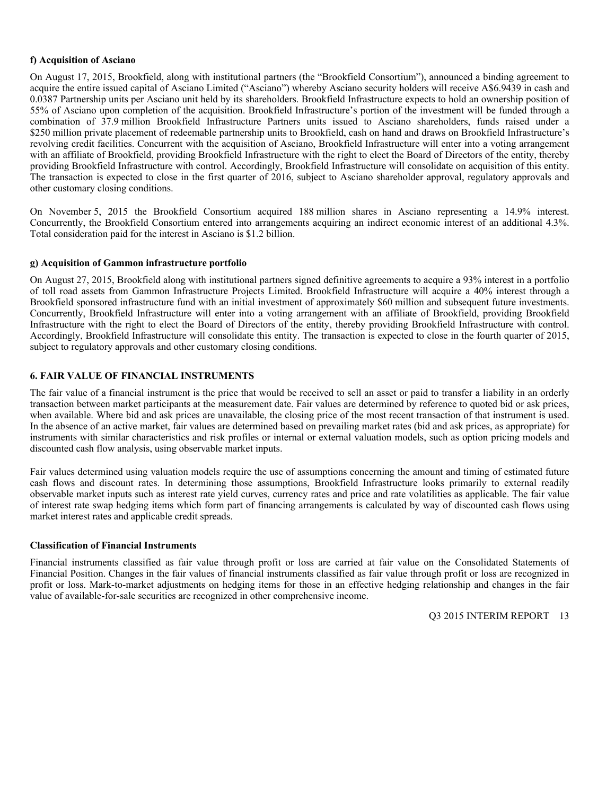# **f) Acquisition of Asciano**

On August 17, 2015, Brookfield, along with institutional partners (the "Brookfield Consortium"), announced a binding agreement to acquire the entire issued capital of Asciano Limited ("Asciano") whereby Asciano security holders will receive A\$6.9439 in cash and 0.0387 Partnership units per Asciano unit held by its shareholders. Brookfield Infrastructure expects to hold an ownership position of 55% of Asciano upon completion of the acquisition. Brookfield Infrastructure's portion of the investment will be funded through a combination of 37.9 million Brookfield Infrastructure Partners units issued to Asciano shareholders, funds raised under a \$250 million private placement of redeemable partnership units to Brookfield, cash on hand and draws on Brookfield Infrastructure's revolving credit facilities. Concurrent with the acquisition of Asciano, Brookfield Infrastructure will enter into a voting arrangement with an affiliate of Brookfield, providing Brookfield Infrastructure with the right to elect the Board of Directors of the entity, thereby providing Brookfield Infrastructure with control. Accordingly, Brookfield Infrastructure will consolidate on acquisition of this entity. The transaction is expected to close in the first quarter of 2016, subject to Asciano shareholder approval, regulatory approvals and other customary closing conditions.

On November 5, 2015 the Brookfield Consortium acquired 188 million shares in Asciano representing a 14.9% interest. Concurrently, the Brookfield Consortium entered into arrangements acquiring an indirect economic interest of an additional 4.3%. Total consideration paid for the interest in Asciano is \$1.2 billion.

#### **g) Acquisition of Gammon infrastructure portfolio**

On August 27, 2015, Brookfield along with institutional partners signed definitive agreements to acquire a 93% interest in a portfolio of toll road assets from Gammon Infrastructure Projects Limited. Brookfield Infrastructure will acquire a 40% interest through a Brookfield sponsored infrastructure fund with an initial investment of approximately \$60 million and subsequent future investments. Concurrently, Brookfield Infrastructure will enter into a voting arrangement with an affiliate of Brookfield, providing Brookfield Infrastructure with the right to elect the Board of Directors of the entity, thereby providing Brookfield Infrastructure with control. Accordingly, Brookfield Infrastructure will consolidate this entity. The transaction is expected to close in the fourth quarter of 2015, subject to regulatory approvals and other customary closing conditions.

# **6. FAIR VALUE OF FINANCIAL INSTRUMENTS**

The fair value of a financial instrument is the price that would be received to sell an asset or paid to transfer a liability in an orderly transaction between market participants at the measurement date. Fair values are determined by reference to quoted bid or ask prices, when available. Where bid and ask prices are unavailable, the closing price of the most recent transaction of that instrument is used. In the absence of an active market, fair values are determined based on prevailing market rates (bid and ask prices, as appropriate) for instruments with similar characteristics and risk profiles or internal or external valuation models, such as option pricing models and discounted cash flow analysis, using observable market inputs.

Fair values determined using valuation models require the use of assumptions concerning the amount and timing of estimated future cash flows and discount rates. In determining those assumptions, Brookfield Infrastructure looks primarily to external readily observable market inputs such as interest rate yield curves, currency rates and price and rate volatilities as applicable. The fair value of interest rate swap hedging items which form part of financing arrangements is calculated by way of discounted cash flows using market interest rates and applicable credit spreads.

#### **Classification of Financial Instruments**

Financial instruments classified as fair value through profit or loss are carried at fair value on the Consolidated Statements of Financial Position. Changes in the fair values of financial instruments classified as fair value through profit or loss are recognized in profit or loss. Mark-to-market adjustments on hedging items for those in an effective hedging relationship and changes in the fair value of available-for-sale securities are recognized in other comprehensive income.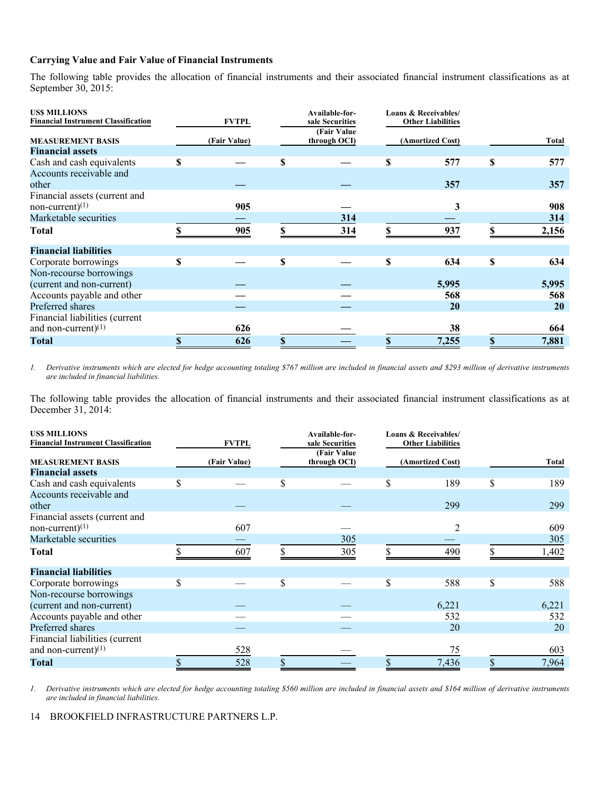# **Carrying Value and Fair Value of Financial Instruments**

The following table provides the allocation of financial instruments and their associated financial instrument classifications as at September 30, 2015:

| <b>USS MILLIONS</b><br><b>Financial Instrument Classification</b> |    | <b>FVTPL</b> |   | Available-for-<br>sale Securities | Loans & Receivables/<br><b>Other Liabilities</b> |    |           |
|-------------------------------------------------------------------|----|--------------|---|-----------------------------------|--------------------------------------------------|----|-----------|
| <b>MEASUREMENT BASIS</b>                                          |    | (Fair Value) |   | (Fair Value)<br>through OCI)      | (Amortized Cost)                                 |    | Total     |
| <b>Financial assets</b>                                           |    |              |   |                                   |                                                  |    |           |
| Cash and cash equivalents                                         | \$ |              | S |                                   | \$<br>577                                        | S  | 577       |
| Accounts receivable and                                           |    |              |   |                                   |                                                  |    |           |
| other                                                             |    |              |   |                                   | 357                                              |    | 357       |
| Financial assets (current and                                     |    |              |   |                                   |                                                  |    |           |
| non-current) $(1)$                                                |    | 905          |   |                                   | 3                                                |    | 908       |
| Marketable securities                                             |    |              |   | 314                               |                                                  |    | 314       |
| <b>Total</b>                                                      |    | 905          |   | 314                               | \$<br>937                                        | \$ | 2,156     |
| <b>Financial liabilities</b>                                      |    |              |   |                                   |                                                  |    |           |
| Corporate borrowings                                              | S  |              | S |                                   | \$<br>634                                        | \$ | 634       |
| Non-recourse borrowings                                           |    |              |   |                                   |                                                  |    |           |
| (current and non-current)                                         |    |              |   |                                   | 5,995                                            |    | 5,995     |
| Accounts payable and other                                        |    |              |   |                                   | 568                                              |    | 568       |
| Preferred shares                                                  |    |              |   |                                   | 20                                               |    | <b>20</b> |
| Financial liabilities (current                                    |    |              |   |                                   |                                                  |    |           |
| and non-current) $(1)$                                            |    | 626          |   |                                   | 38                                               |    | 664       |
| <b>Total</b>                                                      |    | 626          | S |                                   | 7,255                                            |    | 7,881     |

*1. Derivative instruments which are elected for hedge accounting totaling \$767 million are included in financial assets and \$293 million of derivative instruments are included in financial liabilities.* 

The following table provides the allocation of financial instruments and their associated financial instrument classifications as at December 31, 2014:

| <b>USS MILLIONS</b><br><b>Financial Instrument Classification</b> | <b>FVTPL</b> |    | Available-for-<br>sale Securities | Loans & Receivables/<br><b>Other Liabilities</b> |    |       |
|-------------------------------------------------------------------|--------------|----|-----------------------------------|--------------------------------------------------|----|-------|
| <b>MEASUREMENT BASIS</b>                                          | (Fair Value) |    | (Fair Value)<br>through OCI)      | (Amortized Cost)                                 |    | Total |
| <b>Financial assets</b>                                           |              |    |                                   |                                                  |    |       |
| Cash and cash equivalents                                         | \$           | S  |                                   | 189                                              | S  | 189   |
| Accounts receivable and                                           |              |    |                                   |                                                  |    |       |
| other                                                             |              |    |                                   | 299                                              |    | 299   |
| Financial assets (current and                                     |              |    |                                   |                                                  |    |       |
| $non-current(1)$                                                  | 607          |    |                                   |                                                  |    | 609   |
| Marketable securities                                             |              |    | 305                               |                                                  |    | 305   |
| <b>Total</b>                                                      | 607          |    | 305                               | 490                                              |    | 1,402 |
| <b>Financial liabilities</b>                                      |              |    |                                   |                                                  |    |       |
| Corporate borrowings                                              | \$           | \$ |                                   | \$<br>588                                        | \$ | 588   |
| Non-recourse borrowings                                           |              |    |                                   |                                                  |    |       |
| (current and non-current)                                         |              |    |                                   | 6,221                                            |    | 6,221 |
| Accounts payable and other                                        |              |    |                                   | 532                                              |    | 532   |
| Preferred shares                                                  |              |    |                                   | 20                                               |    | 20    |
| Financial liabilities (current                                    |              |    |                                   |                                                  |    |       |
| and non-current) $(1)$                                            | 528          |    |                                   | 75                                               |    | 603   |
| <b>Total</b>                                                      | 528          |    |                                   | 7,436                                            | \$ | 7,964 |

*1. Derivative instruments which are elected for hedge accounting totaling \$560 million are included in financial assets and \$164 million of derivative instruments are included in financial liabilities.*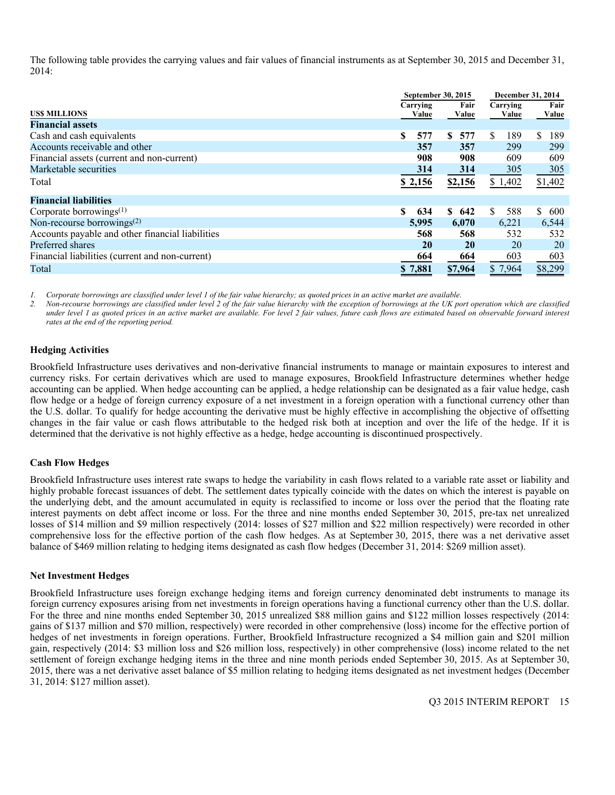The following table provides the carrying values and fair values of financial instruments as at September 30, 2015 and December 31, 2014:

|                                                  | September 30, 2015 |           | <b>December 31, 2014</b> |           |  |
|--------------------------------------------------|--------------------|-----------|--------------------------|-----------|--|
|                                                  | Carrying           | Fair      | Carrying                 | Fair      |  |
| <b>USS MILLIONS</b>                              | Value              | Value     | Value                    | Value     |  |
| <b>Financial assets</b>                          |                    |           |                          |           |  |
| Cash and cash equivalents                        | 577<br>S           | 577<br>S. | 189<br>S                 | S.<br>189 |  |
| Accounts receivable and other                    | 357                | 357       | 299                      | 299       |  |
| Financial assets (current and non-current)       | 908                | 908       | 609                      | 609       |  |
| Marketable securities                            | 314                | 314       | 305                      | 305       |  |
| Total                                            | \$2,156            | \$2,156   | \$1,402                  | \$1,402   |  |
| <b>Financial liabilities</b>                     |                    |           |                          |           |  |
|                                                  |                    |           |                          |           |  |
| Corporate borrowings $(1)$                       | 634                | \$642     | S.<br>588                | S.<br>600 |  |
| Non-recourse borrowings $(2)$                    | 5,995              | 6,070     | 6,221                    | 6,544     |  |
| Accounts payable and other financial liabilities | 568                | 568       | 532                      | 532       |  |
| Preferred shares                                 | 20                 | <b>20</b> | 20                       | 20        |  |
| Financial liabilities (current and non-current)  | 664                | 664       | 603                      | 603       |  |
| Total                                            | \$7,881            | \$7,964   | \$7,964                  | \$8,299   |  |
|                                                  |                    |           |                          |           |  |

*1. Corporate borrowings are classified under level 1 of the fair value hierarchy; as quoted prices in an active market are available.* 

*2. Non-recourse borrowings are classified under level 2 of the fair value hierarchy with the exception of borrowings at the UK port operation which are classified under level 1 as quoted prices in an active market are available. For level 2 fair values, future cash flows are estimated based on observable forward interest rates at the end of the reporting period.* 

#### **Hedging Activities**

Brookfield Infrastructure uses derivatives and non-derivative financial instruments to manage or maintain exposures to interest and currency risks. For certain derivatives which are used to manage exposures, Brookfield Infrastructure determines whether hedge accounting can be applied. When hedge accounting can be applied, a hedge relationship can be designated as a fair value hedge, cash flow hedge or a hedge of foreign currency exposure of a net investment in a foreign operation with a functional currency other than the U.S. dollar. To qualify for hedge accounting the derivative must be highly effective in accomplishing the objective of offsetting changes in the fair value or cash flows attributable to the hedged risk both at inception and over the life of the hedge. If it is determined that the derivative is not highly effective as a hedge, hedge accounting is discontinued prospectively.

# **Cash Flow Hedges**

Brookfield Infrastructure uses interest rate swaps to hedge the variability in cash flows related to a variable rate asset or liability and highly probable forecast issuances of debt. The settlement dates typically coincide with the dates on which the interest is payable on the underlying debt, and the amount accumulated in equity is reclassified to income or loss over the period that the floating rate interest payments on debt affect income or loss. For the three and nine months ended September 30, 2015, pre-tax net unrealized losses of \$14 million and \$9 million respectively (2014: losses of \$27 million and \$22 million respectively) were recorded in other comprehensive loss for the effective portion of the cash flow hedges. As at September 30, 2015, there was a net derivative asset balance of \$469 million relating to hedging items designated as cash flow hedges (December 31, 2014: \$269 million asset).

#### **Net Investment Hedges**

Brookfield Infrastructure uses foreign exchange hedging items and foreign currency denominated debt instruments to manage its foreign currency exposures arising from net investments in foreign operations having a functional currency other than the U.S. dollar. For the three and nine months ended September 30, 2015 unrealized \$88 million gains and \$122 million losses respectively (2014: gains of \$137 million and \$70 million, respectively) were recorded in other comprehensive (loss) income for the effective portion of hedges of net investments in foreign operations. Further, Brookfield Infrastructure recognized a \$4 million gain and \$201 million gain, respectively (2014: \$3 million loss and \$26 million loss, respectively) in other comprehensive (loss) income related to the net settlement of foreign exchange hedging items in the three and nine month periods ended September 30, 2015. As at September 30, 2015, there was a net derivative asset balance of \$5 million relating to hedging items designated as net investment hedges (December 31, 2014: \$127 million asset).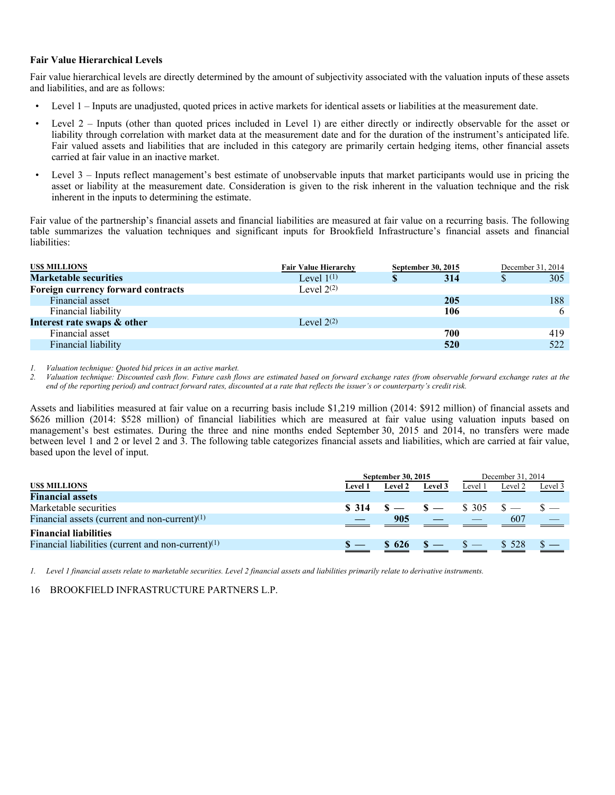#### **Fair Value Hierarchical Levels**

Fair value hierarchical levels are directly determined by the amount of subjectivity associated with the valuation inputs of these assets and liabilities, and are as follows:

- Level 1 Inputs are unadjusted, quoted prices in active markets for identical assets or liabilities at the measurement date.
- Level 2 Inputs (other than quoted prices included in Level 1) are either directly or indirectly observable for the asset or liability through correlation with market data at the measurement date and for the duration of the instrument's anticipated life. Fair valued assets and liabilities that are included in this category are primarily certain hedging items, other financial assets carried at fair value in an inactive market.
- Level 3 Inputs reflect management's best estimate of unobservable inputs that market participants would use in pricing the asset or liability at the measurement date. Consideration is given to the risk inherent in the valuation technique and the risk inherent in the inputs to determining the estimate.

Fair value of the partnership's financial assets and financial liabilities are measured at fair value on a recurring basis. The following table summarizes the valuation techniques and significant inputs for Brookfield Infrastructure's financial assets and financial liabilities:

| <b>USS MILLIONS</b>                | <b>Fair Value Hierarchy</b> | September 30, 2015 | December 31, 2014 |
|------------------------------------|-----------------------------|--------------------|-------------------|
| <b>Marketable securities</b>       | Level $1^{(1)}$             | 314                | 305               |
| Foreign currency forward contracts | Level $2^{(2)}$             |                    |                   |
| Financial asset                    |                             | <b>205</b>         | 188               |
| Financial liability                |                             | 106                | 6                 |
| Interest rate swaps & other        | Level $2^{(2)}$             |                    |                   |
| Financial asset                    |                             | 700                | 419               |
| Financial liability                |                             | 520                | 522               |

*1. Valuation technique: Quoted bid prices in an active market.* 

*2. Valuation technique: Discounted cash flow. Future cash flows are estimated based on forward exchange rates (from observable forward exchange rates at the end of the reporting period) and contract forward rates, discounted at a rate that reflects the issuer's or counterparty's credit risk.* 

Assets and liabilities measured at fair value on a recurring basis include \$1,219 million (2014: \$912 million) of financial assets and \$626 million (2014: \$528 million) of financial liabilities which are measured at fair value using valuation inputs based on management's best estimates. During the three and nine months ended September 30, 2015 and 2014, no transfers were made between level 1 and 2 or level 2 and 3. The following table categorizes financial assets and liabilities, which are carried at fair value, based upon the level of input.

| <b>September 30, 2015</b> |                    |         | December 31, 2014 |           |                                                                                                                  |  |
|---------------------------|--------------------|---------|-------------------|-----------|------------------------------------------------------------------------------------------------------------------|--|
| Level 1                   | <b>Level 2</b>     | Level 3 | Level 1           | Level 2   | Level 3                                                                                                          |  |
|                           |                    |         |                   |           |                                                                                                                  |  |
|                           |                    |         |                   |           |                                                                                                                  |  |
|                           | 905                |         |                   | 607       |                                                                                                                  |  |
|                           |                    |         |                   |           |                                                                                                                  |  |
|                           | $\frac{\ }{5}$ 626 |         |                   | \$ 528    |                                                                                                                  |  |
|                           |                    |         |                   | $s - s -$ | $\textbf{$}8\text{ }314$ $\text{ }8\text{ }-\text{ }8\text{ }-\text{ }8\text{ }305$ $\text{ }8\text{ }-\text{ }$ |  |

*1. Level 1 financial assets relate to marketable securities. Level 2 financial assets and liabilities primarily relate to derivative instruments.*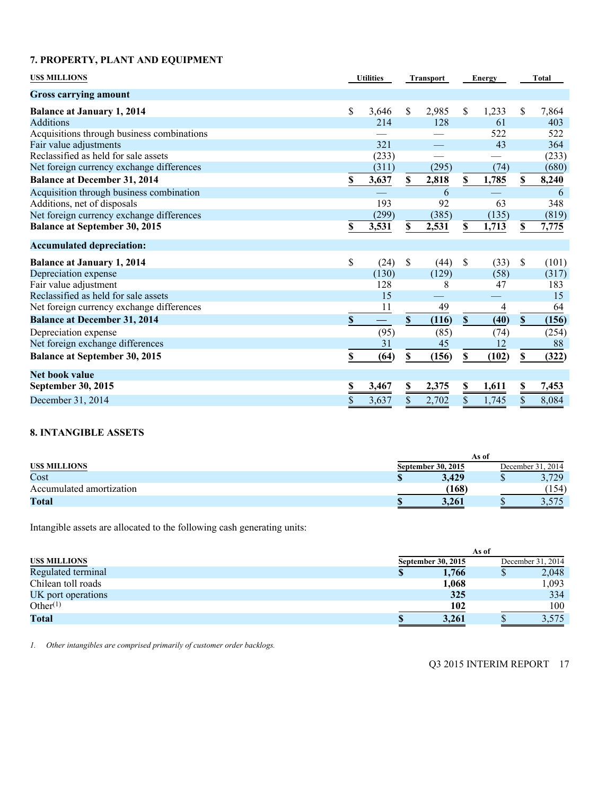# **7. PROPERTY, PLANT AND EQUIPMENT**

| <b>USS MILLIONS</b>                        | <b>Utilities</b>          |                   | <b>Transport</b> |       | <b>Energy</b> |       | <b>Total</b> |       |
|--------------------------------------------|---------------------------|-------------------|------------------|-------|---------------|-------|--------------|-------|
| <b>Gross carrying amount</b>               |                           |                   |                  |       |               |       |              |       |
| <b>Balance at January 1, 2014</b>          | \$                        | 3,646             | \$               | 2,985 | \$            | 1,233 | \$           | 7,864 |
| <b>Additions</b>                           |                           | 214               |                  | 128   |               | 61    |              | 403   |
| Acquisitions through business combinations |                           |                   |                  |       |               | 522   |              | 522   |
| Fair value adjustments                     |                           | 321               |                  |       |               | 43    |              | 364   |
| Reclassified as held for sale assets       |                           | (233)             |                  |       |               |       |              | (233) |
| Net foreign currency exchange differences  |                           | (311)             |                  | (295) |               | (74)  |              | (680) |
| <b>Balance at December 31, 2014</b>        | S                         | 3,637             | S                | 2,818 | \$            | 1,785 | S            | 8,240 |
| Acquisition through business combination   |                           |                   |                  | 6     |               |       |              | 6     |
| Additions, net of disposals                |                           | 193               |                  | 92    |               | 63    |              | 348   |
| Net foreign currency exchange differences  |                           | (299)             |                  | (385) |               | (135) |              | (819) |
| <b>Balance at September 30, 2015</b>       | \$                        | 3,531             | \$               | 2,531 | \$            | 1,713 | S            | 7,775 |
| <b>Accumulated depreciation:</b>           |                           |                   |                  |       |               |       |              |       |
| <b>Balance at January 1, 2014</b>          | \$                        | (24)              | \$               | (44)  | \$            | (33)  | \$           | (101) |
| Depreciation expense                       |                           | (130)             |                  | (129) |               | (58)  |              | (317) |
| Fair value adjustment                      |                           | 128               |                  | 8     |               | 47    |              | 183   |
| Reclassified as held for sale assets       |                           | 15                |                  |       |               |       |              | 15    |
| Net foreign currency exchange differences  |                           | 11                |                  | 49    |               | 4     |              | 64    |
| <b>Balance at December 31, 2014</b>        | $\boldsymbol{\mathsf{S}}$ | $\qquad \qquad -$ | $\mathbf S$      | (116) | $\mathbf S$   | (40)  | $\mathbf S$  | (156) |
| Depreciation expense                       |                           | (95)              |                  | (85)  |               | (74)  |              | (254) |
| Net foreign exchange differences           |                           | 31                |                  | 45    |               | 12    |              | 88    |
| <b>Balance at September 30, 2015</b>       | \$                        | (64)              | $\mathbb S$      | (156) | \$            | (102) | $\mathbf S$  | (322) |
| <b>Net book value</b>                      |                           |                   |                  |       |               |       |              |       |
| <b>September 30, 2015</b>                  | \$                        | 3,467             | \$               | 2,375 | \$            | 1,611 | \$           | 7,453 |
| December 31, 2014                          | \$                        | 3,637             | \$               | 2,702 | \$            | 1,745 | \$           | 8,084 |

# **8. INTANGIBLE ASSETS**

|                          | As of              |  |                   |  |
|--------------------------|--------------------|--|-------------------|--|
| <b>USS MILLIONS</b>      | September 30, 2015 |  | December 31, 2014 |  |
| Cost                     | 3.429              |  | 3,729             |  |
| Accumulated amortization | (168)              |  | 154)              |  |
| Total                    | 3.261              |  | ں آ ں ک           |  |

Intangible assets are allocated to the following cash generating units:

|                      |                    | As of             |
|----------------------|--------------------|-------------------|
| <b>USS MILLIONS</b>  | September 30, 2015 | December 31, 2014 |
| Regulated terminal   | 1,766<br>Φ         | 2,048             |
| Chilean toll roads   | 1,068              | 1,093             |
| UK port operations   | 325                | 334               |
| Other <sup>(1)</sup> | 102                | 100               |
| <b>Total</b>         | 3,261              | 3,575             |

*1. Other intangibles are comprised primarily of customer order backlogs.*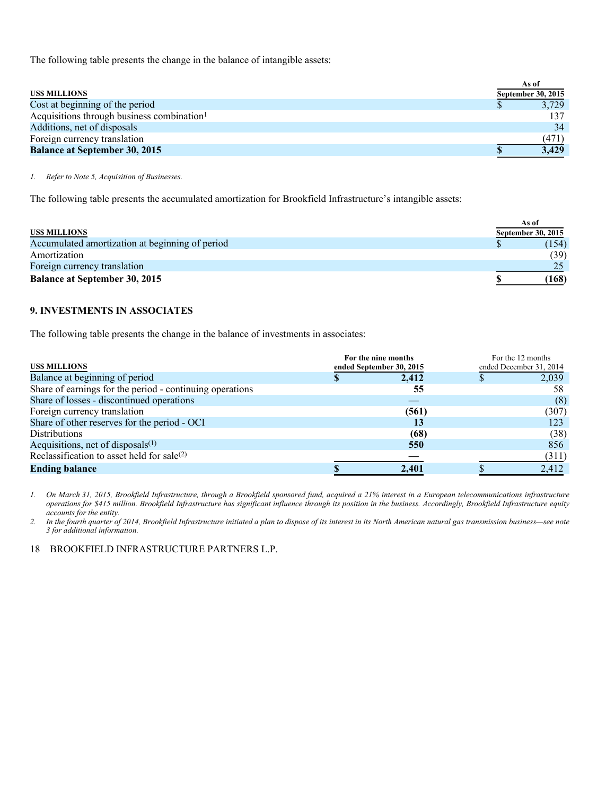The following table presents the change in the balance of intangible assets:

|                                                        | As of              |
|--------------------------------------------------------|--------------------|
| <b>USS MILLIONS</b>                                    | September 30, 2015 |
| Cost at beginning of the period                        | 3,729              |
| Acquisitions through business combination <sup>1</sup> |                    |
| Additions, net of disposals                            | 34                 |
| Foreign currency translation                           | (471)              |
| <b>Balance at September 30, 2015</b>                   | 3.429              |

*1. Refer to Note 5, Acquisition of Businesses.* 

The following table presents the accumulated amortization for Brookfield Infrastructure's intangible assets:

|                                                 | As of              |
|-------------------------------------------------|--------------------|
| <b>USS MILLIONS</b>                             | September 30, 2015 |
| Accumulated amortization at beginning of period | (154)              |
| Amortization                                    | (39)               |
| Foreign currency translation                    |                    |
| <b>Balance at September 30, 2015</b>            | (168)              |

# **9. INVESTMENTS IN ASSOCIATES**

The following table presents the change in the balance of investments in associates:

| <b>USS MILLIONS</b>                                      | For the nine months<br>ended September 30, 2015 | For the 12 months<br>ended December 31, 2014 |       |  |
|----------------------------------------------------------|-------------------------------------------------|----------------------------------------------|-------|--|
| Balance at beginning of period                           | 2,412                                           |                                              | 2,039 |  |
| Share of earnings for the period - continuing operations | 55                                              |                                              | 58    |  |
| Share of losses - discontinued operations                |                                                 |                                              | (8)   |  |
| Foreign currency translation                             | (561)                                           |                                              | (307) |  |
| Share of other reserves for the period - OCI             | 13                                              |                                              | 123   |  |
| <b>Distributions</b>                                     | (68)                                            |                                              | (38)  |  |
| Acquisitions, net of disposals $(1)$                     | 550                                             |                                              | 856   |  |
| Reclassification to asset held for sale(2)               |                                                 |                                              | (311) |  |
| <b>Ending balance</b>                                    | 2,401                                           |                                              | 2,412 |  |

*1. On March 31, 2015, Brookfield Infrastructure, through a Brookfield sponsored fund, acquired a 21% interest in a European telecommunications infrastructure operations for \$415 million. Brookfield Infrastructure has significant influence through its position in the business. Accordingly, Brookfield Infrastructure equity accounts for the entity.* 

*2. In the fourth quarter of 2014, Brookfield Infrastructure initiated a plan to dispose of its interest in its North American natural gas transmission business—see note 3 for additional information.*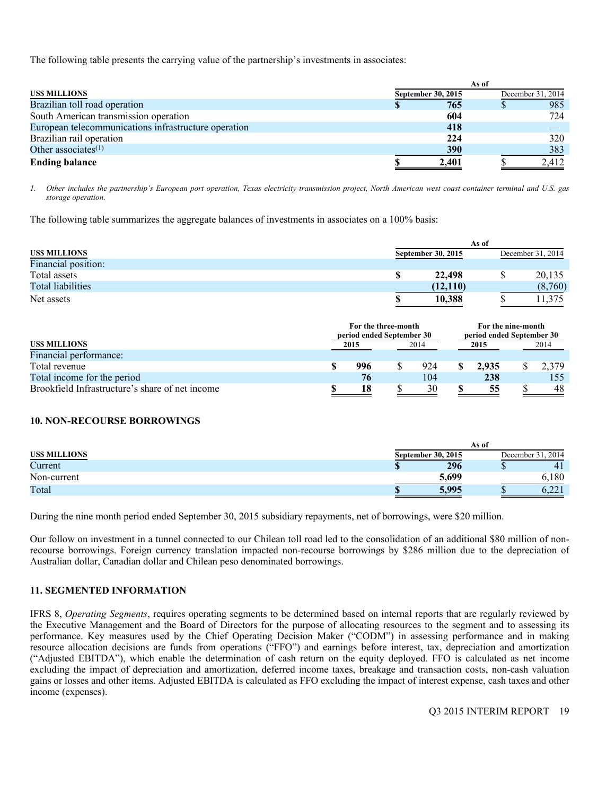The following table presents the carrying value of the partnership's investments in associates:

|                                                      |                           | As of      |                   |
|------------------------------------------------------|---------------------------|------------|-------------------|
| <b>USS MILLIONS</b>                                  | <b>September 30, 2015</b> |            | December 31, 2014 |
| Brazilian toll road operation                        |                           | 765        | 985               |
| South American transmission operation                |                           | 604        | 724               |
| European telecommunications infrastructure operation |                           | 418        |                   |
| Brazilian rail operation                             |                           | 224        | 320               |
| Other associates $(1)$                               |                           | <b>390</b> | 383               |
| <b>Ending balance</b>                                |                           | 2,401      | 2,412             |

*1. Other includes the partnership's European port operation, Texas electricity transmission project, North American west coast container terminal and U.S. gas storage operation.* 

The following table summarizes the aggregate balances of investments in associates on a 100% basis:

|                          | As of                     |          |                   |                |  |  |  |  |  |
|--------------------------|---------------------------|----------|-------------------|----------------|--|--|--|--|--|
| US\$ MILLIONS            | <b>September 30, 2015</b> |          | December 31, 2014 |                |  |  |  |  |  |
| Financial position:      |                           |          |                   |                |  |  |  |  |  |
| Total assets             |                           | 22,498   |                   | 20,135         |  |  |  |  |  |
| <b>Total liabilities</b> |                           | (12.110) |                   | (8,760)        |  |  |  |  |  |
| Net assets               |                           | 10,388   |                   | <sup>375</sup> |  |  |  |  |  |

|                                                 | For the three-month<br>period ended September 30 |  | For the nine-month<br>period ended September 30 |  |       |  |       |
|-------------------------------------------------|--------------------------------------------------|--|-------------------------------------------------|--|-------|--|-------|
| US\$ MILLIONS                                   | 2015                                             |  | 2014                                            |  | 2015  |  | 2014  |
| Financial performance:                          |                                                  |  |                                                 |  |       |  |       |
| Total revenue                                   | 996                                              |  | 924                                             |  | 2.935 |  | 2.379 |
| Total income for the period                     | 76                                               |  | 104                                             |  | 238   |  | 155   |
| Brookfield Infrastructure's share of net income | 18                                               |  | 30                                              |  | 55    |  | 48    |

# **10. NON-RECOURSE BORROWINGS**

|                     |                           | As of                  |
|---------------------|---------------------------|------------------------|
| <b>USS MILLIONS</b> | <b>September 30, 2015</b> | December 31.<br>. 2014 |
| Current             | 296                       | 4 <sub>1</sub><br>w    |
| Non-current         | 5,699                     | 180                    |
| Total               | 5.995                     | 0.441                  |

During the nine month period ended September 30, 2015 subsidiary repayments, net of borrowings, were \$20 million.

Our follow on investment in a tunnel connected to our Chilean toll road led to the consolidation of an additional \$80 million of nonrecourse borrowings. Foreign currency translation impacted non-recourse borrowings by \$286 million due to the depreciation of Australian dollar, Canadian dollar and Chilean peso denominated borrowings.

# **11. SEGMENTED INFORMATION**

IFRS 8, *Operating Segments*, requires operating segments to be determined based on internal reports that are regularly reviewed by the Executive Management and the Board of Directors for the purpose of allocating resources to the segment and to assessing its performance. Key measures used by the Chief Operating Decision Maker ("CODM") in assessing performance and in making resource allocation decisions are funds from operations ("FFO") and earnings before interest, tax, depreciation and amortization ("Adjusted EBITDA"), which enable the determination of cash return on the equity deployed. FFO is calculated as net income excluding the impact of depreciation and amortization, deferred income taxes, breakage and transaction costs, non-cash valuation gains or losses and other items. Adjusted EBITDA is calculated as FFO excluding the impact of interest expense, cash taxes and other income (expenses).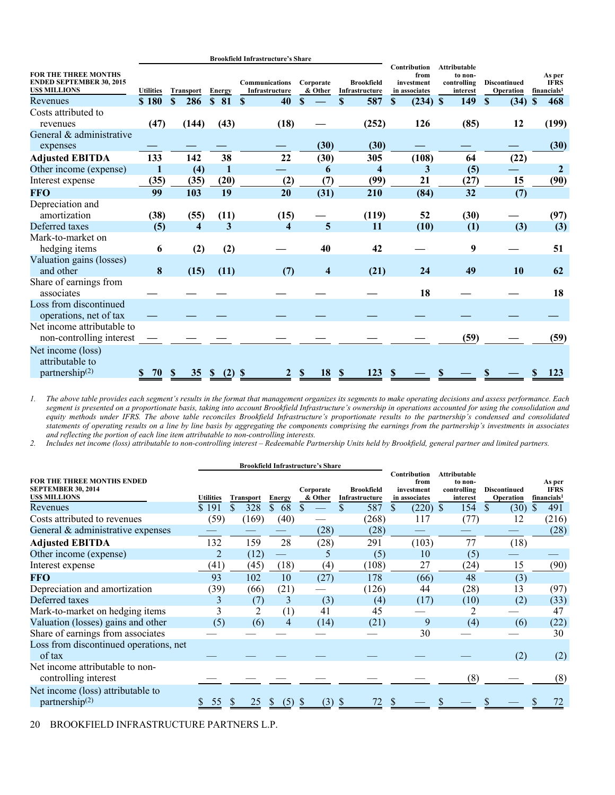|                                                                                       |                  |                     |                     | <b>Brookfield Infrastructure's Share</b> |                         |                                     |                                                     |                                                           |                                  |                                                  |
|---------------------------------------------------------------------------------------|------------------|---------------------|---------------------|------------------------------------------|-------------------------|-------------------------------------|-----------------------------------------------------|-----------------------------------------------------------|----------------------------------|--------------------------------------------------|
| <b>FOR THE THREE MONTHS</b><br><b>ENDED SEPTEMBER 30, 2015</b><br><b>USS MILLIONS</b> | <b>Utilities</b> | <b>Transport</b>    | Energy              | <b>Communications</b><br>Infrastructure  | Corporate<br>& Other    | <b>Brookfield</b><br>Infrastructure | Contribution<br>from<br>investment<br>in associates | <b>Attributable</b><br>to non-<br>controlling<br>interest | <b>Discontinued</b><br>Operation | As per<br><b>IFRS</b><br>financials <sup>1</sup> |
| Revenues                                                                              | \$180            | \$<br>286           | 81<br>\$.           | $\mathbf{s}$<br>40                       | $\mathbf{s}$            | 587<br>$\mathbf{s}$                 | (234)<br>\$                                         | 149<br>\$                                                 | $\mathbf{s}$<br>(34)             | 468<br>\$                                        |
| Costs attributed to                                                                   |                  |                     |                     |                                          |                         |                                     |                                                     |                                                           |                                  |                                                  |
| revenues                                                                              | (47)             | (144)               | (43)                | (18)                                     |                         | (252)                               | 126                                                 | (85)                                                      | 12                               | (199)                                            |
| General & administrative<br>expenses                                                  |                  |                     |                     |                                          | (30)                    | (30)                                |                                                     |                                                           |                                  | (30)                                             |
| <b>Adjusted EBITDA</b>                                                                | 133              | 142                 | 38                  | 22                                       | (30)                    | 305                                 | (108)                                               | 64                                                        | (22)                             |                                                  |
| Other income (expense)                                                                |                  | (4)                 | 1                   |                                          | 6                       | $\overline{\mathbf{4}}$             | 3                                                   | (5)                                                       |                                  | $\mathbf{2}$                                     |
| Interest expense                                                                      | (35)             | (35)                | (20)                | (2)                                      | (7)                     | (99)                                | 21                                                  | (27)                                                      | 15                               | (90)                                             |
| <b>FFO</b>                                                                            | 99               | 103                 | 19                  | 20                                       | (31)                    | 210                                 | (84)                                                | 32                                                        | (7)                              |                                                  |
| Depreciation and<br>amortization                                                      | (38)             | (55)                | (11)                | (15)                                     |                         | (119)                               | 52                                                  | (30)                                                      |                                  | (97)                                             |
| Deferred taxes                                                                        | (5)              | $\overline{\bf{4}}$ | 3                   | 4                                        | 5                       | <b>11</b>                           | (10)                                                | (1)                                                       | (3)                              | (3)                                              |
| Mark-to-market on                                                                     |                  |                     |                     |                                          |                         |                                     |                                                     |                                                           |                                  |                                                  |
| hedging items                                                                         | 6                | (2)                 | (2)                 |                                          | 40                      | 42                                  |                                                     | 9                                                         |                                  | 51                                               |
| Valuation gains (losses)<br>and other                                                 | 8                | (15)                | (11)                | (7)                                      | $\overline{\mathbf{4}}$ | (21)                                | 24                                                  | 49                                                        | 10                               | 62                                               |
| Share of earnings from<br>associates                                                  |                  |                     |                     |                                          |                         |                                     | 18                                                  |                                                           |                                  | 18                                               |
| Loss from discontinued<br>operations, net of tax                                      |                  |                     |                     |                                          |                         |                                     |                                                     |                                                           |                                  |                                                  |
| Net income attributable to<br>non-controlling interest                                |                  |                     |                     |                                          |                         |                                     |                                                     | (59)                                                      |                                  | (59)                                             |
| Net income (loss)<br>attributable to<br>partnership $(2)$                             | 70               | S<br>35             | (2)<br><sup>S</sup> | S                                        | 18<br>S                 | 123<br>S                            |                                                     |                                                           |                                  | 123                                              |

*1. The above table provides each segment's results in the format that management organizes its segments to make operating decisions and assess performance. Each segment is presented on a proportionate basis, taking into account Brookfield Infrastructure's ownership in operations accounted for using the consolidation and equity methods under IFRS. The above table reconciles Brookfield Infrastructure's proportionate results to the partnership's condensed and consolidated statements of operating results on a line by line basis by aggregating the components comprising the earnings from the partnership's investments in associates and reflecting the portion of each line item attributable to non-controlling interests.* 

*2. Includes net income (loss) attributable to non-controlling interest – Redeemable Partnership Units held by Brookfield, general partner and limited partners.* 

|                                                                                       |                  |                  |               | <b>Brookfield Infrastructure's Share</b> |                                     |                                                     |                                                           |                                  |                                                  |
|---------------------------------------------------------------------------------------|------------------|------------------|---------------|------------------------------------------|-------------------------------------|-----------------------------------------------------|-----------------------------------------------------------|----------------------------------|--------------------------------------------------|
| <b>FOR THE THREE MONTHS ENDED</b><br><b>SEPTEMBER 30, 2014</b><br><b>USS MILLIONS</b> | <b>Utilities</b> | <b>Transport</b> | <b>Energy</b> | Corporate<br>& Other                     | <b>Brookfield</b><br>Infrastructure | Contribution<br>from<br>investment<br>in associates | <b>Attributable</b><br>to non-<br>controlling<br>interest | <b>Discontinued</b><br>Operation | As per<br><b>IFRS</b><br>financials <sup>1</sup> |
| Revenues                                                                              | \$191            | 328              | \$<br>68      |                                          | 587                                 | (220)<br>\$.                                        | $\mathbb{S}$<br>154                                       | S<br>(30)                        | 491                                              |
| Costs attributed to revenues                                                          | (59)             | (169)            | (40)          |                                          | (268)                               | 117                                                 | (77)                                                      | 12                               | (216)                                            |
| General & administrative expenses                                                     |                  |                  |               | (28)                                     | (28)                                |                                                     |                                                           |                                  | (28)                                             |
| <b>Adjusted EBITDA</b>                                                                | 132              | 159              | 28            | (28)                                     | 291                                 | (103)                                               | 77                                                        | (18)                             |                                                  |
| Other income (expense)                                                                | 2                | (12)             |               | 5                                        | (5)                                 | 10                                                  | (5)                                                       |                                  |                                                  |
| Interest expense                                                                      | (41)             | (45)             | (18)          | (4)                                      | (108)                               | 27                                                  | (24)                                                      | 15                               | (90)                                             |
| <b>FFO</b>                                                                            | 93               | 102              | 10            | (27)                                     | 178                                 | (66)                                                | 48                                                        | (3)                              |                                                  |
| Depreciation and amortization                                                         | (39)             | (66)             | (21)          |                                          | (126)                               | 44                                                  | (28)                                                      | 13                               | (97)                                             |
| Deferred taxes                                                                        | 3                | (7)              | 3             | (3)                                      | (4)                                 | (17)                                                | (10)                                                      | (2)                              | (33)                                             |
| Mark-to-market on hedging items                                                       | 3                |                  | (1)           | 41                                       | 45                                  |                                                     |                                                           |                                  | 47                                               |
| Valuation (losses) gains and other                                                    | (5)              | (6)              | 4             | (14)                                     | (21)                                | 9                                                   | (4)                                                       | (6)                              | (22)                                             |
| Share of earnings from associates                                                     |                  |                  |               |                                          |                                     | 30                                                  |                                                           |                                  | 30                                               |
| Loss from discontinued operations, net<br>of tax                                      |                  |                  |               |                                          |                                     |                                                     |                                                           | (2)                              | (2)                                              |
| Net income attributable to non-<br>controlling interest                               |                  |                  |               |                                          |                                     |                                                     | (8)                                                       |                                  | (8)                                              |
| Net income (loss) attributable to<br>partnership $(2)$                                | 55               | 25               | (5)<br>У.     | (3)                                      | 72<br>-8                            |                                                     |                                                           |                                  |                                                  |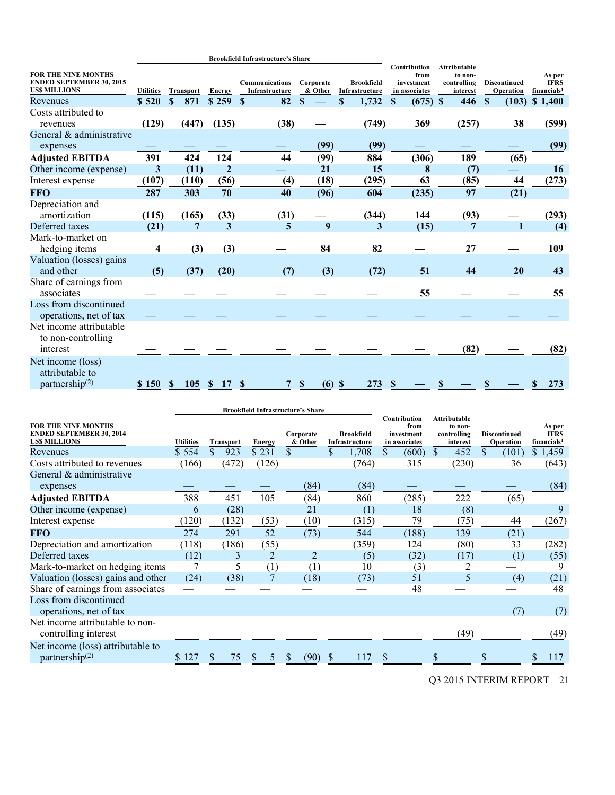|                                                                                      |                  |                             |                     | <b>Brookfield Infrastructure's Share</b> |                           |                                     |                                                     |                                                           |                                  |                                                  |
|--------------------------------------------------------------------------------------|------------------|-----------------------------|---------------------|------------------------------------------|---------------------------|-------------------------------------|-----------------------------------------------------|-----------------------------------------------------------|----------------------------------|--------------------------------------------------|
| <b>FOR THE NINE MONTHS</b><br><b>ENDED SEPTEMBER 30, 2015</b><br><b>USS MILLIONS</b> | <b>Utilities</b> | <b>Transport</b>            | Energy              | <b>Communications</b><br>Infrastructure  | Corporate<br>& Other      | <b>Brookfield</b><br>Infrastructure | Contribution<br>from<br>investment<br>in associates | <b>Attributable</b><br>to non-<br>controlling<br>interest | <b>Discontinued</b><br>Operation | As per<br><b>IFRS</b><br>financials <sup>1</sup> |
| Revenues                                                                             | \$520            | \$<br>871                   | \$259               | \$<br>82                                 | $\mathbf S$               | $\mathbf S$<br>1,732                | S<br>(675)                                          | $\mathbf{s}$<br>446                                       | <sup>\$</sup><br>(103)           | \$1,400                                          |
| Costs attributed to                                                                  |                  |                             |                     |                                          |                           |                                     |                                                     |                                                           |                                  |                                                  |
| revenues                                                                             | (129)            | (447)                       | (135)               | (38)                                     |                           | (749)                               | 369                                                 | (257)                                                     | 38                               | (599)                                            |
| General & administrative                                                             |                  |                             |                     |                                          |                           |                                     |                                                     |                                                           |                                  |                                                  |
| expenses                                                                             |                  |                             |                     |                                          | (99)                      | (99)                                |                                                     |                                                           |                                  | (99)                                             |
| <b>Adjusted EBITDA</b>                                                               | 391              | 424                         | 124                 | 44                                       | (99)                      | 884                                 | (306)                                               | 189                                                       | (65)                             |                                                  |
| Other income (expense)                                                               | 3                | (11)                        | $\overline{2}$      |                                          | 21                        | 15                                  | 8                                                   | (7)                                                       |                                  | 16                                               |
| Interest expense                                                                     | (107)            | (110)                       | (56)                | $\left(4\right)$                         | (18)                      | (295)                               | 63                                                  | (85)                                                      | 44                               | (273)                                            |
| <b>FFO</b>                                                                           | 287              | 303                         | 70                  | 40                                       | (96)                      | 604                                 | (235)                                               | 97                                                        | (21)                             |                                                  |
| Depreciation and                                                                     |                  |                             |                     |                                          |                           |                                     |                                                     |                                                           |                                  |                                                  |
| amortization                                                                         | (115)            | (165)                       | (33)                | (31)                                     |                           | (344)                               | 144                                                 | (93)                                                      |                                  | (293)                                            |
| Deferred taxes                                                                       | (21)             | 7                           | 3                   | 5                                        | 9                         | 3                                   | (15)                                                | 7                                                         | 1                                | (4)                                              |
| Mark-to-market on                                                                    |                  |                             |                     |                                          |                           |                                     |                                                     |                                                           |                                  |                                                  |
| hedging items                                                                        | 4                | (3)                         | (3)                 |                                          | 84                        | 82                                  |                                                     | 27                                                        |                                  | 109                                              |
| Valuation (losses) gains                                                             |                  |                             |                     |                                          |                           |                                     |                                                     |                                                           |                                  |                                                  |
| and other                                                                            | (5)              | (37)                        | (20)                | (7)                                      | (3)                       | (72)                                | 51                                                  | 44                                                        | 20                               | 43                                               |
| Share of earnings from                                                               |                  |                             |                     |                                          |                           |                                     |                                                     |                                                           |                                  |                                                  |
| associates                                                                           |                  |                             |                     |                                          |                           |                                     | 55                                                  |                                                           |                                  | 55                                               |
| Loss from discontinued                                                               |                  |                             |                     |                                          |                           |                                     |                                                     |                                                           |                                  |                                                  |
| operations, net of tax                                                               |                  |                             |                     |                                          |                           |                                     |                                                     |                                                           |                                  |                                                  |
| Net income attributable<br>to non-controlling<br>interest                            |                  |                             |                     |                                          |                           |                                     |                                                     | (82)                                                      |                                  | (82)                                             |
| Net income (loss)                                                                    |                  |                             |                     |                                          |                           |                                     |                                                     |                                                           |                                  |                                                  |
| attributable to<br>partnership <sup>(2)</sup>                                        | \$150            | <b>105</b><br><sup>\$</sup> | <sup>S</sup><br>-17 | S                                        | $(6)$ \$<br><sup>\$</sup> | 273                                 | -S                                                  |                                                           |                                  | 273<br>S                                         |

|                                                                                      |                  |                  |               | <b>Brookfield Infrastructure's Share</b> |                                     |                                                     |                                                           |                                  |                                                  |
|--------------------------------------------------------------------------------------|------------------|------------------|---------------|------------------------------------------|-------------------------------------|-----------------------------------------------------|-----------------------------------------------------------|----------------------------------|--------------------------------------------------|
| <b>FOR THE NINE MONTHS</b><br><b>ENDED SEPTEMBER 30, 2014</b><br><b>USS MILLIONS</b> | <b>Utilities</b> | <b>Transport</b> | <b>Energy</b> | Corporate<br>& Other                     | <b>Brookfield</b><br>Infrastructure | Contribution<br>from<br>investment<br>in associates | <b>Attributable</b><br>to non-<br>controlling<br>interest | <b>Discontinued</b><br>Operation | As per<br><b>IFRS</b><br>financials <sup>1</sup> |
| Revenues                                                                             | \$554            | \$<br>923        | \$231         | \$                                       | 1,708<br>\$.                        | \$<br>(600)                                         | 452<br>$\mathbb{S}$                                       | \$<br>(101)                      | \$1,459                                          |
| Costs attributed to revenues                                                         | (166)            | (472)            | (126)         |                                          | (764)                               | 315                                                 | (230)                                                     | 36                               | (643)                                            |
| General & administrative<br>expenses                                                 |                  |                  |               | (84)                                     | (84)                                |                                                     |                                                           |                                  | (84)                                             |
| <b>Adjusted EBITDA</b>                                                               | 388              | 451              | 105           | (84)                                     | 860                                 | (285)                                               | 222                                                       | (65)                             |                                                  |
| Other income (expense)                                                               | 6                | (28)             |               | 21                                       | (1)                                 | 18                                                  | (8)                                                       |                                  | 9                                                |
| Interest expense                                                                     | (120)            | (132)            | (53)          | (10)                                     | (315)                               | 79                                                  | (75)                                                      | 44                               | (267)                                            |
| FFO                                                                                  | 274              | 291              | 52            | (73)                                     | 544                                 | (188)                                               | 139                                                       | (21)                             |                                                  |
| Depreciation and amortization                                                        | (118)            | (186)            | (55)          |                                          | (359)                               | 124                                                 | (80)                                                      | 33                               | (282)                                            |
| Deferred taxes                                                                       | (12)             | 3                |               | 2                                        | (5)                                 | (32)                                                | (17)                                                      | (1)                              | (55)                                             |
| Mark-to-market on hedging items                                                      |                  | 5                | (1)           | (1)                                      | 10                                  | (3)                                                 |                                                           |                                  | 9                                                |
| Valuation (losses) gains and other                                                   | (24)             | (38)             |               | (18)                                     | (73)                                | 51                                                  | 5                                                         | (4)                              | (21)                                             |
| Share of earnings from associates                                                    |                  |                  |               |                                          |                                     | 48                                                  |                                                           |                                  | 48                                               |
| Loss from discontinued<br>operations, net of tax                                     |                  |                  |               |                                          |                                     |                                                     |                                                           | (7)                              | (7)                                              |
| Net income attributable to non-<br>controlling interest                              |                  |                  |               |                                          |                                     |                                                     | (49)                                                      |                                  | (49)                                             |
| Net income (loss) attributable to<br>partnership $(2)$                               | 127<br>S.        | 75               |               | S<br>(90)                                | 117                                 |                                                     |                                                           |                                  | 117                                              |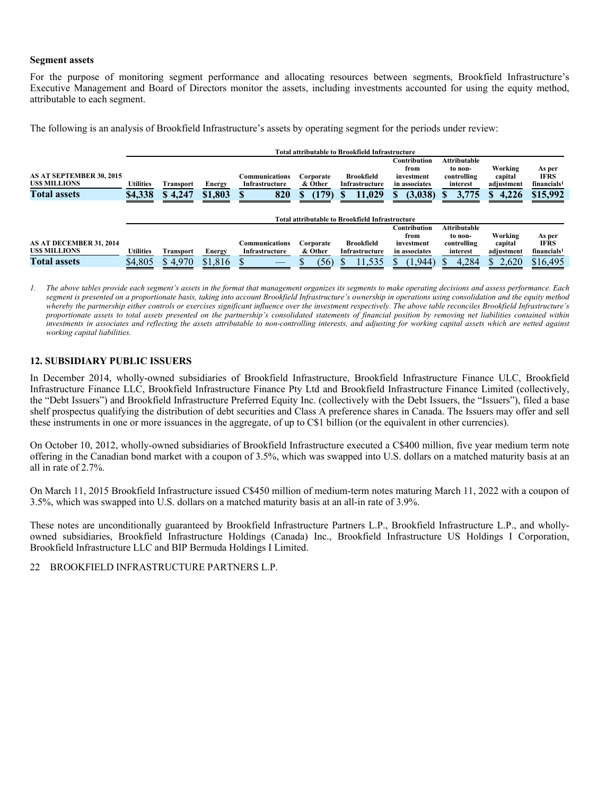#### **Segment assets**

For the purpose of monitoring segment performance and allocating resources between segments, Brookfield Infrastructure's Executive Management and Board of Directors monitor the assets, including investments accounted for using the equity method, attributable to each segment.

The following is an analysis of Brookfield Infrastructure's assets by operating segment for the periods under review:

|                                                                        |                             |                             |                   |                                         |                                      | <b>Total attributable to Brookfield Infrastructure</b> |                                                                       |                                                             |                                                 |                                                              |
|------------------------------------------------------------------------|-----------------------------|-----------------------------|-------------------|-----------------------------------------|--------------------------------------|--------------------------------------------------------|-----------------------------------------------------------------------|-------------------------------------------------------------|-------------------------------------------------|--------------------------------------------------------------|
| <b>AS AT SEPTEMBER 30, 2015</b><br>USS MILLIONS<br><b>Total assets</b> | <b>Utilities</b><br>\$4,338 | <b>Transport</b><br>\$4,247 | Energy<br>\$1,803 | Communications<br>Infrastructure<br>820 | Corporate<br>& Other<br>(179)<br>пD. | <b>Brookfield</b><br>Infrastructure<br>11,029<br>ъD    | Contribution<br>from<br>investment<br>in associates<br>(3,038)<br>пD. | Attributable<br>to non-<br>controlling<br>interest<br>3,775 | Working<br>capital<br>adjustment<br>4.226<br>D. | As per<br><b>IFRS</b><br>financials <sup>1</sup><br>\$15,992 |
|                                                                        |                             |                             |                   |                                         |                                      | <b>Total attributable to Brookfield Infrastructure</b> |                                                                       |                                                             |                                                 |                                                              |
| AS AT DECEMBER 31, 2014                                                |                             |                             |                   | Communications                          | Corporate                            | <b>Brookfield</b>                                      | Contribution<br>from<br>investment                                    | Attributable<br>to non-<br>controlling                      | Working<br>capital                              | As per<br><b>IFRS</b>                                        |
| USS MILLIONS                                                           | <b>Utilities</b>            | <b>Transport</b>            | Energy            | Infrastructure                          | & Other                              | Infrastructure                                         | in associates                                                         | interest                                                    | adjustment                                      | financials <sup>1</sup>                                      |
| <b>Total assets</b>                                                    | \$4,805                     | \$4,970                     | \$1,816           |                                         | (56)                                 | 11,535                                                 | (1, 944)                                                              | 4.284                                                       | 2.620<br>S.                                     | \$16,495                                                     |

*1. The above tables provide each segment's assets in the format that management organizes its segments to make operating decisions and assess performance. Each segment is presented on a proportionate basis, taking into account Brookfield Infrastructure's ownership in operations using consolidation and the equity method whereby the partnership either controls or exercises significant influence over the investment respectively. The above table reconciles Brookfield Infrastructure's proportionate assets to total assets presented on the partnership's consolidated statements of financial position by removing net liabilities contained within investments in associates and reflecting the assets attributable to non-controlling interests, and adjusting for working capital assets which are netted against working capital liabilities.* 

# **12. SUBSIDIARY PUBLIC ISSUERS**

In December 2014, wholly-owned subsidiaries of Brookfield Infrastructure, Brookfield Infrastructure Finance ULC, Brookfield Infrastructure Finance LLC, Brookfield Infrastructure Finance Pty Ltd and Brookfield Infrastructure Finance Limited (collectively, the "Debt Issuers") and Brookfield Infrastructure Preferred Equity Inc. (collectively with the Debt Issuers, the "Issuers"), filed a base shelf prospectus qualifying the distribution of debt securities and Class A preference shares in Canada. The Issuers may offer and sell these instruments in one or more issuances in the aggregate, of up to C\$1 billion (or the equivalent in other currencies).

On October 10, 2012, wholly-owned subsidiaries of Brookfield Infrastructure executed a C\$400 million, five year medium term note offering in the Canadian bond market with a coupon of 3.5%, which was swapped into U.S. dollars on a matched maturity basis at an all in rate of 2.7%.

On March 11, 2015 Brookfield Infrastructure issued C\$450 million of medium-term notes maturing March 11, 2022 with a coupon of 3.5%, which was swapped into U.S. dollars on a matched maturity basis at an all-in rate of 3.9%.

These notes are unconditionally guaranteed by Brookfield Infrastructure Partners L.P., Brookfield Infrastructure L.P., and whollyowned subsidiaries, Brookfield Infrastructure Holdings (Canada) Inc., Brookfield Infrastructure US Holdings I Corporation, Brookfield Infrastructure LLC and BIP Bermuda Holdings I Limited.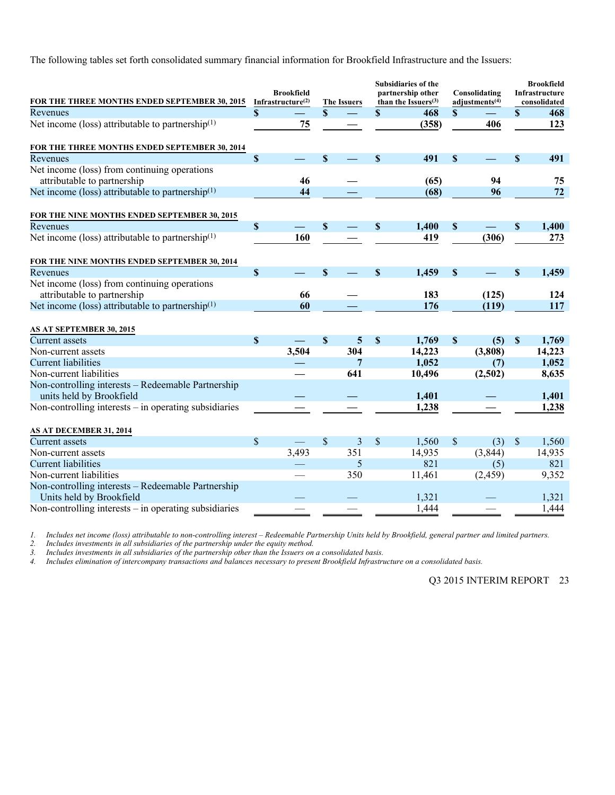The following tables set forth consolidated summary financial information for Brookfield Infrastructure and the Issuers:

| FOR THE THREE MONTHS ENDED SEPTEMBER 30, 2015                               | <b>Brookfield</b><br>Infrastructure $(2)$ |          | <b>The Issuers</b> |     |                           | Subsidiaries of the<br>partnership other<br>than the Issuers $(3)$ | Consolidating<br>adjustments $(4)$ | <b>Brookfield</b><br>Infrastructure<br>consolidated |        |
|-----------------------------------------------------------------------------|-------------------------------------------|----------|--------------------|-----|---------------------------|--------------------------------------------------------------------|------------------------------------|-----------------------------------------------------|--------|
| Revenues                                                                    | $\boldsymbol{\mathsf{S}}$                 |          | \$                 |     | \$                        | 468                                                                | \$                                 | $\mathbf S$                                         | 468    |
| Net income (loss) attributable to partnership $(1)$                         |                                           | 75       |                    |     |                           | (358)                                                              | 406                                |                                                     | 123    |
| FOR THE THREE MONTHS ENDED SEPTEMBER 30, 2014                               |                                           |          |                    |     |                           |                                                                    |                                    |                                                     |        |
| Revenues                                                                    | $\mathbf S$                               |          | $\mathbf{s}$       |     | $\boldsymbol{\mathsf{S}}$ | 491                                                                | \$                                 | \$                                                  | 491    |
| Net income (loss) from continuing operations<br>attributable to partnership |                                           | 46       |                    |     |                           | (65)                                                               | 94                                 |                                                     | 75     |
|                                                                             |                                           | 44       |                    |     |                           | (68)                                                               |                                    |                                                     | 72     |
| Net income (loss) attributable to partnership <sup>(1)</sup>                |                                           |          |                    |     |                           |                                                                    | 96                                 |                                                     |        |
| FOR THE NINE MONTHS ENDED SEPTEMBER 30, 2015                                |                                           |          |                    |     |                           |                                                                    |                                    |                                                     |        |
| Revenues                                                                    | $\boldsymbol{\mathsf{S}}$                 | $\equiv$ | S                  |     | \$                        | 1,400                                                              | \$                                 | $\boldsymbol{\mathsf{S}}$                           | 1,400  |
| Net income (loss) attributable to partnership <sup>(1)</sup>                |                                           | 160      |                    |     |                           | 419                                                                | (306)                              |                                                     | 273    |
| FOR THE NINE MONTHS ENDED SEPTEMBER 30, 2014                                |                                           |          |                    |     |                           |                                                                    |                                    |                                                     |        |
| Revenues                                                                    | $\mathbf S$                               |          | $\mathbf{s}$       |     | $\boldsymbol{\mathsf{S}}$ | 1,459                                                              | \$                                 | \$                                                  | 1,459  |
| Net income (loss) from continuing operations                                |                                           |          |                    |     |                           |                                                                    |                                    |                                                     |        |
| attributable to partnership                                                 |                                           | 66       |                    |     |                           | 183                                                                | (125)                              |                                                     | 124    |
| Net income (loss) attributable to partnership $(1)$                         |                                           | 60       |                    |     |                           | 176                                                                | (119)                              |                                                     | 117    |
| AS AT SEPTEMBER 30, 2015                                                    |                                           |          |                    |     |                           |                                                                    |                                    |                                                     |        |
| <b>Current</b> assets                                                       | $\mathbf S$                               |          | \$                 | 5   | $\mathbf S$               | 1,769                                                              | \$<br>(5)                          | $\mathbf S$                                         | 1,769  |
| Non-current assets                                                          |                                           | 3,504    |                    | 304 |                           | 14,223                                                             | (3,808)                            |                                                     | 14,223 |
| <b>Current liabilities</b>                                                  |                                           |          |                    | 7   |                           | 1,052                                                              | (7)                                |                                                     | 1,052  |
| Non-current liabilities                                                     |                                           |          |                    | 641 |                           | 10,496                                                             | (2,502)                            |                                                     | 8,635  |
| Non-controlling interests - Redeemable Partnership                          |                                           |          |                    |     |                           |                                                                    |                                    |                                                     |        |
| units held by Brookfield                                                    |                                           |          |                    |     |                           | 1,401                                                              |                                    |                                                     | 1,401  |
| Non-controlling interests $-$ in operating subsidiaries                     |                                           |          |                    |     |                           | 1,238                                                              |                                    |                                                     | 1,238  |
| AS AT DECEMBER 31, 2014                                                     |                                           |          |                    |     |                           |                                                                    |                                    |                                                     |        |
| <b>Current assets</b>                                                       | $\mathcal{S}$                             |          | \$                 | 3   | \$                        | 1,560                                                              | \$<br>(3)                          | $\sqrt{\ }$                                         | 1,560  |
| Non-current assets                                                          |                                           | 3,493    |                    | 351 |                           | 14,935                                                             | (3,844)                            |                                                     | 14,935 |
| <b>Current liabilities</b>                                                  |                                           |          |                    | 5   |                           | 821                                                                | (5)                                |                                                     | 821    |
| Non-current liabilities                                                     |                                           |          |                    | 350 |                           | 11,461                                                             | (2, 459)                           |                                                     | 9,352  |
| Non-controlling interests - Redeemable Partnership                          |                                           |          |                    |     |                           |                                                                    |                                    |                                                     |        |
| Units held by Brookfield                                                    |                                           |          |                    |     |                           | 1,321                                                              |                                    |                                                     | 1,321  |
| Non-controlling interests - in operating subsidiaries                       |                                           |          |                    |     |                           | 1,444                                                              |                                    |                                                     | 1,444  |

*1. Includes net income (loss) attributable to non-controlling interest – Redeemable Partnership Units held by Brookfield, general partner and limited partners.* 

*2. Includes investments in all subsidiaries of the partnership under the equity method.* 

*3. Includes investments in all subsidiaries of the partnership other than the Issuers on a consolidated basis.* 

*4. Includes elimination of intercompany transactions and balances necessary to present Brookfield Infrastructure on a consolidated basis.*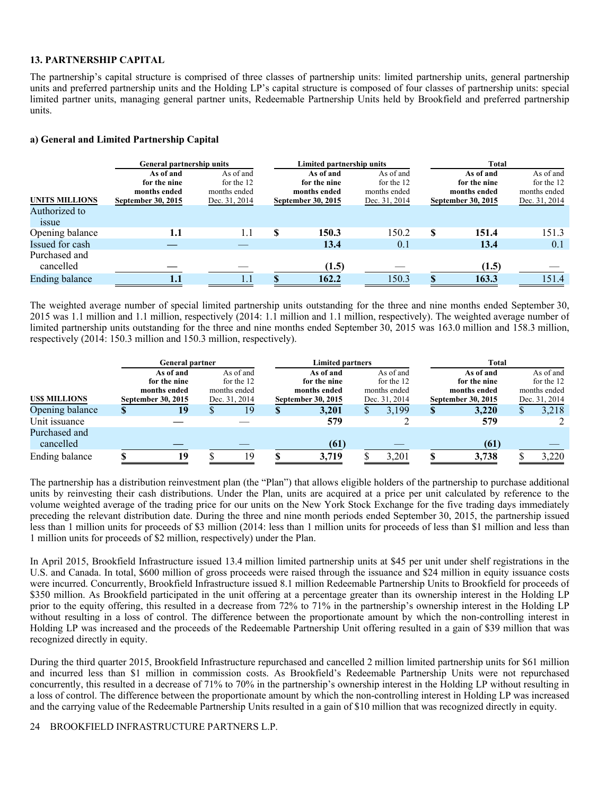#### **13. PARTNERSHIP CAPITAL**

The partnership's capital structure is comprised of three classes of partnership units: limited partnership units, general partnership units and preferred partnership units and the Holding LP's capital structure is composed of four classes of partnership units: special limited partner units, managing general partner units, Redeemable Partnership Units held by Brookfield and preferred partnership units.

#### **a) General and Limited Partnership Capital**

|                                                        | <b>General partnership units</b>                                |                                                          |   | Limited partnership units                                       |                                                          | <b>Total</b> |                                                                 |                                                          |  |  |  |
|--------------------------------------------------------|-----------------------------------------------------------------|----------------------------------------------------------|---|-----------------------------------------------------------------|----------------------------------------------------------|--------------|-----------------------------------------------------------------|----------------------------------------------------------|--|--|--|
| <b>UNITS MILLIONS</b><br>Authorized to<br><i>issue</i> | As of and<br>for the nine<br>months ended<br>September 30, 2015 | As of and<br>for the 12<br>months ended<br>Dec. 31, 2014 |   | As of and<br>for the nine<br>months ended<br>September 30, 2015 | As of and<br>for the 12<br>months ended<br>Dec. 31, 2014 |              | As of and<br>for the nine<br>months ended<br>September 30, 2015 | As of and<br>for the 12<br>months ended<br>Dec. 31, 2014 |  |  |  |
| Opening balance                                        | 1.1                                                             | 1.1                                                      | S | 150.3                                                           | 150.2                                                    | S            | 151.4                                                           | 151.3                                                    |  |  |  |
| Issued for cash                                        |                                                                 |                                                          |   | 13.4                                                            | 0.1                                                      |              | 13.4                                                            | 0.1                                                      |  |  |  |
| Purchased and<br>cancelled                             |                                                                 |                                                          |   | (1.5)                                                           |                                                          |              | (1.5)                                                           |                                                          |  |  |  |
| <b>Ending balance</b>                                  | 1.1                                                             |                                                          |   | 162.2                                                           | 150.3                                                    |              | 163.3                                                           | 151.4                                                    |  |  |  |

The weighted average number of special limited partnership units outstanding for the three and nine months ended September 30, 2015 was 1.1 million and 1.1 million, respectively (2014: 1.1 million and 1.1 million, respectively). The weighted average number of limited partnership units outstanding for the three and nine months ended September 30, 2015 was 163.0 million and 158.3 million, respectively (2014: 150.3 million and 150.3 million, respectively).

|                     |                    | <b>General partner</b> |            |               |   | <b>Limited partners</b> |    |               | <b>Total</b>  |                    |   |               |  |  |
|---------------------|--------------------|------------------------|------------|---------------|---|-------------------------|----|---------------|---------------|--------------------|---|---------------|--|--|
|                     |                    | As of and              |            | As of and     |   | As of and               |    | As of and     |               | As of and          |   | As of and     |  |  |
|                     |                    | for the nine           | for the 12 |               |   | for the nine            |    | for the 12    |               | for the nine       |   | for the 12    |  |  |
|                     |                    | months ended           |            | months ended  |   | months ended            |    | months ended  |               | months ended       |   | months ended  |  |  |
| <b>USS MILLIONS</b> | September 30, 2015 |                        |            | Dec. 31, 2014 |   | September 30, 2015      |    | Dec. 31, 2014 |               | September 30, 2015 |   | Dec. 31, 2014 |  |  |
| Opening balance     |                    | 19                     |            | 19            | ъ | 3,201                   | ۰D | 3,199         | <sup>\$</sup> | 3,220              | S | 3,218         |  |  |
| Unit issuance       |                    |                        |            |               |   | 579                     |    |               |               | 579                |   |               |  |  |
| Purchased and       |                    |                        |            |               |   |                         |    |               |               |                    |   |               |  |  |
| cancelled           |                    |                        |            |               |   | (61)                    |    |               |               | (61)               |   |               |  |  |
| Ending balance      |                    | 19                     |            | 19            |   | 3,719                   |    | 3,201         |               | 3,738              |   | 3,220         |  |  |

The partnership has a distribution reinvestment plan (the "Plan") that allows eligible holders of the partnership to purchase additional units by reinvesting their cash distributions. Under the Plan, units are acquired at a price per unit calculated by reference to the volume weighted average of the trading price for our units on the New York Stock Exchange for the five trading days immediately preceding the relevant distribution date. During the three and nine month periods ended September 30, 2015, the partnership issued less than 1 million units for proceeds of \$3 million (2014: less than 1 million units for proceeds of less than \$1 million and less than 1 million units for proceeds of \$2 million, respectively) under the Plan.

In April 2015, Brookfield Infrastructure issued 13.4 million limited partnership units at \$45 per unit under shelf registrations in the U.S. and Canada. In total, \$600 million of gross proceeds were raised through the issuance and \$24 million in equity issuance costs were incurred. Concurrently, Brookfield Infrastructure issued 8.1 million Redeemable Partnership Units to Brookfield for proceeds of \$350 million. As Brookfield participated in the unit offering at a percentage greater than its ownership interest in the Holding LP prior to the equity offering, this resulted in a decrease from 72% to 71% in the partnership's ownership interest in the Holding LP without resulting in a loss of control. The difference between the proportionate amount by which the non-controlling interest in Holding LP was increased and the proceeds of the Redeemable Partnership Unit offering resulted in a gain of \$39 million that was recognized directly in equity.

During the third quarter 2015, Brookfield Infrastructure repurchased and cancelled 2 million limited partnership units for \$61 million and incurred less than \$1 million in commission costs. As Brookfield's Redeemable Partnership Units were not repurchased concurrently, this resulted in a decrease of 71% to 70% in the partnership's ownership interest in the Holding LP without resulting in a loss of control. The difference between the proportionate amount by which the non-controlling interest in Holding LP was increased and the carrying value of the Redeemable Partnership Units resulted in a gain of \$10 million that was recognized directly in equity.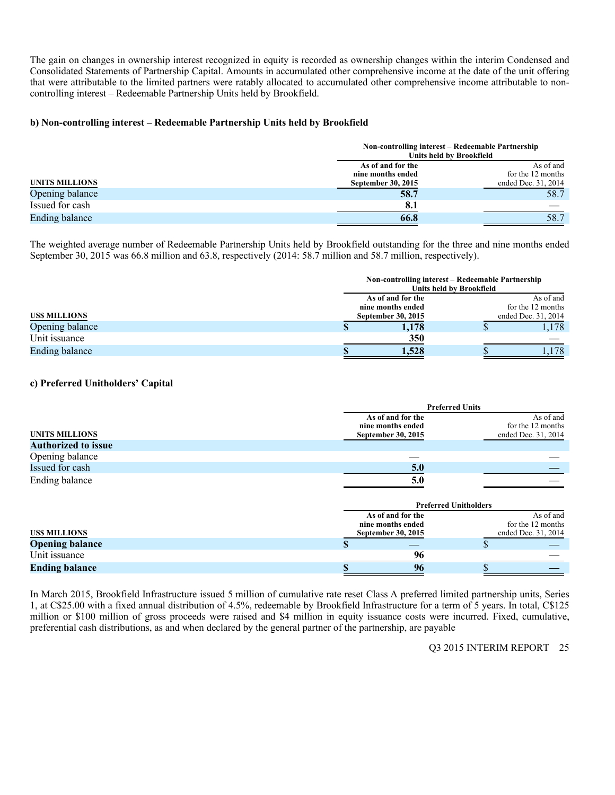The gain on changes in ownership interest recognized in equity is recorded as ownership changes within the interim Condensed and Consolidated Statements of Partnership Capital. Amounts in accumulated other comprehensive income at the date of the unit offering that were attributable to the limited partners were ratably allocated to accumulated other comprehensive income attributable to noncontrolling interest – Redeemable Partnership Units held by Brookfield.

#### **b) Non-controlling interest – Redeemable Partnership Units held by Brookfield**

|                       |                    | Non-controlling interest – Redeemable Partnership<br>Units held by Brookfield |
|-----------------------|--------------------|-------------------------------------------------------------------------------|
|                       | As of and for the  | As of and                                                                     |
|                       | nine months ended  | for the 12 months                                                             |
| <b>UNITS MILLIONS</b> | September 30, 2015 | ended Dec. 31, 2014                                                           |
| Opening balance       | 58.7               | 58.7                                                                          |
| Issued for cash       | 8.1                |                                                                               |
| Ending balance        | 66.8               | 58.7                                                                          |

The weighted average number of Redeemable Partnership Units held by Brookfield outstanding for the three and nine months ended September 30, 2015 was 66.8 million and 63.8, respectively (2014: 58.7 million and 58.7 million, respectively).

|                       |                           | Non-controlling interest – Redeemable Partnership<br>Units held by Brookfield |
|-----------------------|---------------------------|-------------------------------------------------------------------------------|
|                       | As of and for the         | As of and                                                                     |
|                       | nine months ended         | for the 12 months                                                             |
| <b>USS MILLIONS</b>   | <b>September 30, 2015</b> | ended Dec. 31, 2014                                                           |
| Opening balance       | 1.178                     | 1,178                                                                         |
| Unit issuance         | 350                       |                                                                               |
| <b>Ending balance</b> | 1,528                     | .178                                                                          |

## **c) Preferred Unitholders' Capital**

|                            | <b>Preferred Units</b>                 |                                |
|----------------------------|----------------------------------------|--------------------------------|
|                            | As of and for the<br>nine months ended | As of and<br>for the 12 months |
| <b>UNITS MILLIONS</b>      | September 30, 2015                     | ended Dec. 31, 2014            |
| <b>Authorized to issue</b> |                                        |                                |
| Opening balance            |                                        |                                |
| Issued for cash            | 5.0                                    |                                |
| Ending balance             | 5.0                                    |                                |
|                            |                                        |                                |
|                            | <b>Preferred Unitholders</b>           |                                |
|                            | As of and for the                      | As of and                      |
|                            | nine months ended                      | for the 12 months              |
| <b>USS MILLIONS</b>        | September 30, 2015                     | ended Dec. 31, 2014            |
| <b>Opening balance</b>     | S                                      |                                |
| Unit issuance              | 96                                     |                                |
| <b>Ending balance</b>      | 96                                     |                                |

In March 2015, Brookfield Infrastructure issued 5 million of cumulative rate reset Class A preferred limited partnership units, Series 1, at C\$25.00 with a fixed annual distribution of 4.5%, redeemable by Brookfield Infrastructure for a term of 5 years. In total, C\$125 million or \$100 million of gross proceeds were raised and \$4 million in equity issuance costs were incurred. Fixed, cumulative, preferential cash distributions, as and when declared by the general partner of the partnership, are payable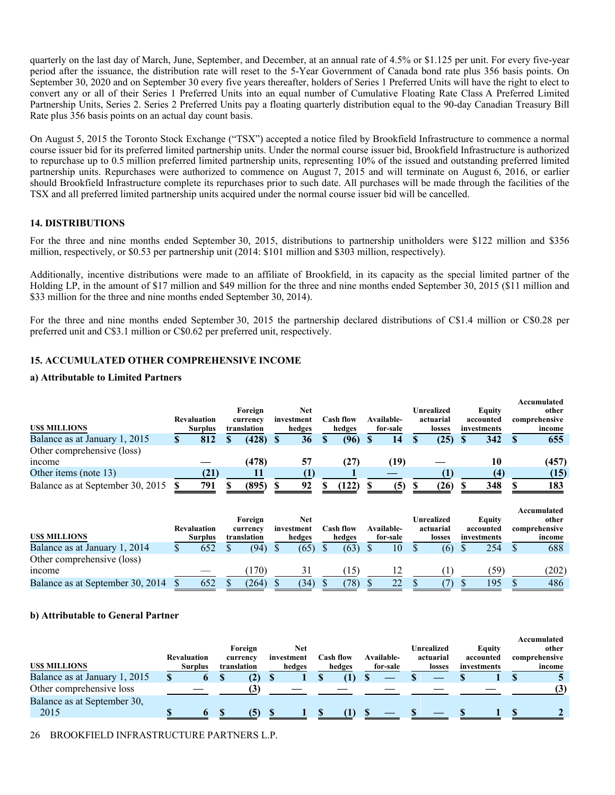quarterly on the last day of March, June, September, and December, at an annual rate of 4.5% or \$1.125 per unit. For every five-year period after the issuance, the distribution rate will reset to the 5-Year Government of Canada bond rate plus 356 basis points. On September 30, 2020 and on September 30 every five years thereafter, holders of Series 1 Preferred Units will have the right to elect to convert any or all of their Series 1 Preferred Units into an equal number of Cumulative Floating Rate Class A Preferred Limited Partnership Units, Series 2. Series 2 Preferred Units pay a floating quarterly distribution equal to the 90-day Canadian Treasury Bill Rate plus 356 basis points on an actual day count basis.

On August 5, 2015 the Toronto Stock Exchange ("TSX") accepted a notice filed by Brookfield Infrastructure to commence a normal course issuer bid for its preferred limited partnership units. Under the normal course issuer bid, Brookfield Infrastructure is authorized to repurchase up to 0.5 million preferred limited partnership units, representing 10% of the issued and outstanding preferred limited partnership units. Repurchases were authorized to commence on August 7, 2015 and will terminate on August 6, 2016, or earlier should Brookfield Infrastructure complete its repurchases prior to such date. All purchases will be made through the facilities of the TSX and all preferred limited partnership units acquired under the normal course issuer bid will be cancelled.

#### **14. DISTRIBUTIONS**

For the three and nine months ended September 30, 2015, distributions to partnership unitholders were \$122 million and \$356 million, respectively, or \$0.53 per partnership unit (2014: \$101 million and \$303 million, respectively).

Additionally, incentive distributions were made to an affiliate of Brookfield, in its capacity as the special limited partner of the Holding LP, in the amount of \$17 million and \$49 million for the three and nine months ended September 30, 2015 (\$11 million and \$33 million for the three and nine months ended September 30, 2014).

For the three and nine months ended September 30, 2015 the partnership declared distributions of C\$1.4 million or C\$0.28 per preferred unit and C\$3.1 million or C\$0.62 per preferred unit, respectively.

# **15. ACCUMULATED OTHER COMPREHENSIVE INCOME**

#### **a) Attributable to Limited Partners**

|                                     |   |                    |             |            |           |            |            |             | Accumulated   |
|-------------------------------------|---|--------------------|-------------|------------|-----------|------------|------------|-------------|---------------|
|                                     |   |                    | Foreign     | Net        |           |            | Unrealized | Equity      | other         |
|                                     |   | <b>Revaluation</b> | currency    | investment | Cash flow | Available- | actuarial  | accounted   | comprehensive |
| <b>USS MILLIONS</b>                 |   | <b>Surplus</b>     | translation | hedges     | hedges    | for-sale   | losses     | investments | income        |
| Balance as at January 1, 2015       | ъ | 812                | (428)       | 36         | (96)      | 14         | (25)       | 342         | 655           |
| Other comprehensive (loss)          |   |                    |             |            |           |            |            |             |               |
| <i>n</i> come                       |   |                    | (478)       | 57         | (27)      | (19        |            | 10          | (457)         |
| Other items (note 13)               |   | (21)               |             |            |           |            |            | (4)         | (15)          |
| Balance as at September 30, 2015 \$ |   | 791                | (895)       | 92         | (122)     | (5)        | (26)       | 348         | 183           |

|                                  |                                      | Foreign                 | Net                  |                            |                        | Unrealized          | Equity                   | Accumulated<br>other    |
|----------------------------------|--------------------------------------|-------------------------|----------------------|----------------------------|------------------------|---------------------|--------------------------|-------------------------|
| <b>USS MILLIONS</b>              | <b>Revaluation</b><br><b>Surplus</b> | currency<br>translation | investment<br>hedges | <b>Cash flow</b><br>hedges | Available-<br>for-sale | actuarial<br>losses | accounted<br>investments | comprehensive<br>income |
| Balance as at January 1, 2014    | 652                                  | (94)                    | (65)                 | (63)                       | 10                     | (6)                 | 254                      | 688                     |
| Other comprehensive (loss)       |                                      |                         |                      |                            |                        |                     |                          |                         |
| mcome                            |                                      | 170)                    |                      | 15                         |                        |                     | '59)                     | (202)                   |
| Balance as at September 30, 2014 | 652                                  | (264)                   | (34)                 | (78)                       |                        |                     | 195                      | 486                     |

#### **b) Attributable to General Partner**

|                               |                    |                |              |            |           |            |            |             | Accumulated   |
|-------------------------------|--------------------|----------------|--------------|------------|-----------|------------|------------|-------------|---------------|
|                               |                    |                | Foreign      | Net        |           |            | Unrealized | Equity      | other         |
|                               | <b>Revaluation</b> |                | currency     | investment | Cash flow | Available- | actuarial  | accounted   | comprehensive |
| <b>USS MILLIONS</b>           |                    | <b>Surplus</b> | translation  | hedges     | hedges    | for-sale   | losses     | investments | income        |
| Balance as at January 1, 2015 |                    |                | $\mathbf{2}$ |            |           |            |            |             |               |
| Other comprehensive loss      |                    |                |              |            |           |            |            |             | (3)           |
| Balance as at September 30,   |                    |                |              |            |           |            |            |             |               |
| 2015                          |                    |                |              |            |           |            |            |             |               |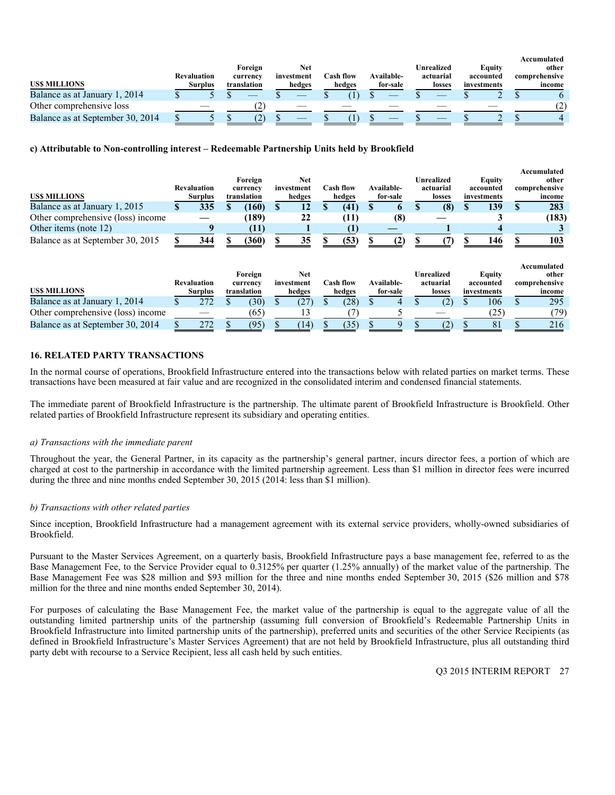| US\$ MILLIONS                    | <b>Revaluation</b><br><b>Surplus</b> | Foreign<br>currency<br>translation | Net<br>investment<br>hedges | <b>Cash flow</b><br>hedges | Available-<br>for-sale | Unrealized<br>actuarial<br>losses | <b>Equity</b><br>accounted<br>investments | Accumulated<br>other<br>comprehensive<br>income |
|----------------------------------|--------------------------------------|------------------------------------|-----------------------------|----------------------------|------------------------|-----------------------------------|-------------------------------------------|-------------------------------------------------|
| Balance as at January 1, 2014    |                                      |                                    |                             |                            |                        |                                   |                                           |                                                 |
| Other comprehensive loss         |                                      | $\angle$                           |                             |                            |                        |                                   |                                           |                                                 |
| Balance as at September 30, 2014 |                                      | تمكنه                              |                             |                            |                        |                                   |                                           |                                                 |

#### **c) Attributable to Non-controlling interest – Redeemable Partnership Units held by Brookfield**

|                                   |                    |                    |                     |             |   |                          |   |                  |            |                                |                            |   | Accumulated                           |
|-----------------------------------|--------------------|--------------------|---------------------|-------------|---|--------------------------|---|------------------|------------|--------------------------------|----------------------------|---|---------------------------------------|
|                                   |                    |                    |                     | Foreign     |   | <b>Net</b>               |   |                  |            | Unrealized                     | <b>Equity</b>              |   | other                                 |
|                                   |                    | <b>Revaluation</b> |                     | currency    |   | investment               |   | <b>Cash flow</b> | Available- | actuarial                      | accounted                  |   | comprehensive                         |
| <b>USS MILLIONS</b>               |                    | <b>Surplus</b>     |                     | translation |   | hedges                   |   | hedges           | for-sale   | losses                         | investments                |   | income                                |
| Balance as at January 1, 2015     | S                  | 335                |                     | (160)       | S | 12                       | S | (41)             |            | (8)                            | 139                        | S | 283                                   |
| Other comprehensive (loss) income |                    |                    |                     | (189)       |   | 22                       |   | (11)             | (8)        |                                |                            |   | (183)                                 |
| Other items (note 12)             |                    |                    |                     | (11)        |   |                          |   |                  |            |                                |                            |   |                                       |
| Balance as at September 30, 2015  |                    | 344                |                     | (360)       |   | 35                       |   | (53)             | (2)        |                                | 146                        |   | 103                                   |
|                                   | <b>Revaluation</b> |                    | Foreign<br>currency |             |   | <b>Net</b><br>investment |   | <b>Cash flow</b> | Available- | <b>Unrealized</b><br>actuarial | <b>Equity</b><br>accounted |   | Accumulated<br>other<br>comprehensive |
| <b>USS MILLIONS</b>               |                    | <b>Surplus</b>     |                     | translation |   | hedges                   |   | hedges           | for-sale   | losses                         | investments                |   | income                                |
| Balance as at January 1, 2014     | S                  | 272                |                     | (30)        |   | (27)                     | D | (28)             | 4          | (2)                            | 106                        |   | 295                                   |
| Other comprehensive (loss) income |                    |                    |                     | (65)        |   | 13                       |   |                  |            |                                | (25)                       |   | (79)                                  |
| Balance as at September 30, 2014  |                    | 272                |                     | (95)        |   | (14)                     |   | (35)             |            | (2)                            | 81                         |   | 216                                   |

#### **16. RELATED PARTY TRANSACTIONS**

In the normal course of operations, Brookfield Infrastructure entered into the transactions below with related parties on market terms. These transactions have been measured at fair value and are recognized in the consolidated interim and condensed financial statements.

The immediate parent of Brookfield Infrastructure is the partnership. The ultimate parent of Brookfield Infrastructure is Brookfield. Other related parties of Brookfield Infrastructure represent its subsidiary and operating entities.

#### *a) Transactions with the immediate parent*

Throughout the year, the General Partner, in its capacity as the partnership's general partner, incurs director fees, a portion of which are charged at cost to the partnership in accordance with the limited partnership agreement. Less than \$1 million in director fees were incurred during the three and nine months ended September 30, 2015 (2014: less than \$1 million).

#### *b) Transactions with other related parties*

Since inception, Brookfield Infrastructure had a management agreement with its external service providers, wholly-owned subsidiaries of Brookfield.

Pursuant to the Master Services Agreement, on a quarterly basis, Brookfield Infrastructure pays a base management fee, referred to as the Base Management Fee, to the Service Provider equal to 0.3125% per quarter (1.25% annually) of the market value of the partnership. The Base Management Fee was \$28 million and \$93 million for the three and nine months ended September 30, 2015 (\$26 million and \$78 million for the three and nine months ended September 30, 2014).

For purposes of calculating the Base Management Fee, the market value of the partnership is equal to the aggregate value of all the outstanding limited partnership units of the partnership (assuming full conversion of Brookfield's Redeemable Partnership Units in Brookfield Infrastructure into limited partnership units of the partnership), preferred units and securities of the other Service Recipients (as defined in Brookfield Infrastructure's Master Services Agreement) that are not held by Brookfield Infrastructure, plus all outstanding third party debt with recourse to a Service Recipient, less all cash held by such entities.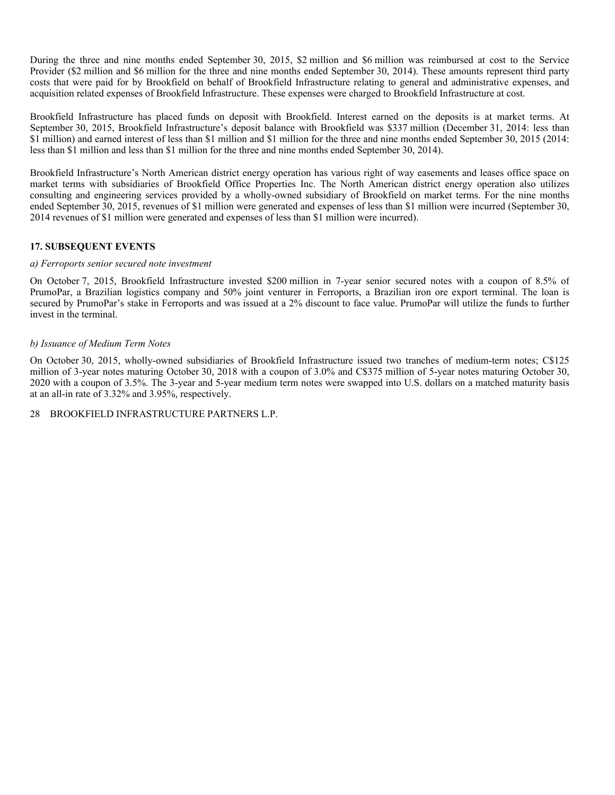During the three and nine months ended September 30, 2015, \$2 million and \$6 million was reimbursed at cost to the Service Provider (\$2 million and \$6 million for the three and nine months ended September 30, 2014). These amounts represent third party costs that were paid for by Brookfield on behalf of Brookfield Infrastructure relating to general and administrative expenses, and acquisition related expenses of Brookfield Infrastructure. These expenses were charged to Brookfield Infrastructure at cost.

Brookfield Infrastructure has placed funds on deposit with Brookfield. Interest earned on the deposits is at market terms. At September 30, 2015, Brookfield Infrastructure's deposit balance with Brookfield was \$337 million (December 31, 2014: less than \$1 million) and earned interest of less than \$1 million and \$1 million for the three and nine months ended September 30, 2015 (2014: less than \$1 million and less than \$1 million for the three and nine months ended September 30, 2014).

Brookfield Infrastructure's North American district energy operation has various right of way easements and leases office space on market terms with subsidiaries of Brookfield Office Properties Inc. The North American district energy operation also utilizes consulting and engineering services provided by a wholly-owned subsidiary of Brookfield on market terms. For the nine months ended September 30, 2015, revenues of \$1 million were generated and expenses of less than \$1 million were incurred (September 30, 2014 revenues of \$1 million were generated and expenses of less than \$1 million were incurred).

# **17. SUBSEQUENT EVENTS**

#### *a) Ferroports senior secured note investment*

On October 7, 2015, Brookfield Infrastructure invested \$200 million in 7-year senior secured notes with a coupon of 8.5% of PrumoPar, a Brazilian logistics company and 50% joint venturer in Ferroports, a Brazilian iron ore export terminal. The loan is secured by PrumoPar's stake in Ferroports and was issued at a 2% discount to face value. PrumoPar will utilize the funds to further invest in the terminal.

#### *b) Issuance of Medium Term Notes*

On October 30, 2015, wholly-owned subsidiaries of Brookfield Infrastructure issued two tranches of medium-term notes; C\$125 million of 3-year notes maturing October 30, 2018 with a coupon of 3.0% and C\$375 million of 5-year notes maturing October 30, 2020 with a coupon of 3.5%. The 3-year and 5-year medium term notes were swapped into U.S. dollars on a matched maturity basis at an all-in rate of 3.32% and 3.95%, respectively.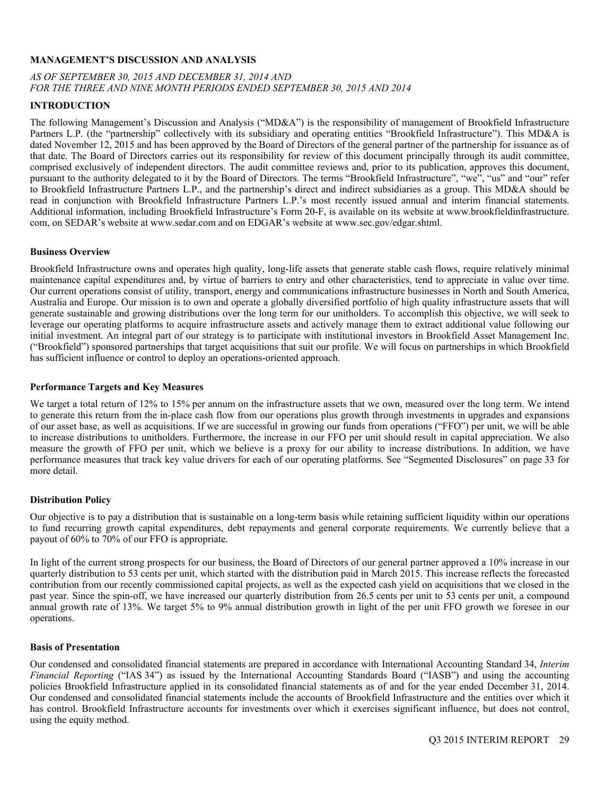#### **MANAGEMENT'S DISCUSSION AND ANALYSIS**

# *AS OF SEPTEMBER 30, 2015 AND DECEMBER 31, 2014 AND FOR THE THREE AND NINE MONTH PERIODS ENDED SEPTEMBER 30, 2015 AND 2014*

# **INTRODUCTION**

The following Management's Discussion and Analysis ("MD&A") is the responsibility of management of Brookfield Infrastructure Partners L.P. (the "partnership" collectively with its subsidiary and operating entities "Brookfield Infrastructure"). This MD&A is dated November 12, 2015 and has been approved by the Board of Directors of the general partner of the partnership for issuance as of that date. The Board of Directors carries out its responsibility for review of this document principally through its audit committee, comprised exclusively of independent directors. The audit committee reviews and, prior to its publication, approves this document, pursuant to the authority delegated to it by the Board of Directors. The terms "Brookfield Infrastructure", "we", "us" and "our" refer to Brookfield Infrastructure Partners L.P., and the partnership's direct and indirect subsidiaries as a group. This MD&A should be read in conjunction with Brookfield Infrastructure Partners L.P.'s most recently issued annual and interim financial statements. Additional information, including Brookfield Infrastructure's Form 20-F, is available on its website at www.brookfieldinfrastructure. com, on SEDAR's website at www.sedar.com and on EDGAR's website at www.sec.gov/edgar.shtml.

#### **Business Overview**

Brookfield Infrastructure owns and operates high quality, long-life assets that generate stable cash flows, require relatively minimal maintenance capital expenditures and, by virtue of barriers to entry and other characteristics, tend to appreciate in value over time. Our current operations consist of utility, transport, energy and communications infrastructure businesses in North and South America, Australia and Europe. Our mission is to own and operate a globally diversified portfolio of high quality infrastructure assets that will generate sustainable and growing distributions over the long term for our unitholders. To accomplish this objective, we will seek to leverage our operating platforms to acquire infrastructure assets and actively manage them to extract additional value following our initial investment. An integral part of our strategy is to participate with institutional investors in Brookfield Asset Management Inc. ("Brookfield") sponsored partnerships that target acquisitions that suit our profile. We will focus on partnerships in which Brookfield has sufficient influence or control to deploy an operations-oriented approach.

#### **Performance Targets and Key Measures**

We target a total return of 12% to 15% per annum on the infrastructure assets that we own, measured over the long term. We intend to generate this return from the in-place cash flow from our operations plus growth through investments in upgrades and expansions of our asset base, as well as acquisitions. If we are successful in growing our funds from operations ("FFO") per unit, we will be able to increase distributions to unitholders. Furthermore, the increase in our FFO per unit should result in capital appreciation. We also measure the growth of FFO per unit, which we believe is a proxy for our ability to increase distributions. In addition, we have performance measures that track key value drivers for each of our operating platforms. See "Segmented Disclosures" on page 33 for more detail.

#### **Distribution Policy**

Our objective is to pay a distribution that is sustainable on a long-term basis while retaining sufficient liquidity within our operations to fund recurring growth capital expenditures, debt repayments and general corporate requirements. We currently believe that a payout of 60% to 70% of our FFO is appropriate.

In light of the current strong prospects for our business, the Board of Directors of our general partner approved a 10% increase in our quarterly distribution to 53 cents per unit, which started with the distribution paid in March 2015. This increase reflects the forecasted contribution from our recently commissioned capital projects, as well as the expected cash yield on acquisitions that we closed in the past year. Since the spin-off, we have increased our quarterly distribution from 26.5 cents per unit to 53 cents per unit, a compound annual growth rate of 13%. We target 5% to 9% annual distribution growth in light of the per unit FFO growth we foresee in our operations.

#### **Basis of Presentation**

Our condensed and consolidated financial statements are prepared in accordance with International Accounting Standard 34, *Interim Financial Reporting* ("IAS 34") as issued by the International Accounting Standards Board ("IASB") and using the accounting policies Brookfield Infrastructure applied in its consolidated financial statements as of and for the year ended December 31, 2014. Our condensed and consolidated financial statements include the accounts of Brookfield Infrastructure and the entities over which it has control. Brookfield Infrastructure accounts for investments over which it exercises significant influence, but does not control, using the equity method.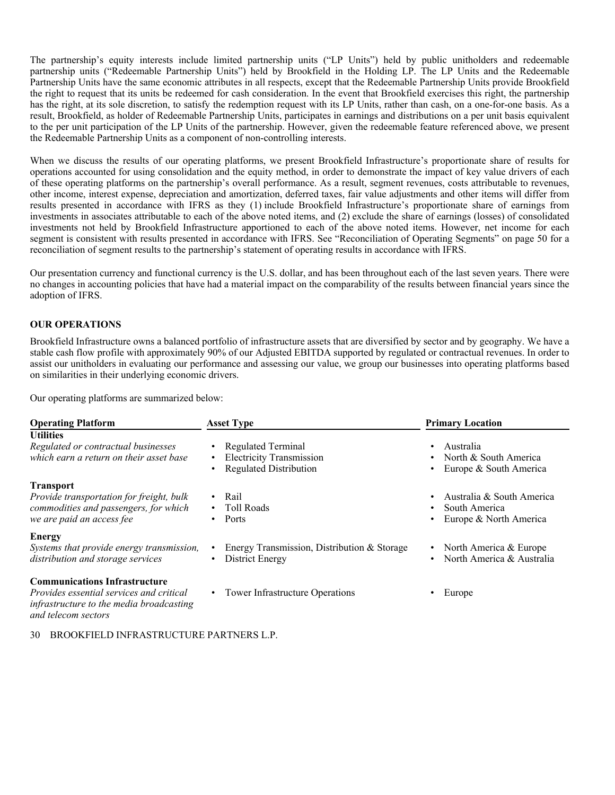The partnership's equity interests include limited partnership units ("LP Units") held by public unitholders and redeemable partnership units ("Redeemable Partnership Units") held by Brookfield in the Holding LP. The LP Units and the Redeemable Partnership Units have the same economic attributes in all respects, except that the Redeemable Partnership Units provide Brookfield the right to request that its units be redeemed for cash consideration. In the event that Brookfield exercises this right, the partnership has the right, at its sole discretion, to satisfy the redemption request with its LP Units, rather than cash, on a one-for-one basis. As a result, Brookfield, as holder of Redeemable Partnership Units, participates in earnings and distributions on a per unit basis equivalent to the per unit participation of the LP Units of the partnership. However, given the redeemable feature referenced above, we present the Redeemable Partnership Units as a component of non-controlling interests.

When we discuss the results of our operating platforms, we present Brookfield Infrastructure's proportionate share of results for operations accounted for using consolidation and the equity method, in order to demonstrate the impact of key value drivers of each of these operating platforms on the partnership's overall performance. As a result, segment revenues, costs attributable to revenues, other income, interest expense, depreciation and amortization, deferred taxes, fair value adjustments and other items will differ from results presented in accordance with IFRS as they (1) include Brookfield Infrastructure's proportionate share of earnings from investments in associates attributable to each of the above noted items, and (2) exclude the share of earnings (losses) of consolidated investments not held by Brookfield Infrastructure apportioned to each of the above noted items. However, net income for each segment is consistent with results presented in accordance with IFRS. See "Reconciliation of Operating Segments" on page 50 for a reconciliation of segment results to the partnership's statement of operating results in accordance with IFRS.

Our presentation currency and functional currency is the U.S. dollar, and has been throughout each of the last seven years. There were no changes in accounting policies that have had a material impact on the comparability of the results between financial years since the adoption of IFRS.

#### **OUR OPERATIONS**

Brookfield Infrastructure owns a balanced portfolio of infrastructure assets that are diversified by sector and by geography. We have a stable cash flow profile with approximately 90% of our Adjusted EBITDA supported by regulated or contractual revenues. In order to assist our unitholders in evaluating our performance and assessing our value, we group our businesses into operating platforms based on similarities in their underlying economic drivers.

Our operating platforms are summarized below:

| <b>Operating Platform</b>                                                                                                                                  | <b>Asset Type</b>                                                                                                            | <b>Primary Location</b>                                                     |  |  |  |  |  |
|------------------------------------------------------------------------------------------------------------------------------------------------------------|------------------------------------------------------------------------------------------------------------------------------|-----------------------------------------------------------------------------|--|--|--|--|--|
| <b>Utilities</b><br>Regulated or contractual businesses<br>which earn a return on their asset base                                                         | <b>Regulated Terminal</b><br>$\bullet$<br><b>Electricity Transmission</b><br>$\bullet$<br><b>Regulated Distribution</b><br>٠ | Australia<br>North & South America<br>Europe & South America                |  |  |  |  |  |
| <b>Transport</b><br>Provide transportation for freight, bulk<br>commodities and passengers, for which<br>we are paid an access fee                         | Rail<br>$\bullet$<br><b>Toll Roads</b><br>$\bullet$<br>Ports<br>٠                                                            | Australia & South America<br>South America<br>Europe & North America        |  |  |  |  |  |
| <b>Energy</b><br>Systems that provide energy transmission,<br>distribution and storage services                                                            | Energy Transmission, Distribution & Storage<br>$\bullet$<br>District Energy<br>٠                                             | • North America $& \text{Europe}$<br>North America & Australia<br>$\bullet$ |  |  |  |  |  |
| <b>Communications Infrastructure</b><br><i>Provides essential services and critical</i><br>infrastructure to the media broadcasting<br>and telecom sectors | • Tower Infrastructure Operations                                                                                            | Europe                                                                      |  |  |  |  |  |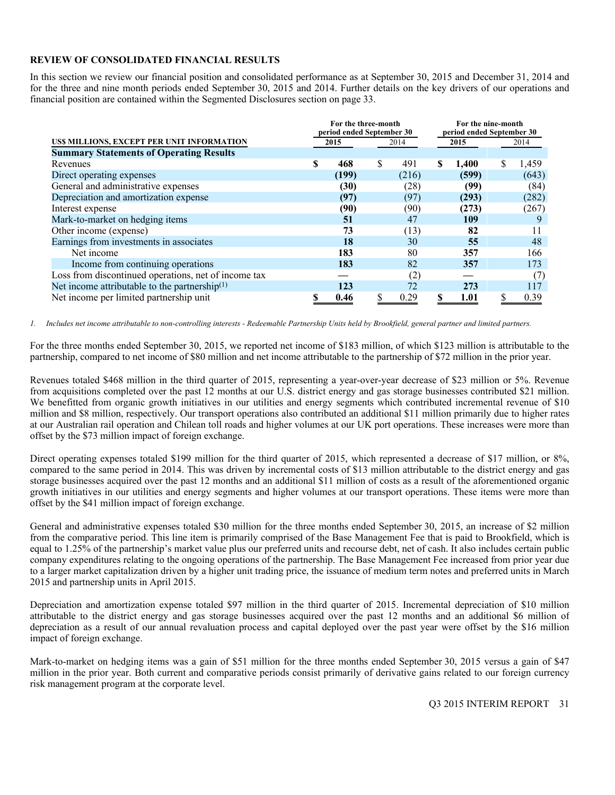#### **REVIEW OF CONSOLIDATED FINANCIAL RESULTS**

In this section we review our financial position and consolidated performance as at September 30, 2015 and December 31, 2014 and for the three and nine month periods ended September 30, 2015 and 2014. Further details on the key drivers of our operations and financial position are contained within the Segmented Disclosures section on page 33.

|                                                           | For the three-month       |   |       | For the nine-month |                           |      |       |  |
|-----------------------------------------------------------|---------------------------|---|-------|--------------------|---------------------------|------|-------|--|
|                                                           | period ended September 30 |   |       |                    | period ended September 30 |      |       |  |
| US\$ MILLIONS, EXCEPT PER UNIT INFORMATION                | 2015                      |   | 2014  |                    | 2015                      | 2014 |       |  |
| <b>Summary Statements of Operating Results</b>            |                           |   |       |                    |                           |      |       |  |
| Revenues                                                  | \$<br>468                 | S | 491   | S                  | 1,400                     | S    | 1,459 |  |
| Direct operating expenses                                 | (199)                     |   | (216) |                    | (599)                     |      | (643) |  |
| General and administrative expenses                       | (30)                      |   | (28)  |                    | (99)                      |      | (84)  |  |
| Depreciation and amortization expense                     | (97)                      |   | (97)  |                    | (293)                     |      | (282) |  |
| Interest expense                                          | (90)                      |   | (90)  |                    | (273)                     |      | (267) |  |
| Mark-to-market on hedging items                           | 51                        |   | 47    |                    | 109                       |      | 9     |  |
| Other income (expense)                                    | 73                        |   | (13)  |                    | 82                        |      | 11    |  |
| Earnings from investments in associates                   | 18                        |   | 30    |                    | 55                        |      | 48    |  |
| Net income                                                | 183                       |   | 80    |                    | 357                       |      | 166   |  |
| Income from continuing operations                         | 183                       |   | 82    |                    | 357                       |      | 173   |  |
| Loss from discontinued operations, net of income tax      |                           |   | (2)   |                    |                           |      | (7)   |  |
| Net income attributable to the partnership <sup>(1)</sup> | 123                       |   | 72    |                    | 273                       |      | 117   |  |
| Net income per limited partnership unit                   | 0.46                      |   | 0.29  |                    | 1.01                      |      | 0.39  |  |

*1. Includes net income attributable to non-controlling interests - Redeemable Partnership Units held by Brookfield, general partner and limited partners.* 

For the three months ended September 30, 2015, we reported net income of \$183 million, of which \$123 million is attributable to the partnership, compared to net income of \$80 million and net income attributable to the partnership of \$72 million in the prior year.

Revenues totaled \$468 million in the third quarter of 2015, representing a year-over-year decrease of \$23 million or 5%. Revenue from acquisitions completed over the past 12 months at our U.S. district energy and gas storage businesses contributed \$21 million. We benefitted from organic growth initiatives in our utilities and energy segments which contributed incremental revenue of \$10 million and \$8 million, respectively. Our transport operations also contributed an additional \$11 million primarily due to higher rates at our Australian rail operation and Chilean toll roads and higher volumes at our UK port operations. These increases were more than offset by the \$73 million impact of foreign exchange.

Direct operating expenses totaled \$199 million for the third quarter of 2015, which represented a decrease of \$17 million, or 8%, compared to the same period in 2014. This was driven by incremental costs of \$13 million attributable to the district energy and gas storage businesses acquired over the past 12 months and an additional \$11 million of costs as a result of the aforementioned organic growth initiatives in our utilities and energy segments and higher volumes at our transport operations. These items were more than offset by the \$41 million impact of foreign exchange.

General and administrative expenses totaled \$30 million for the three months ended September 30, 2015, an increase of \$2 million from the comparative period. This line item is primarily comprised of the Base Management Fee that is paid to Brookfield, which is equal to 1.25% of the partnership's market value plus our preferred units and recourse debt, net of cash. It also includes certain public company expenditures relating to the ongoing operations of the partnership. The Base Management Fee increased from prior year due to a larger market capitalization driven by a higher unit trading price, the issuance of medium term notes and preferred units in March 2015 and partnership units in April 2015.

Depreciation and amortization expense totaled \$97 million in the third quarter of 2015. Incremental depreciation of \$10 million attributable to the district energy and gas storage businesses acquired over the past 12 months and an additional \$6 million of depreciation as a result of our annual revaluation process and capital deployed over the past year were offset by the \$16 million impact of foreign exchange.

Mark-to-market on hedging items was a gain of \$51 million for the three months ended September 30, 2015 versus a gain of \$47 million in the prior year. Both current and comparative periods consist primarily of derivative gains related to our foreign currency risk management program at the corporate level.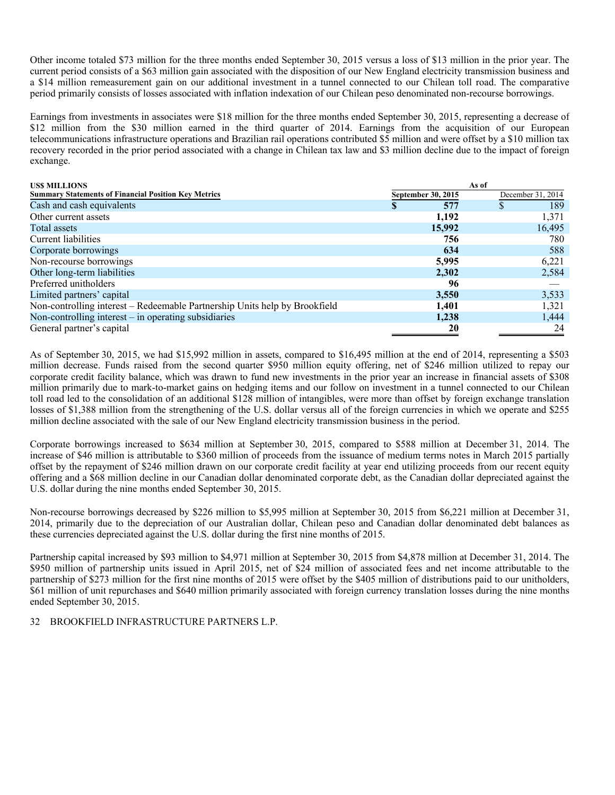Other income totaled \$73 million for the three months ended September 30, 2015 versus a loss of \$13 million in the prior year. The current period consists of a \$63 million gain associated with the disposition of our New England electricity transmission business and a \$14 million remeasurement gain on our additional investment in a tunnel connected to our Chilean toll road. The comparative period primarily consists of losses associated with inflation indexation of our Chilean peso denominated non-recourse borrowings.

Earnings from investments in associates were \$18 million for the three months ended September 30, 2015, representing a decrease of \$12 million from the \$30 million earned in the third quarter of 2014. Earnings from the acquisition of our European telecommunications infrastructure operations and Brazilian rail operations contributed \$5 million and were offset by a \$10 million tax recovery recorded in the prior period associated with a change in Chilean tax law and \$3 million decline due to the impact of foreign exchange.

| <b>USS MILLIONS</b>                                                        |                    | As of             |
|----------------------------------------------------------------------------|--------------------|-------------------|
| <b>Summary Statements of Financial Position Key Metrics</b>                | September 30, 2015 | December 31, 2014 |
| Cash and cash equivalents                                                  | 577<br>S           | 189<br>D          |
| Other current assets                                                       | 1,192              | 1,371             |
| Total assets                                                               | 15,992             | 16,495            |
| Current liabilities                                                        | 756                | 780               |
| Corporate borrowings                                                       | 634                | 588               |
| Non-recourse borrowings                                                    | 5,995              | 6,221             |
| Other long-term liabilities                                                | 2,302              | 2,584             |
| Preferred unitholders                                                      | 96                 |                   |
| Limited partners' capital                                                  | 3,550              | 3,533             |
| Non-controlling interest – Redeemable Partnership Units help by Brookfield | 1,401              | 1,321             |
| Non-controlling interest $-$ in operating subsidiaries                     | 1,238              | 1,444             |
| General partner's capital                                                  | 20                 | 24                |

As of September 30, 2015, we had \$15,992 million in assets, compared to \$16,495 million at the end of 2014, representing a \$503 million decrease. Funds raised from the second quarter \$950 million equity offering, net of \$246 million utilized to repay our corporate credit facility balance, which was drawn to fund new investments in the prior year an increase in financial assets of \$308 million primarily due to mark-to-market gains on hedging items and our follow on investment in a tunnel connected to our Chilean toll road led to the consolidation of an additional \$128 million of intangibles, were more than offset by foreign exchange translation losses of \$1,388 million from the strengthening of the U.S. dollar versus all of the foreign currencies in which we operate and \$255 million decline associated with the sale of our New England electricity transmission business in the period.

Corporate borrowings increased to \$634 million at September 30, 2015, compared to \$588 million at December 31, 2014. The increase of \$46 million is attributable to \$360 million of proceeds from the issuance of medium terms notes in March 2015 partially offset by the repayment of \$246 million drawn on our corporate credit facility at year end utilizing proceeds from our recent equity offering and a \$68 million decline in our Canadian dollar denominated corporate debt, as the Canadian dollar depreciated against the U.S. dollar during the nine months ended September 30, 2015.

Non-recourse borrowings decreased by \$226 million to \$5,995 million at September 30, 2015 from \$6,221 million at December 31, 2014, primarily due to the depreciation of our Australian dollar, Chilean peso and Canadian dollar denominated debt balances as these currencies depreciated against the U.S. dollar during the first nine months of 2015.

Partnership capital increased by \$93 million to \$4,971 million at September 30, 2015 from \$4,878 million at December 31, 2014. The \$950 million of partnership units issued in April 2015, net of \$24 million of associated fees and net income attributable to the partnership of \$273 million for the first nine months of 2015 were offset by the \$405 million of distributions paid to our unitholders, \$61 million of unit repurchases and \$640 million primarily associated with foreign currency translation losses during the nine months ended September 30, 2015.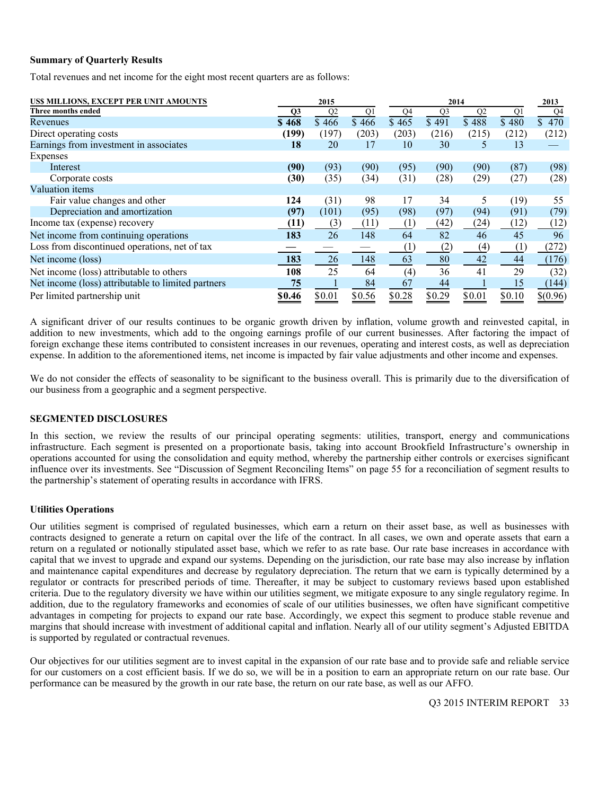#### **Summary of Quarterly Results**

Total revenues and net income for the eight most recent quarters are as follows:

| US\$ MILLIONS, EXCEPT PER UNIT AMOUNTS             |                | 2015           |        |                | 2014           |                |        |          |  |  |  |  |
|----------------------------------------------------|----------------|----------------|--------|----------------|----------------|----------------|--------|----------|--|--|--|--|
| Three months ended                                 | Q <sub>3</sub> | Q <sub>2</sub> | Q1     | Q <sub>4</sub> | Q <sub>3</sub> | Q <sub>2</sub> | Q1     | Q4       |  |  |  |  |
| Revenues                                           | \$468          | \$466          | \$466  | \$465          | \$491          | \$488          | \$480  | \$470    |  |  |  |  |
| Direct operating costs                             | (199)          | (197)          | (203)  | (203)          | (216)          | (215)          | (212)  | (212)    |  |  |  |  |
| Earnings from investment in associates             | 18             | 20             | 17     | 10             | 30             | 5              | 13     |          |  |  |  |  |
| Expenses                                           |                |                |        |                |                |                |        |          |  |  |  |  |
| Interest                                           | (90)           | (93)           | (90)   | (95)           | (90)           | (90)           | (87)   | (98)     |  |  |  |  |
| Corporate costs                                    | (30)           | (35)           | (34)   | (31)           | (28)           | (29)           | (27)   | (28)     |  |  |  |  |
| Valuation items                                    |                |                |        |                |                |                |        |          |  |  |  |  |
| Fair value changes and other                       | 124            | (31)           | 98     | 17             | 34             | 5              | (19)   | 55       |  |  |  |  |
| Depreciation and amortization                      | (97)           | (101)          | (95)   | (98)           | (97)           | (94)           | (91)   | (79)     |  |  |  |  |
| Income tax (expense) recovery                      | (11)           | (3)            | (11)   | (1)            | (42)           | (24)           | (12)   | (12)     |  |  |  |  |
| Net income from continuing operations              | 183            | 26             | 148    | 64             | 82             | 46             | 45     | 96       |  |  |  |  |
| Loss from discontinued operations, net of tax      |                |                |        | (1)            | (2)            | (4)            | (1)    | (272)    |  |  |  |  |
| Net income (loss)                                  | 183            | 26             | 148    | 63             | 80             | 42             | 44     | (176)    |  |  |  |  |
| Net income (loss) attributable to others           | 108            | 25             | 64     | (4)            | 36             | 41             | 29     | (32)     |  |  |  |  |
| Net income (loss) attributable to limited partners | 75             |                | 84     | 67             | 44             |                | 15     | (144)    |  |  |  |  |
| Per limited partnership unit                       | \$0.46         | \$0.01         | \$0.56 | \$0.28         | \$0.29         | \$0.01         | \$0.10 | \$(0.96) |  |  |  |  |

A significant driver of our results continues to be organic growth driven by inflation, volume growth and reinvested capital, in addition to new investments, which add to the ongoing earnings profile of our current businesses. After factoring the impact of foreign exchange these items contributed to consistent increases in our revenues, operating and interest costs, as well as depreciation expense. In addition to the aforementioned items, net income is impacted by fair value adjustments and other income and expenses.

We do not consider the effects of seasonality to be significant to the business overall. This is primarily due to the diversification of our business from a geographic and a segment perspective.

#### **SEGMENTED DISCLOSURES**

In this section, we review the results of our principal operating segments: utilities, transport, energy and communications infrastructure. Each segment is presented on a proportionate basis, taking into account Brookfield Infrastructure's ownership in operations accounted for using the consolidation and equity method, whereby the partnership either controls or exercises significant influence over its investments. See "Discussion of Segment Reconciling Items" on page 55 for a reconciliation of segment results to the partnership's statement of operating results in accordance with IFRS.

#### **Utilities Operations**

Our utilities segment is comprised of regulated businesses, which earn a return on their asset base, as well as businesses with contracts designed to generate a return on capital over the life of the contract. In all cases, we own and operate assets that earn a return on a regulated or notionally stipulated asset base, which we refer to as rate base. Our rate base increases in accordance with capital that we invest to upgrade and expand our systems. Depending on the jurisdiction, our rate base may also increase by inflation and maintenance capital expenditures and decrease by regulatory depreciation. The return that we earn is typically determined by a regulator or contracts for prescribed periods of time. Thereafter, it may be subject to customary reviews based upon established criteria. Due to the regulatory diversity we have within our utilities segment, we mitigate exposure to any single regulatory regime. In addition, due to the regulatory frameworks and economies of scale of our utilities businesses, we often have significant competitive advantages in competing for projects to expand our rate base. Accordingly, we expect this segment to produce stable revenue and margins that should increase with investment of additional capital and inflation. Nearly all of our utility segment's Adjusted EBITDA is supported by regulated or contractual revenues.

Our objectives for our utilities segment are to invest capital in the expansion of our rate base and to provide safe and reliable service for our customers on a cost efficient basis. If we do so, we will be in a position to earn an appropriate return on our rate base. Our performance can be measured by the growth in our rate base, the return on our rate base, as well as our AFFO.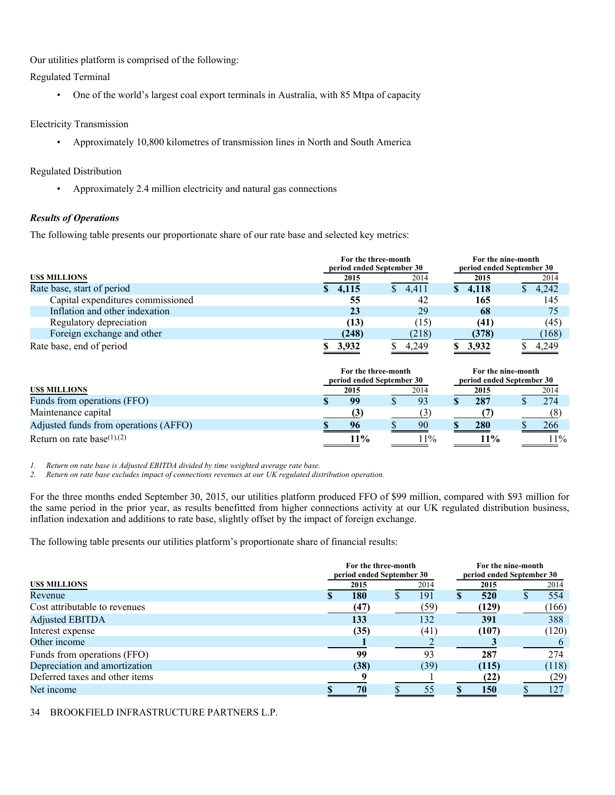Our utilities platform is comprised of the following:

Regulated Terminal

• One of the world's largest coal export terminals in Australia, with 85 Mtpa of capacity

# Electricity Transmission

• Approximately 10,800 kilometres of transmission lines in North and South America

# Regulated Distribution

• Approximately 2.4 million electricity and natural gas connections

# *Results of Operations*

The following table presents our proportionate share of our rate base and selected key metrics:

|                                   | For the three-month<br>period ended September 30 | For the nine-month<br>period ended September 30 |             |       |  |
|-----------------------------------|--------------------------------------------------|-------------------------------------------------|-------------|-------|--|
| <b>USS MILLIONS</b>               | 2015                                             | 2014                                            | 2015        | 2014  |  |
| Rate base, start of period        | \$4,115                                          | 4,411                                           | 4.118<br>S. | 4,242 |  |
| Capital expenditures commissioned | 55                                               | 42                                              | 165         | 145   |  |
| Inflation and other indexation    | 23                                               | 29                                              | 68          | 75    |  |
| Regulatory depreciation           | (13)                                             | (15)                                            | (41)        | (45)  |  |
| Foreign exchange and other        | (248)                                            | (218)                                           | (378)       | (168) |  |
| Rate base, end of period          | 3.932                                            | 4.249                                           | 3.932       | 4.249 |  |

|                                       | For the three-month<br>period ended September 30 |  | For the nine-month<br>period ended September 30 |  |        |  |       |
|---------------------------------------|--------------------------------------------------|--|-------------------------------------------------|--|--------|--|-------|
| <b>USS MILLIONS</b>                   | 2015                                             |  | 2014                                            |  | 2015   |  | 2014  |
| Funds from operations (FFO)           | 99                                               |  | 93                                              |  | 287    |  | 274   |
| Maintenance capital                   | (3)                                              |  |                                                 |  |        |  |       |
| Adjusted funds from operations (AFFO) | 96                                               |  | 90                                              |  | 280    |  | 266   |
| Return on rate base(1),(2)            | $11\%$                                           |  | $1\%$                                           |  | $11\%$ |  | $1\%$ |

*1. Return on rate base is Adjusted EBITDA divided by time weighted average rate base.* 

*2. Return on rate base excludes impact of connections revenues at our UK regulated distribution operation.* 

For the three months ended September 30, 2015, our utilities platform produced FFO of \$99 million, compared with \$93 million for the same period in the prior year, as results benefitted from higher connections activity at our UK regulated distribution business, inflation indexation and additions to rate base, slightly offset by the impact of foreign exchange.

The following table presents our utilities platform's proportionate share of financial results:

|                                | For the three-month<br>period ended September 30 |  | For the nine-month<br>period ended September 30 |  |       |  |       |
|--------------------------------|--------------------------------------------------|--|-------------------------------------------------|--|-------|--|-------|
| USS MILLIONS                   | 2015                                             |  | 2014                                            |  | 2015  |  | 2014  |
| Revenue                        | <b>180</b>                                       |  | 191                                             |  | 520   |  | 554   |
| Cost attributable to revenues  | (47)                                             |  | (59)                                            |  | (129) |  | (166) |
| <b>Adjusted EBITDA</b>         | 133                                              |  | 132                                             |  | 391   |  | 388   |
| Interest expense               | (35)                                             |  | (41)                                            |  | (107) |  | (120) |
| Other income                   |                                                  |  |                                                 |  |       |  |       |
| Funds from operations (FFO)    | 99                                               |  | 93                                              |  | 287   |  | 274   |
| Depreciation and amortization  | (38)                                             |  | (39)                                            |  | (115) |  | (118) |
| Deferred taxes and other items |                                                  |  |                                                 |  | (22)  |  | (29)  |
| Net income                     | 70                                               |  | 55                                              |  | 150   |  | 127   |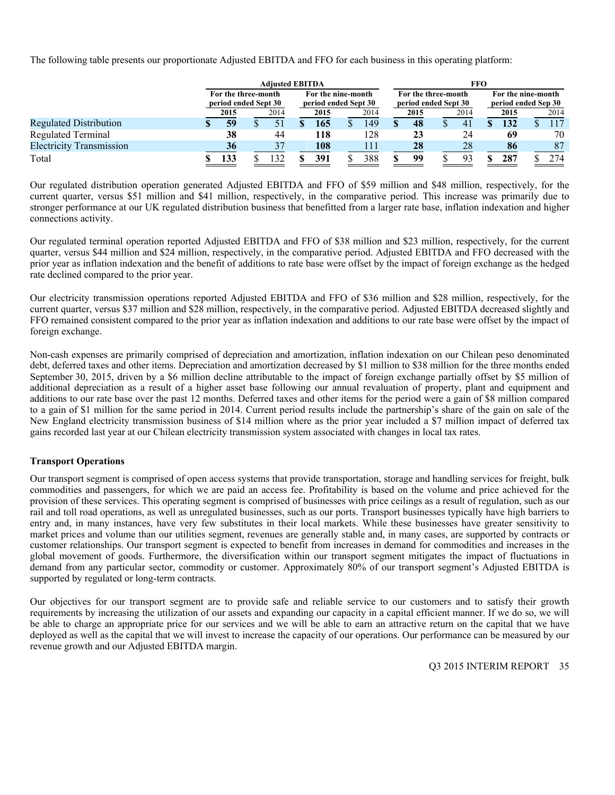The following table presents our proportionate Adjusted EBITDA and FFO for each business in this operating platform:

|                                 | <b>Adiusted EBITDA</b>                      |  |      |                                            |      |  |      |                                             |      | FFO |                                           |  |      |  |      |  |  |
|---------------------------------|---------------------------------------------|--|------|--------------------------------------------|------|--|------|---------------------------------------------|------|-----|-------------------------------------------|--|------|--|------|--|--|
|                                 | For the three-month<br>period ended Sept 30 |  |      | For the nine-month<br>period ended Sept 30 |      |  |      | For the three-month<br>period ended Sept 30 |      |     | For the nine-month<br>period ended Sep 30 |  |      |  |      |  |  |
|                                 | 2015                                        |  | 2014 |                                            | 2015 |  | 2014 |                                             | 2015 |     | 2014                                      |  | 2015 |  | 2014 |  |  |
| <b>Regulated Distribution</b>   | 59                                          |  |      |                                            | 165  |  | 149  |                                             | 48   |     |                                           |  | 132  |  |      |  |  |
| Regulated Terminal              | 38                                          |  | 44   |                                            | 118  |  | 128  |                                             | 23   |     | 24                                        |  | 69   |  | 70   |  |  |
| <b>Electricity Transmission</b> | 36                                          |  | 37   |                                            | 108  |  | 111  |                                             | 28   |     | 28                                        |  | 86   |  | 87   |  |  |
| Total                           | 133                                         |  |      |                                            | 391  |  | 388  |                                             | 99   |     |                                           |  | 287  |  | 274  |  |  |

Our regulated distribution operation generated Adjusted EBITDA and FFO of \$59 million and \$48 million, respectively, for the current quarter, versus \$51 million and \$41 million, respectively, in the comparative period. This increase was primarily due to stronger performance at our UK regulated distribution business that benefitted from a larger rate base, inflation indexation and higher connections activity.

Our regulated terminal operation reported Adjusted EBITDA and FFO of \$38 million and \$23 million, respectively, for the current quarter, versus \$44 million and \$24 million, respectively, in the comparative period. Adjusted EBITDA and FFO decreased with the prior year as inflation indexation and the benefit of additions to rate base were offset by the impact of foreign exchange as the hedged rate declined compared to the prior year.

Our electricity transmission operations reported Adjusted EBITDA and FFO of \$36 million and \$28 million, respectively, for the current quarter, versus \$37 million and \$28 million, respectively, in the comparative period. Adjusted EBITDA decreased slightly and FFO remained consistent compared to the prior year as inflation indexation and additions to our rate base were offset by the impact of foreign exchange.

Non-cash expenses are primarily comprised of depreciation and amortization, inflation indexation on our Chilean peso denominated debt, deferred taxes and other items. Depreciation and amortization decreased by \$1 million to \$38 million for the three months ended September 30, 2015, driven by a \$6 million decline attributable to the impact of foreign exchange partially offset by \$5 million of additional depreciation as a result of a higher asset base following our annual revaluation of property, plant and equipment and additions to our rate base over the past 12 months. Deferred taxes and other items for the period were a gain of \$8 million compared to a gain of \$1 million for the same period in 2014. Current period results include the partnership's share of the gain on sale of the New England electricity transmission business of \$14 million where as the prior year included a \$7 million impact of deferred tax gains recorded last year at our Chilean electricity transmission system associated with changes in local tax rates.

# **Transport Operations**

Our transport segment is comprised of open access systems that provide transportation, storage and handling services for freight, bulk commodities and passengers, for which we are paid an access fee. Profitability is based on the volume and price achieved for the provision of these services. This operating segment is comprised of businesses with price ceilings as a result of regulation, such as our rail and toll road operations, as well as unregulated businesses, such as our ports. Transport businesses typically have high barriers to entry and, in many instances, have very few substitutes in their local markets. While these businesses have greater sensitivity to market prices and volume than our utilities segment, revenues are generally stable and, in many cases, are supported by contracts or customer relationships. Our transport segment is expected to benefit from increases in demand for commodities and increases in the global movement of goods. Furthermore, the diversification within our transport segment mitigates the impact of fluctuations in demand from any particular sector, commodity or customer. Approximately 80% of our transport segment's Adjusted EBITDA is supported by regulated or long-term contracts.

Our objectives for our transport segment are to provide safe and reliable service to our customers and to satisfy their growth requirements by increasing the utilization of our assets and expanding our capacity in a capital efficient manner. If we do so, we will be able to charge an appropriate price for our services and we will be able to earn an attractive return on the capital that we have deployed as well as the capital that we will invest to increase the capacity of our operations. Our performance can be measured by our revenue growth and our Adjusted EBITDA margin.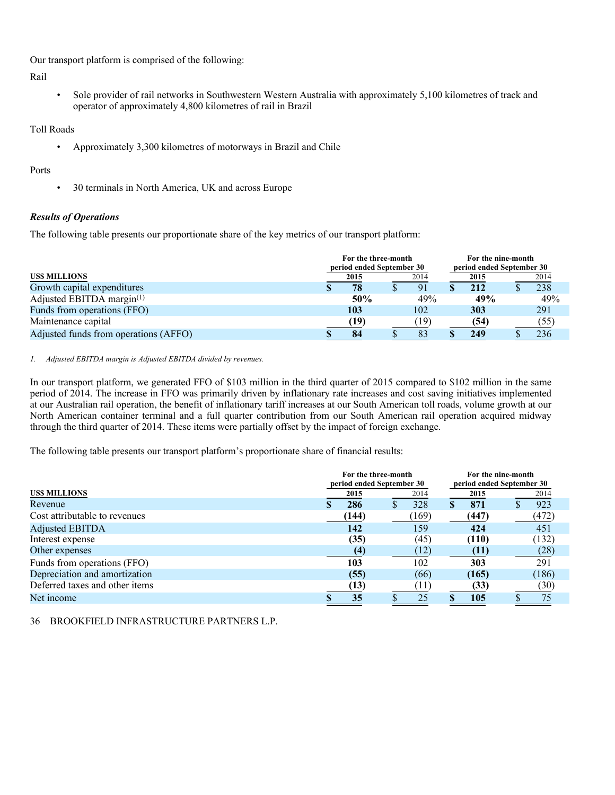Our transport platform is comprised of the following:

Rail

• Sole provider of rail networks in Southwestern Western Australia with approximately 5,100 kilometres of track and operator of approximately 4,800 kilometres of rail in Brazil

Toll Roads

• Approximately 3,300 kilometres of motorways in Brazil and Chile

# Ports

• 30 terminals in North America, UK and across Europe

# *Results of Operations*

The following table presents our proportionate share of the key metrics of our transport platform:

|                                       | For the three-month<br>period ended September 30 | For the nine-month<br>period ended September 30 |  |      |  |      |
|---------------------------------------|--------------------------------------------------|-------------------------------------------------|--|------|--|------|
| <b>USS MILLIONS</b>                   | 2015                                             | 2014                                            |  | 2015 |  | 2014 |
| Growth capital expenditures           | 78                                               | 91                                              |  | 212  |  | 238  |
| Adjusted EBITDA margin $(1)$          | 50%                                              | 49%                                             |  | 49%  |  | 49%  |
| Funds from operations (FFO)           | 103                                              | 102                                             |  | 303  |  | 291  |
| Maintenance capital                   | [19]                                             | (19)                                            |  | (54) |  | (55) |
| Adjusted funds from operations (AFFO) | 84                                               | 83                                              |  | 249  |  | 236  |

#### *1. Adjusted EBITDA margin is Adjusted EBITDA divided by revenues.*

In our transport platform, we generated FFO of \$103 million in the third quarter of 2015 compared to \$102 million in the same period of 2014. The increase in FFO was primarily driven by inflationary rate increases and cost saving initiatives implemented at our Australian rail operation, the benefit of inflationary tariff increases at our South American toll roads, volume growth at our North American container terminal and a full quarter contribution from our South American rail operation acquired midway through the third quarter of 2014. These items were partially offset by the impact of foreign exchange.

The following table presents our transport platform's proportionate share of financial results:

|                                |       | For the three-month<br>period ended September 30 | For the nine-month<br>period ended September 30 |       |  |  |  |
|--------------------------------|-------|--------------------------------------------------|-------------------------------------------------|-------|--|--|--|
| <b>USS MILLIONS</b>            | 2015  | 2014                                             | 2015                                            | 2014  |  |  |  |
| Revenue                        | 286   | 328                                              | 871                                             | 923   |  |  |  |
| Cost attributable to revenues  | (144) | (169)                                            | (447)                                           | (472) |  |  |  |
| <b>Adjusted EBITDA</b>         | 142   | 159                                              | 424                                             | 451   |  |  |  |
| Interest expense               | (35)  | (45)                                             | (110)                                           | (132) |  |  |  |
| Other expenses                 | (4)   | (12)                                             | (11)                                            | (28)  |  |  |  |
| Funds from operations (FFO)    | 103   | 102                                              | 303                                             | 291   |  |  |  |
| Depreciation and amortization  | (55)  | (66)                                             | (165)                                           | (186) |  |  |  |
| Deferred taxes and other items | (13)  |                                                  | (33)                                            | (30)  |  |  |  |
| Net income                     | 35    | 25                                               | 105                                             | 75    |  |  |  |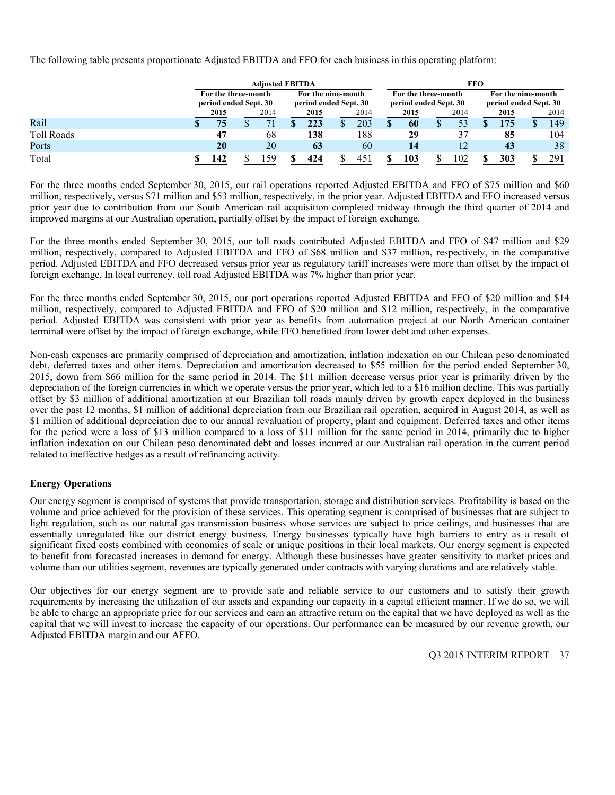The following table presents proportionate Adjusted EBITDA and FFO for each business in this operating platform:

|                   | <b>Adiusted EBITDA</b>                       |  |      |                                             |      |  |                 |  | FFO                                          |  |      |                                             |      |  |      |  |  |
|-------------------|----------------------------------------------|--|------|---------------------------------------------|------|--|-----------------|--|----------------------------------------------|--|------|---------------------------------------------|------|--|------|--|--|
|                   | For the three-month<br>period ended Sept. 30 |  |      | For the nine-month<br>period ended Sept. 30 |      |  |                 |  | For the three-month<br>period ended Sept. 30 |  |      | For the nine-month<br>period ended Sept. 30 |      |  |      |  |  |
|                   | 2015                                         |  | 2014 |                                             | 2015 |  | 2014            |  | 2015                                         |  | 2014 |                                             | 2015 |  | 2014 |  |  |
| Rail              | 75                                           |  |      |                                             | 223  |  | 203             |  | 60                                           |  | 53   |                                             | 175  |  | 149  |  |  |
| <b>Toll Roads</b> | 47                                           |  | 68   |                                             | 138  |  | 188             |  | 29                                           |  |      |                                             | 85   |  | 104  |  |  |
| Ports             | 20                                           |  | 20   |                                             | 63   |  | 60              |  | 14                                           |  | 12   |                                             | 43   |  | 38   |  |  |
| Total             | 142                                          |  | .59  |                                             | 424  |  | 45 <sub>1</sub> |  | 103                                          |  | 102  |                                             | 303  |  | 291  |  |  |

For the three months ended September 30, 2015, our rail operations reported Adjusted EBITDA and FFO of \$75 million and \$60 million, respectively, versus \$71 million and \$53 million, respectively, in the prior year. Adjusted EBITDA and FFO increased versus prior year due to contribution from our South American rail acquisition completed midway through the third quarter of 2014 and improved margins at our Australian operation, partially offset by the impact of foreign exchange.

For the three months ended September 30, 2015, our toll roads contributed Adjusted EBITDA and FFO of \$47 million and \$29 million, respectively, compared to Adjusted EBITDA and FFO of \$68 million and \$37 million, respectively, in the comparative period. Adjusted EBITDA and FFO decreased versus prior year as regulatory tariff increases were more than offset by the impact of foreign exchange. In local currency, toll road Adjusted EBITDA was 7% higher than prior year.

For the three months ended September 30, 2015, our port operations reported Adjusted EBITDA and FFO of \$20 million and \$14 million, respectively, compared to Adjusted EBITDA and FFO of \$20 million and \$12 million, respectively, in the comparative period. Adjusted EBITDA was consistent with prior year as benefits from automation project at our North American container terminal were offset by the impact of foreign exchange, while FFO benefitted from lower debt and other expenses.

Non-cash expenses are primarily comprised of depreciation and amortization, inflation indexation on our Chilean peso denominated debt, deferred taxes and other items. Depreciation and amortization decreased to \$55 million for the period ended September 30, 2015, down from \$66 million for the same period in 2014. The \$11 million decrease versus prior year is primarily driven by the depreciation of the foreign currencies in which we operate versus the prior year, which led to a \$16 million decline. This was partially offset by \$3 million of additional amortization at our Brazilian toll roads mainly driven by growth capex deployed in the business over the past 12 months, \$1 million of additional depreciation from our Brazilian rail operation, acquired in August 2014, as well as \$1 million of additional depreciation due to our annual revaluation of property, plant and equipment. Deferred taxes and other items for the period were a loss of \$13 million compared to a loss of \$11 million for the same period in 2014, primarily due to higher inflation indexation on our Chilean peso denominated debt and losses incurred at our Australian rail operation in the current period related to ineffective hedges as a result of refinancing activity.

# **Energy Operations**

Our energy segment is comprised of systems that provide transportation, storage and distribution services. Profitability is based on the volume and price achieved for the provision of these services. This operating segment is comprised of businesses that are subject to light regulation, such as our natural gas transmission business whose services are subject to price ceilings, and businesses that are essentially unregulated like our district energy business. Energy businesses typically have high barriers to entry as a result of significant fixed costs combined with economies of scale or unique positions in their local markets. Our energy segment is expected to benefit from forecasted increases in demand for energy. Although these businesses have greater sensitivity to market prices and volume than our utilities segment, revenues are typically generated under contracts with varying durations and are relatively stable.

Our objectives for our energy segment are to provide safe and reliable service to our customers and to satisfy their growth requirements by increasing the utilization of our assets and expanding our capacity in a capital efficient manner. If we do so, we will be able to charge an appropriate price for our services and earn an attractive return on the capital that we have deployed as well as the capital that we will invest to increase the capacity of our operations. Our performance can be measured by our revenue growth, our Adjusted EBITDA margin and our AFFO.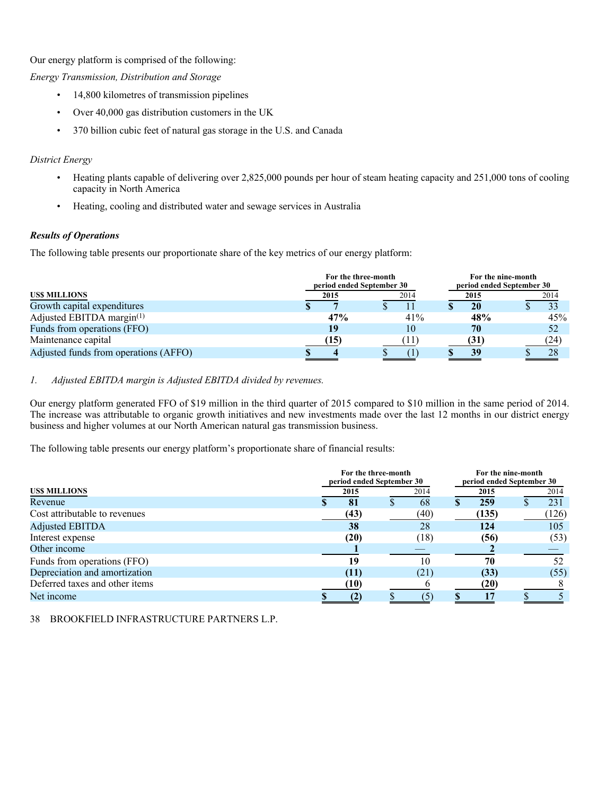Our energy platform is comprised of the following:

*Energy Transmission, Distribution and Storage* 

- 14,800 kilometres of transmission pipelines
- Over 40,000 gas distribution customers in the UK
- 370 billion cubic feet of natural gas storage in the U.S. and Canada

# *District Energy*

- Heating plants capable of delivering over 2,825,000 pounds per hour of steam heating capacity and 251,000 tons of cooling capacity in North America
- Heating, cooling and distributed water and sewage services in Australia

# *Results of Operations*

The following table presents our proportionate share of the key metrics of our energy platform:

|                                       | For the three-month<br>period ended September 30 |      | For the nine-month<br>period ended September 30 |      |  |  |  |  |
|---------------------------------------|--------------------------------------------------|------|-------------------------------------------------|------|--|--|--|--|
| <b>USS MILLIONS</b>                   | 2015                                             | 2014 | 2015                                            | 2014 |  |  |  |  |
| Growth capital expenditures           |                                                  |      | 20                                              | 33   |  |  |  |  |
| Adjusted EBITDA margin $(1)$          | 47%                                              | 41%  | 48%                                             | 45%  |  |  |  |  |
| Funds from operations (FFO)           | 19                                               | 10   | 70                                              | 52   |  |  |  |  |
| Maintenance capital                   | (15)                                             |      | (31)                                            | (24) |  |  |  |  |
| Adjusted funds from operations (AFFO) |                                                  |      | 39                                              | 28   |  |  |  |  |

# *1. Adjusted EBITDA margin is Adjusted EBITDA divided by revenues.*

Our energy platform generated FFO of \$19 million in the third quarter of 2015 compared to \$10 million in the same period of 2014. The increase was attributable to organic growth initiatives and new investments made over the last 12 months in our district energy business and higher volumes at our North American natural gas transmission business.

The following table presents our energy platform's proportionate share of financial results:

|                                | For the three-month<br>period ended September 30 |   | For the nine-month<br>period ended September 30 |  |       |  |       |  |
|--------------------------------|--------------------------------------------------|---|-------------------------------------------------|--|-------|--|-------|--|
| <b>USS MILLIONS</b>            | 2015                                             |   | 2014                                            |  | 2015  |  | 2014  |  |
| Revenue                        | 81                                               | D | 68                                              |  | 259   |  | 231   |  |
| Cost attributable to revenues  | (43)                                             |   | (40)                                            |  | (135) |  | (126) |  |
| <b>Adjusted EBITDA</b>         | 38                                               |   | 28                                              |  | 124   |  | 105   |  |
| Interest expense               | (20)                                             |   | (18)                                            |  | (56)  |  | (53)  |  |
| Other income                   |                                                  |   |                                                 |  |       |  |       |  |
| Funds from operations (FFO)    | 19                                               |   | 10                                              |  | 70    |  | 52    |  |
| Depreciation and amortization  | (11)                                             |   | (21)                                            |  | (33)  |  | (55)  |  |
| Deferred taxes and other items | (10)                                             |   |                                                 |  | (20)  |  |       |  |
| Net income                     |                                                  |   |                                                 |  |       |  |       |  |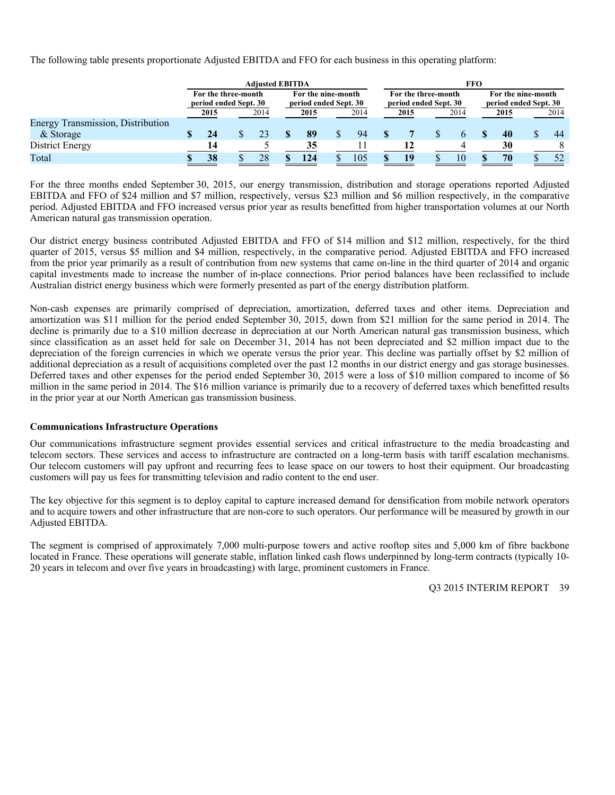The following table presents proportionate Adjusted EBITDA and FFO for each business in this operating platform:

|                                          | <b>Adiusted EBITDA</b>                       |  |    |                                             |     |      |     |  |                                              | FFO |      |                                             |           |  |    |  |      |  |  |      |
|------------------------------------------|----------------------------------------------|--|----|---------------------------------------------|-----|------|-----|--|----------------------------------------------|-----|------|---------------------------------------------|-----------|--|----|--|------|--|--|------|
|                                          | For the three-month<br>period ended Sept. 30 |  |    | For the nine-month<br>period ended Sept. 30 |     |      |     |  | For the three-month<br>period ended Sept. 30 |     |      | For the nine-month<br>period ended Sept. 30 |           |  |    |  |      |  |  |      |
|                                          | 2014<br>2015                                 |  |    | 2015                                        |     | 2014 |     |  | 2015                                         |     | 2014 |                                             |           |  |    |  | 2015 |  |  | 2014 |
| <b>Energy Transmission, Distribution</b> |                                              |  |    |                                             |     |      |     |  |                                              |     |      |                                             |           |  |    |  |      |  |  |      |
| & Storage                                | 24                                           |  |    |                                             | 89  |      | 94  |  |                                              |     |      |                                             | <b>40</b> |  | 44 |  |      |  |  |      |
| District Energy                          | 14                                           |  |    |                                             | 35  |      |     |  |                                              |     |      |                                             | 30        |  |    |  |      |  |  |      |
| Total                                    | 38                                           |  | 28 |                                             | 124 |      | 105 |  |                                              |     | 10   |                                             | 70        |  | 52 |  |      |  |  |      |

For the three months ended September 30, 2015, our energy transmission, distribution and storage operations reported Adjusted EBITDA and FFO of \$24 million and \$7 million, respectively, versus \$23 million and \$6 million respectively, in the comparative period. Adjusted EBITDA and FFO increased versus prior year as results benefitted from higher transportation volumes at our North American natural gas transmission operation.

Our district energy business contributed Adjusted EBITDA and FFO of \$14 million and \$12 million, respectively, for the third quarter of 2015, versus \$5 million and \$4 million, respectively, in the comparative period. Adjusted EBITDA and FFO increased from the prior year primarily as a result of contribution from new systems that came on-line in the third quarter of 2014 and organic capital investments made to increase the number of in-place connections. Prior period balances have been reclassified to include Australian district energy business which were formerly presented as part of the energy distribution platform.

Non-cash expenses are primarily comprised of depreciation, amortization, deferred taxes and other items. Depreciation and amortization was \$11 million for the period ended September 30, 2015, down from \$21 million for the same period in 2014. The decline is primarily due to a \$10 million decrease in depreciation at our North American natural gas transmission business, which since classification as an asset held for sale on December 31, 2014 has not been depreciated and \$2 million impact due to the depreciation of the foreign currencies in which we operate versus the prior year. This decline was partially offset by \$2 million of additional depreciation as a result of acquisitions completed over the past 12 months in our district energy and gas storage businesses. Deferred taxes and other expenses for the period ended September 30, 2015 were a loss of \$10 million compared to income of \$6 million in the same period in 2014. The \$16 million variance is primarily due to a recovery of deferred taxes which benefitted results in the prior year at our North American gas transmission business.

#### **Communications Infrastructure Operations**

Our communications infrastructure segment provides essential services and critical infrastructure to the media broadcasting and telecom sectors. These services and access to infrastructure are contracted on a long-term basis with tariff escalation mechanisms. Our telecom customers will pay upfront and recurring fees to lease space on our towers to host their equipment. Our broadcasting customers will pay us fees for transmitting television and radio content to the end user.

The key objective for this segment is to deploy capital to capture increased demand for densification from mobile network operators and to acquire towers and other infrastructure that are non-core to such operators. Our performance will be measured by growth in our Adjusted EBITDA.

The segment is comprised of approximately 7,000 multi-purpose towers and active rooftop sites and 5,000 km of fibre backbone located in France. These operations will generate stable, inflation linked cash flows underpinned by long-term contracts (typically 10- 20 years in telecom and over five years in broadcasting) with large, prominent customers in France.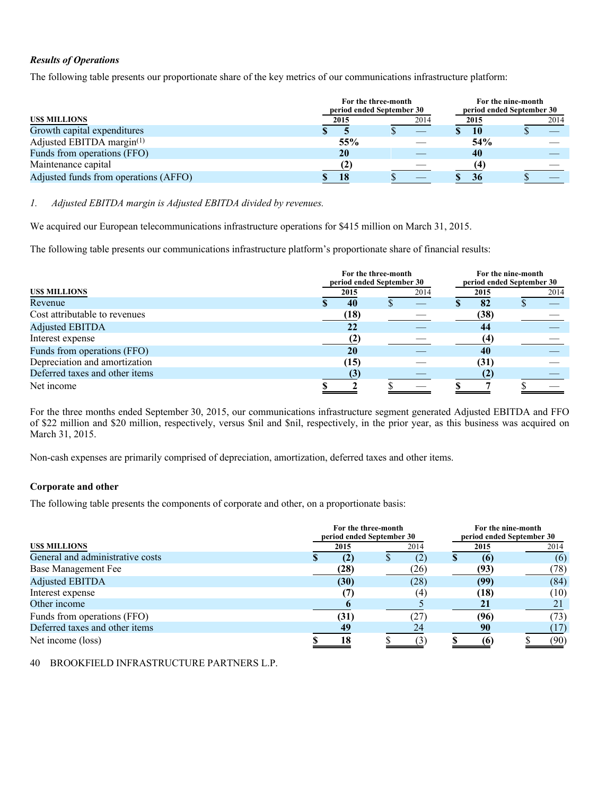# *Results of Operations*

The following table presents our proportionate share of the key metrics of our communications infrastructure platform:

|                                       |      | For the three-month<br>period ended September 30 |      |      |  |  |  |
|---------------------------------------|------|--------------------------------------------------|------|------|--|--|--|
| <b>USS MILLIONS</b>                   | 2015 | 2014                                             | 2015 | 2014 |  |  |  |
| Growth capital expenditures           |      |                                                  | 10   |      |  |  |  |
| Adjusted EBITDA margin(1)             | 55%  |                                                  | 54%  |      |  |  |  |
| Funds from operations (FFO)           | 20   |                                                  | 40   |      |  |  |  |
| Maintenance capital                   |      |                                                  | (4)  |      |  |  |  |
| Adjusted funds from operations (AFFO) | 18   |                                                  | 36   |      |  |  |  |

*1. Adjusted EBITDA margin is Adjusted EBITDA divided by revenues.* 

We acquired our European telecommunications infrastructure operations for \$415 million on March 31, 2015.

The following table presents our communications infrastructure platform's proportionate share of financial results:

|                                | For the three-month<br>period ended September 30 |  |      |  |      | For the nine-month<br>period ended September 30 |      |  |  |
|--------------------------------|--------------------------------------------------|--|------|--|------|-------------------------------------------------|------|--|--|
| US\$ MILLIONS                  | 2015                                             |  | 2014 |  | 2015 |                                                 | 2014 |  |  |
| Revenue                        | 40                                               |  |      |  | 82   |                                                 |      |  |  |
| Cost attributable to revenues  | (18)                                             |  |      |  | (38) |                                                 |      |  |  |
| <b>Adjusted EBITDA</b>         |                                                  |  |      |  | 44   |                                                 |      |  |  |
| Interest expense               |                                                  |  |      |  | (4   |                                                 |      |  |  |
| Funds from operations (FFO)    | <b>20</b>                                        |  |      |  | 40   |                                                 |      |  |  |
| Depreciation and amortization  | (15)                                             |  |      |  | (31) |                                                 |      |  |  |
| Deferred taxes and other items | 65                                               |  |      |  |      |                                                 |      |  |  |
| Net income                     |                                                  |  |      |  |      |                                                 |      |  |  |

For the three months ended September 30, 2015, our communications infrastructure segment generated Adjusted EBITDA and FFO of \$22 million and \$20 million, respectively, versus \$nil and \$nil, respectively, in the prior year, as this business was acquired on March 31, 2015.

Non-cash expenses are primarily comprised of depreciation, amortization, deferred taxes and other items.

# **Corporate and other**

The following table presents the components of corporate and other, on a proportionate basis:

|                                  |  | For the three-month | period ended September 30 | For the nine-month<br>period ended September 30 |      |  |  |
|----------------------------------|--|---------------------|---------------------------|-------------------------------------------------|------|--|--|
| <b>USS MILLIONS</b>              |  | 2015                | 2014                      | 2015                                            | 2014 |  |  |
| General and administrative costs |  | $\left( 2\right)$   | (2)                       | $\overline{6}$                                  | (6)  |  |  |
| Base Management Fee              |  | (28)                | (26)                      | (93)                                            | (78) |  |  |
| <b>Adjusted EBITDA</b>           |  | (30)                | (28)                      | (99)                                            | (84) |  |  |
| Interest expense                 |  |                     | (4)                       | (18)                                            | (10) |  |  |
| Other income                     |  |                     |                           |                                                 |      |  |  |
| Funds from operations (FFO)      |  | (31)                | (27)                      | (96)                                            | (73) |  |  |
| Deferred taxes and other items   |  | 49                  | 24                        | 90                                              |      |  |  |
| Net income (loss)                |  | 18                  | 3                         |                                                 | (90) |  |  |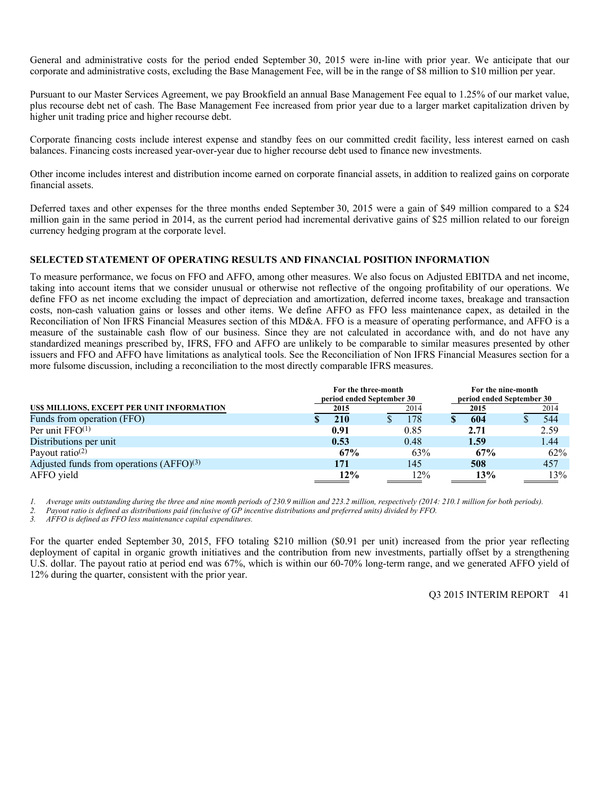General and administrative costs for the period ended September 30, 2015 were in-line with prior year. We anticipate that our corporate and administrative costs, excluding the Base Management Fee, will be in the range of \$8 million to \$10 million per year.

Pursuant to our Master Services Agreement, we pay Brookfield an annual Base Management Fee equal to 1.25% of our market value, plus recourse debt net of cash. The Base Management Fee increased from prior year due to a larger market capitalization driven by higher unit trading price and higher recourse debt.

Corporate financing costs include interest expense and standby fees on our committed credit facility, less interest earned on cash balances. Financing costs increased year-over-year due to higher recourse debt used to finance new investments.

Other income includes interest and distribution income earned on corporate financial assets, in addition to realized gains on corporate financial assets.

Deferred taxes and other expenses for the three months ended September 30, 2015 were a gain of \$49 million compared to a \$24 million gain in the same period in 2014, as the current period had incremental derivative gains of \$25 million related to our foreign currency hedging program at the corporate level.

#### **SELECTED STATEMENT OF OPERATING RESULTS AND FINANCIAL POSITION INFORMATION**

To measure performance, we focus on FFO and AFFO, among other measures. We also focus on Adjusted EBITDA and net income, taking into account items that we consider unusual or otherwise not reflective of the ongoing profitability of our operations. We define FFO as net income excluding the impact of depreciation and amortization, deferred income taxes, breakage and transaction costs, non-cash valuation gains or losses and other items. We define AFFO as FFO less maintenance capex, as detailed in the Reconciliation of Non IFRS Financial Measures section of this MD&A. FFO is a measure of operating performance, and AFFO is a measure of the sustainable cash flow of our business. Since they are not calculated in accordance with, and do not have any standardized meanings prescribed by, IFRS, FFO and AFFO are unlikely to be comparable to similar measures presented by other issuers and FFO and AFFO have limitations as analytical tools. See the Reconciliation of Non IFRS Financial Measures section for a more fulsome discussion, including a reconciliation to the most directly comparable IFRS measures.

|                                            | For the three-month<br>period ended September 30 |      | For the nine-month<br>period ended September 30 |      |  |  |
|--------------------------------------------|--------------------------------------------------|------|-------------------------------------------------|------|--|--|
| US\$ MILLIONS, EXCEPT PER UNIT INFORMATION | 2015                                             | 2014 | 2015                                            | 2014 |  |  |
| Funds from operation (FFO)                 | 210                                              | 178  | 604                                             | 544  |  |  |
| Per unit $FFO(1)$                          | 0.91                                             | 0.85 | 2.71                                            | 2.59 |  |  |
| Distributions per unit                     | 0.53                                             | 0.48 | 1.59                                            | 1.44 |  |  |
| Payout ratio <sup>(2)</sup>                | 67%                                              | 63%  | 67%                                             | 62%  |  |  |
| Adjusted funds from operations $(AFFO)(3)$ | 171                                              | 145  | 508                                             | 457  |  |  |
| AFFO yield                                 | 12%                                              | 12%  | 13%                                             | 13%  |  |  |

*1. Average units outstanding during the three and nine month periods of 230.9 million and 223.2 million, respectively (2014: 210.1 million for both periods).* 

*2. Payout ratio is defined as distributions paid (inclusive of GP incentive distributions and preferred units) divided by FFO.* 

*3. AFFO is defined as FFO less maintenance capital expenditures.* 

For the quarter ended September 30, 2015, FFO totaling \$210 million (\$0.91 per unit) increased from the prior year reflecting deployment of capital in organic growth initiatives and the contribution from new investments, partially offset by a strengthening U.S. dollar. The payout ratio at period end was 67%, which is within our 60-70% long-term range, and we generated AFFO yield of 12% during the quarter, consistent with the prior year.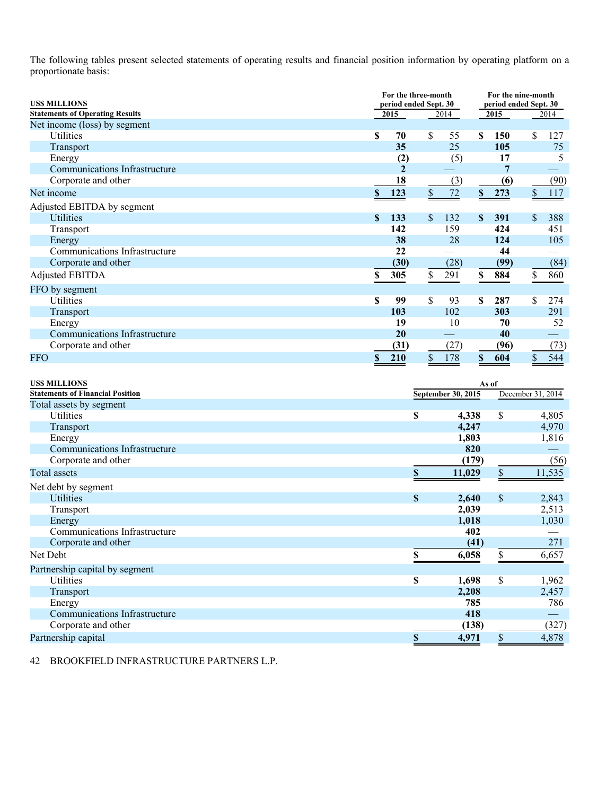The following tables present selected statements of operating results and financial position information by operating platform on a proportionate basis:

| <b>USS MILLIONS</b>                     | For the three-month<br>period ended Sept. 30 |    |                           |               | For the nine-month<br>period ended Sept. 30 |                           |      |  |
|-----------------------------------------|----------------------------------------------|----|---------------------------|---------------|---------------------------------------------|---------------------------|------|--|
| <b>Statements of Operating Results</b>  | 2015<br>2014                                 |    |                           | 2015          |                                             |                           | 2014 |  |
| Net income (loss) by segment            |                                              |    |                           |               |                                             |                           |      |  |
| <b>Utilities</b>                        | \$<br>70                                     | \$ | 55                        | \$.           | 150                                         | \$                        | 127  |  |
| Transport                               | 35                                           |    | 25                        |               | 105                                         |                           | 75   |  |
| Energy                                  | (2)                                          |    | (5)                       |               | 17                                          |                           | 5    |  |
| <b>Communications Infrastructure</b>    | $\overline{2}$                               |    |                           |               | 7                                           |                           |      |  |
| Corporate and other                     | 18                                           |    | (3)                       |               | (6)                                         |                           | (90) |  |
| Net income                              | \$<br>123                                    | \$ | 72                        | $\mathbb{S}$  | 273                                         | $\boldsymbol{\mathsf{S}}$ | 117  |  |
| Adjusted EBITDA by segment              |                                              |    |                           |               |                                             |                           |      |  |
| <b>Utilities</b>                        | \$<br>133                                    | \$ | 132                       | <sup>\$</sup> | 391                                         | \$                        | 388  |  |
| Transport                               | 142                                          |    | 159                       |               | 424                                         |                           | 451  |  |
| Energy                                  | 38                                           |    | 28                        |               | 124                                         |                           | 105  |  |
| Communications Infrastructure           | 22                                           |    |                           |               | 44                                          |                           |      |  |
| Corporate and other                     | (30)                                         |    | (28)                      |               | (99)                                        |                           | (84) |  |
| Adjusted EBITDA                         | \$<br>305                                    | \$ | 291                       | \$            | 884                                         | \$                        | 860  |  |
| FFO by segment                          |                                              |    |                           |               |                                             |                           |      |  |
| Utilities                               | \$<br>99                                     | \$ | 93                        | \$.           | 287                                         | \$                        | 274  |  |
| Transport                               | 103                                          |    | 102                       |               | 303                                         |                           | 291  |  |
| Energy                                  | 19                                           |    | 10                        |               | 70                                          |                           | 52   |  |
| Communications Infrastructure           | 20                                           |    |                           |               | 40                                          |                           |      |  |
| Corporate and other                     | (31)                                         |    | (27)                      |               | (96)                                        |                           | (73) |  |
| <b>FFO</b>                              | \$<br>210                                    | \$ | 178                       | $\mathbf S$   | 604                                         | \$                        | 544  |  |
|                                         |                                              |    |                           |               |                                             |                           |      |  |
| <b>USS MILLIONS</b>                     |                                              |    |                           | As of         |                                             |                           |      |  |
| <b>Statements of Financial Position</b> |                                              |    | <b>September 30, 2015</b> |               |                                             | December 31, 2014         |      |  |
| Total assets by segment                 |                                              |    |                           |               |                                             |                           |      |  |

| Statements of Financial Fosition |    | September 30, 2015 |              | December $31, 2014$ |
|----------------------------------|----|--------------------|--------------|---------------------|
| Total assets by segment          |    |                    |              |                     |
| Utilities                        | \$ | 4,338              | \$           | 4,805               |
| <b>Transport</b>                 |    | 4,247              |              | 4,970               |
| Energy                           |    | 1,803              |              | 1,816               |
| Communications Infrastructure    |    | 820                |              |                     |
| Corporate and other              |    | (179)              |              | (56)                |
| Total assets                     | \$ | 11,029             | \$           | 11,535              |
| Net debt by segment              |    |                    |              |                     |
| <b>Utilities</b>                 | S  | 2,640              | $\mathbb{S}$ | 2,843               |
| Transport                        |    | 2,039              |              | 2,513               |
| Energy                           |    | 1,018              |              | 1,030               |
| Communications Infrastructure    |    | 402                |              |                     |
| Corporate and other              |    | (41)               |              | 271                 |
| Net Debt                         |    | 6,058              |              | 6,657               |
| Partnership capital by segment   |    |                    |              |                     |
| Utilities                        | \$ | 1,698              | \$           | 1,962               |
| Transport                        |    | 2,208              |              | 2,457               |
| Energy                           |    | 785                |              | 786                 |
| Communications Infrastructure    |    | 418                |              |                     |
| Corporate and other              |    | (138)              |              | (327)               |
| Partnership capital              | \$ | 4,971              | \$           | 4,878               |
|                                  |    |                    |              |                     |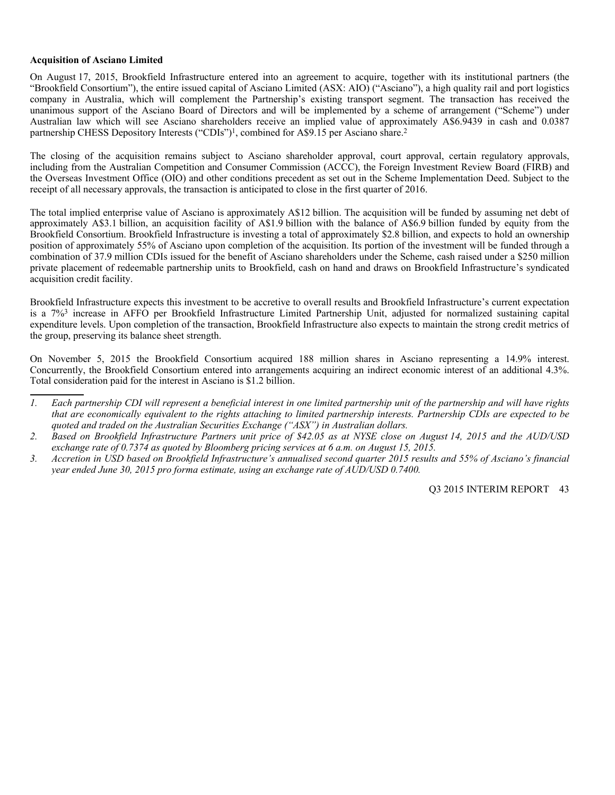#### **Acquisition of Asciano Limited**

On August 17, 2015, Brookfield Infrastructure entered into an agreement to acquire, together with its institutional partners (the "Brookfield Consortium"), the entire issued capital of Asciano Limited (ASX: AIO) ("Asciano"), a high quality rail and port logistics company in Australia, which will complement the Partnership's existing transport segment. The transaction has received the unanimous support of the Asciano Board of Directors and will be implemented by a scheme of arrangement ("Scheme") under Australian law which will see Asciano shareholders receive an implied value of approximately A\$6.9439 in cash and 0.0387 partnership CHESS Depository Interests ("CDIs")<sup>1</sup>, combined for A\$9.15 per Asciano share.<sup>2</sup>

The closing of the acquisition remains subject to Asciano shareholder approval, court approval, certain regulatory approvals, including from the Australian Competition and Consumer Commission (ACCC), the Foreign Investment Review Board (FIRB) and the Overseas Investment Office (OIO) and other conditions precedent as set out in the Scheme Implementation Deed. Subject to the receipt of all necessary approvals, the transaction is anticipated to close in the first quarter of 2016.

The total implied enterprise value of Asciano is approximately A\$12 billion. The acquisition will be funded by assuming net debt of approximately A\$3.1 billion, an acquisition facility of A\$1.9 billion with the balance of A\$6.9 billion funded by equity from the Brookfield Consortium. Brookfield Infrastructure is investing a total of approximately \$2.8 billion, and expects to hold an ownership position of approximately 55% of Asciano upon completion of the acquisition. Its portion of the investment will be funded through a combination of 37.9 million CDIs issued for the benefit of Asciano shareholders under the Scheme, cash raised under a \$250 million private placement of redeemable partnership units to Brookfield, cash on hand and draws on Brookfield Infrastructure's syndicated acquisition credit facility.

Brookfield Infrastructure expects this investment to be accretive to overall results and Brookfield Infrastructure's current expectation is a 7%3 increase in AFFO per Brookfield Infrastructure Limited Partnership Unit, adjusted for normalized sustaining capital expenditure levels. Upon completion of the transaction, Brookfield Infrastructure also expects to maintain the strong credit metrics of the group, preserving its balance sheet strength.

On November 5, 2015 the Brookfield Consortium acquired 188 million shares in Asciano representing a 14.9% interest. Concurrently, the Brookfield Consortium entered into arrangements acquiring an indirect economic interest of an additional 4.3%. Total consideration paid for the interest in Asciano is \$1.2 billion.

*3. Accretion in USD based on Brookfield Infrastructure's annualised second quarter 2015 results and 55% of Asciano's financial year ended June 30, 2015 pro forma estimate, using an exchange rate of AUD/USD 0.7400.* 

*<sup>1.</sup> Each partnership CDI will represent a beneficial interest in one limited partnership unit of the partnership and will have rights that are economically equivalent to the rights attaching to limited partnership interests. Partnership CDIs are expected to be quoted and traded on the Australian Securities Exchange ("ASX") in Australian dollars.* 

*<sup>2.</sup> Based on Brookfield Infrastructure Partners unit price of \$42.05 as at NYSE close on August 14, 2015 and the AUD/USD exchange rate of 0.7374 as quoted by Bloomberg pricing services at 6 a.m. on August 15, 2015.*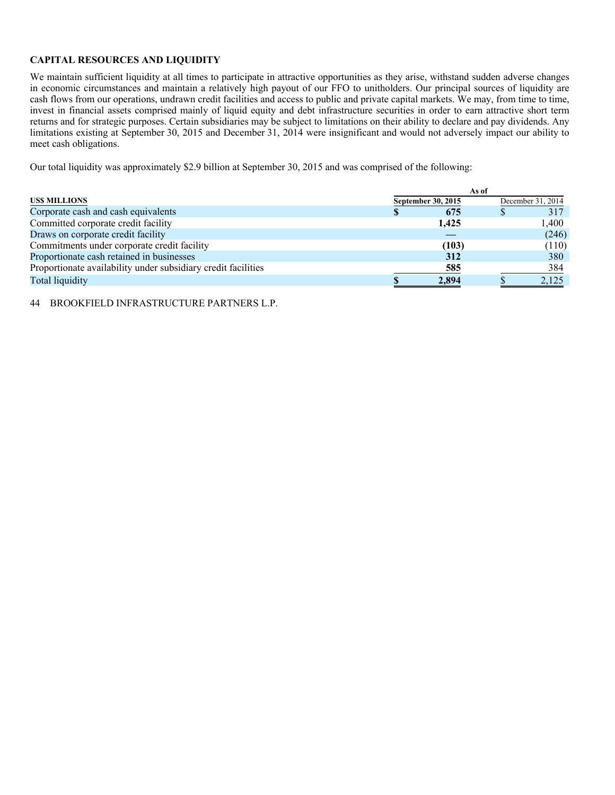# **CAPITAL RESOURCES AND LIQUIDITY**

We maintain sufficient liquidity at all times to participate in attractive opportunities as they arise, withstand sudden adverse changes in economic circumstances and maintain a relatively high payout of our FFO to unitholders. Our principal sources of liquidity are cash flows from our operations, undrawn credit facilities and access to public and private capital markets. We may, from time to time, invest in financial assets comprised mainly of liquid equity and debt infrastructure securities in order to earn attractive short term returns and for strategic purposes. Certain subsidiaries may be subject to limitations on their ability to declare and pay dividends. Any limitations existing at September 30, 2015 and December 31, 2014 were insignificant and would not adversely impact our ability to meet cash obligations.

Our total liquidity was approximately \$2.9 billion at September 30, 2015 and was comprised of the following:

|                                                               | As of              |       |  |                   |  |  |
|---------------------------------------------------------------|--------------------|-------|--|-------------------|--|--|
| <b>USS MILLIONS</b>                                           | September 30, 2015 |       |  | December 31, 2014 |  |  |
| Corporate cash and cash equivalents                           |                    | 675   |  | 317               |  |  |
| Committed corporate credit facility                           |                    | 1,425 |  | 1.400             |  |  |
| Draws on corporate credit facility                            |                    |       |  | (246)             |  |  |
| Commitments under corporate credit facility                   |                    | (103) |  | (110)             |  |  |
| Proportionate cash retained in businesses                     |                    | 312   |  | 380               |  |  |
| Proportionate availability under subsidiary credit facilities |                    | 585   |  | 384               |  |  |
| Total liquidity                                               |                    | 2,894 |  | 2,125             |  |  |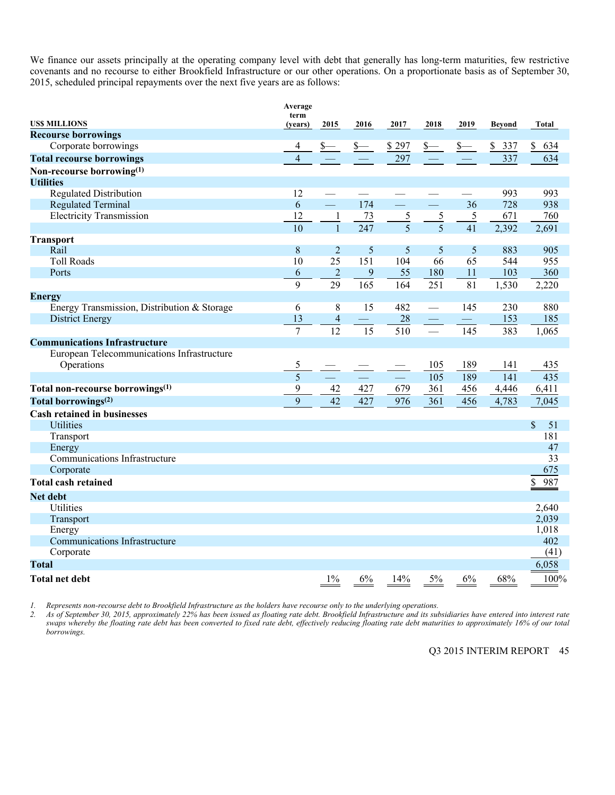We finance our assets principally at the operating company level with debt that generally has long-term maturities, few restrictive covenants and no recourse to either Brookfield Infrastructure or our other operations. On a proportionate basis as of September 30, 2015, scheduled principal repayments over the next five years are as follows:

|                                             | Average<br>term |                  |      |             |                         |                          |           |           |
|---------------------------------------------|-----------------|------------------|------|-------------|-------------------------|--------------------------|-----------|-----------|
| <b>USS MILLIONS</b>                         | (years)         | 2015             | 2016 | 2017        | 2018                    | 2019                     | Beyond    | Total     |
| <b>Recourse borrowings</b>                  |                 |                  |      |             |                         |                          |           |           |
| Corporate borrowings                        | 4               |                  |      | \$297       | $s_{-}$                 | $s-$                     | \$<br>337 | \$<br>634 |
| <b>Total recourse borrowings</b>            | $\overline{4}$  |                  |      | 297         |                         |                          | 337       | 634       |
| Non-recourse borrowing(1)                   |                 |                  |      |             |                         |                          |           |           |
| <b>Utilities</b>                            |                 |                  |      |             |                         |                          |           |           |
| <b>Regulated Distribution</b>               | 12              |                  |      |             |                         |                          | 993       | 993       |
| <b>Regulated Terminal</b>                   | 6               | $\equiv$         | 174  | $\equiv$    | <u>e a</u>              | 36                       | 728       | 938       |
| <b>Electricity Transmission</b>             | 12              | $\mathbf{1}$     | 73   | $rac{5}{5}$ | $rac{5}{5}$             | 5                        | 671       | 760       |
|                                             | 10              |                  | 247  |             |                         | 41                       | 2,392     | 2,691     |
| <b>Transport</b>                            |                 |                  |      |             |                         |                          |           |           |
| Rail                                        | $8\phantom{1}$  | $\overline{2}$   | 5    | 5           | 5                       | 5                        | 883       | 905       |
| <b>Toll Roads</b>                           | 10              | 25               | 151  | 104         | 66                      | 65                       | 544       | 955       |
| Ports                                       | 6               | $\boldsymbol{2}$ | 9    | 55          | 180                     | 11                       | 103       | 360       |
|                                             | 9               | 29               | 165  | 164         | 251                     | 81                       | 1,530     | 2,220     |
| <b>Energy</b>                               |                 |                  |      |             |                         |                          |           |           |
| Energy Transmission, Distribution & Storage | 6               | 8                | 15   | 482         | $\frac{1}{1}$           | 145                      | 230       | 880       |
| District Energy                             | 13              | $\overline{4}$   |      | 28          | $\frac{1}{\sqrt{2\pi}}$ | $\overline{\phantom{0}}$ | 153       | 185       |
|                                             | $\overline{7}$  | 12               | 15   | 510         | $\frac{1}{1}$           | 145                      | 383       | 1,065     |
| <b>Communications Infrastructure</b>        |                 |                  |      |             |                         |                          |           |           |
| European Telecommunications Infrastructure  |                 |                  |      |             |                         |                          |           |           |
| Operations                                  | 5               |                  |      |             | 105                     | 189                      | 141       | 435       |
|                                             | 5               |                  |      | $\equiv$    | 105                     | 189                      | 141       | 435       |
| Total non-recourse borrowings(1)            | 9               | 42               | 427  | 679         | 361                     | 456                      | 4,446     | 6,411     |
| Total borrowings <sup>(2)</sup>             | 9               | 42               | 427  | 976         | 361                     | 456                      | 4,783     | 7,045     |
| <b>Cash retained in businesses</b>          |                 |                  |      |             |                         |                          |           |           |
| <b>Utilities</b>                            |                 |                  |      |             |                         |                          |           | \$<br>51  |
| Transport                                   |                 |                  |      |             |                         |                          |           | 181       |
| Energy                                      |                 |                  |      |             |                         |                          |           | 47        |
| Communications Infrastructure               |                 |                  |      |             |                         |                          |           | 33        |
| Corporate                                   |                 |                  |      |             |                         |                          |           | 675       |
| <b>Total cash retained</b>                  |                 |                  |      |             |                         |                          |           | \$<br>987 |
| <b>Net debt</b>                             |                 |                  |      |             |                         |                          |           |           |
| Utilities                                   |                 |                  |      |             |                         |                          |           | 2,640     |
| Transport                                   |                 |                  |      |             |                         |                          |           | 2,039     |
| Energy                                      |                 |                  |      |             |                         |                          |           | 1,018     |
| Communications Infrastructure               |                 |                  |      |             |                         |                          |           | 402       |
| Corporate                                   |                 |                  |      |             |                         |                          |           | (41)      |
| <b>Total</b>                                |                 |                  |      |             |                         |                          |           | 6,058     |
| Total net debt                              |                 | $1\%$            | 6%   | 14%         | 5%                      | 6%                       | 68%       | 100%      |

*1. Represents non-recourse debt to Brookfield Infrastructure as the holders have recourse only to the underlying operations.* 

*2. As of September 30, 2015, approximately 22% has been issued as floating rate debt. Brookfield Infrastructure and its subsidiaries have entered into interest rate swaps whereby the floating rate debt has been converted to fixed rate debt, effectively reducing floating rate debt maturities to approximately 16% of our total borrowings.*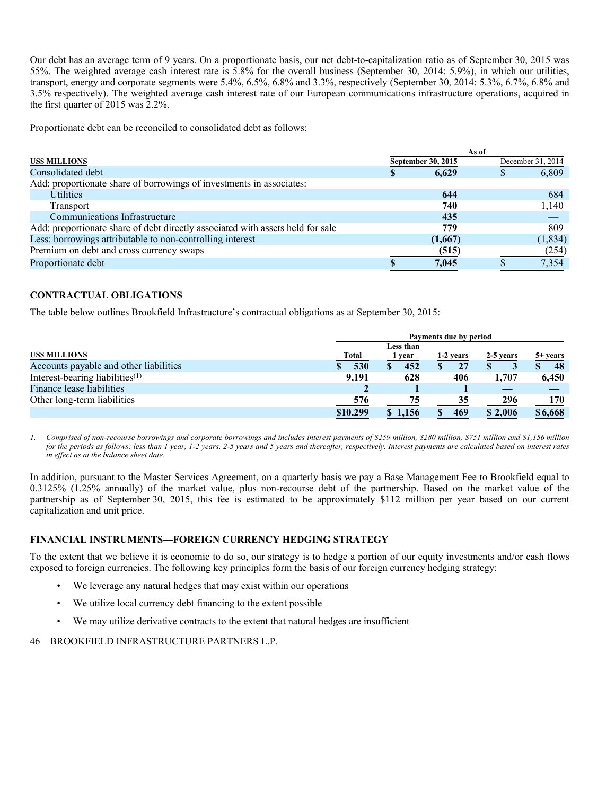Our debt has an average term of 9 years. On a proportionate basis, our net debt-to-capitalization ratio as of September 30, 2015 was 55%. The weighted average cash interest rate is 5.8% for the overall business (September 30, 2014: 5.9%), in which our utilities, transport, energy and corporate segments were 5.4%, 6.5%, 6.8% and 3.3%, respectively (September 30, 2014: 5.3%, 6.7%, 6.8% and 3.5% respectively). The weighted average cash interest rate of our European communications infrastructure operations, acquired in the first quarter of 2015 was 2.2%.

Proportionate debt can be reconciled to consolidated debt as follows:

|                                                                                | As of              |         |  |                   |  |
|--------------------------------------------------------------------------------|--------------------|---------|--|-------------------|--|
| <b>USS MILLIONS</b>                                                            | September 30, 2015 |         |  | December 31, 2014 |  |
| Consolidated debt                                                              | <sup>\$</sup>      | 6.629   |  | 6,809             |  |
| Add: proportionate share of borrowings of investments in associates:           |                    |         |  |                   |  |
| <b>Utilities</b>                                                               |                    | 644     |  | 684               |  |
| Transport                                                                      |                    | 740     |  | 1,140             |  |
| Communications Infrastructure                                                  |                    | 435     |  |                   |  |
| Add: proportionate share of debt directly associated with assets held for sale |                    | 779     |  | 809               |  |
| Less: borrowings attributable to non-controlling interest                      |                    | (1,667) |  | (1, 834)          |  |
| Premium on debt and cross currency swaps                                       |                    | (515)   |  | (254)             |  |
| Proportionate debt                                                             |                    | 7,045   |  | 7,354             |  |

# **CONTRACTUAL OBLIGATIONS**

The table below outlines Brookfield Infrastructure's contractual obligations as at September 30, 2015:

|                                        | Payments due by period |                   |           |           |                   |  |  |  |
|----------------------------------------|------------------------|-------------------|-----------|-----------|-------------------|--|--|--|
| <b>USS MILLIONS</b>                    | <b>Total</b>           | Less than<br>year | 1-2 years | 2-5 years | $5+ \text{years}$ |  |  |  |
| Accounts payable and other liabilities | 530                    | 452               | 27        |           | 48                |  |  |  |
| Interest-bearing liabilities $(1)$     | 9.191                  | 628               | 406       | 1.707     | 6,450             |  |  |  |
| Finance lease liabilities              |                        |                   |           |           |                   |  |  |  |
| Other long-term liabilities            | 576                    | 75                | 35        | 296       | 170               |  |  |  |
|                                        | \$10,299               | \$1,156           | 469       | \$2,006   | \$6,668           |  |  |  |

*1. Comprised of non-recourse borrowings and corporate borrowings and includes interest payments of \$259 million, \$280 million, \$751 million and \$1,156 million for the periods as follows: less than 1 year, 1-2 years, 2-5 years and 5 years and thereafter, respectively. Interest payments are calculated based on interest rates in effect as at the balance sheet date.* 

In addition, pursuant to the Master Services Agreement, on a quarterly basis we pay a Base Management Fee to Brookfield equal to 0.3125% (1.25% annually) of the market value, plus non-recourse debt of the partnership. Based on the market value of the partnership as of September 30, 2015, this fee is estimated to be approximately \$112 million per year based on our current capitalization and unit price.

#### **FINANCIAL INSTRUMENTS—FOREIGN CURRENCY HEDGING STRATEGY**

To the extent that we believe it is economic to do so, our strategy is to hedge a portion of our equity investments and/or cash flows exposed to foreign currencies. The following key principles form the basis of our foreign currency hedging strategy:

- We leverage any natural hedges that may exist within our operations
- We utilize local currency debt financing to the extent possible
- We may utilize derivative contracts to the extent that natural hedges are insufficient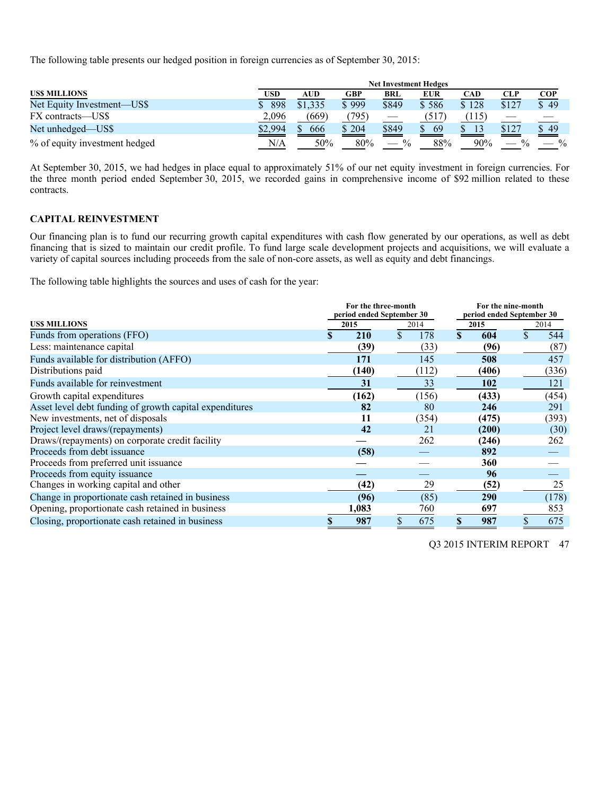The following table presents our hedged position in foreign currencies as of September 30, 2015:

|                               |         | <b>Net Investment Hedges</b> |       |                                    |            |            |                                    |               |  |
|-------------------------------|---------|------------------------------|-------|------------------------------------|------------|------------|------------------------------------|---------------|--|
| <b>USS MILLIONS</b>           | USD     | AUD                          | GBP   | <b>BRL</b>                         | <b>EUR</b> | <b>CAD</b> | <b>CLP</b>                         | <b>COP</b>    |  |
| Net Equity Investment—US\$    | 898     | \$1.335                      | \$999 | \$849                              | \$586      | \$128      | \$127                              | \$49          |  |
| FX contracts—US\$             | 2,096   | (669)                        | (795) |                                    | (517       | 115)       |                                    |               |  |
| Net unhedged—US\$             | \$2,994 | 666                          | \$204 | \$849                              | 69         | 13         | \$127                              | \$49          |  |
| % of equity investment hedged | N/A     | 50%                          | 80%   | $\frac{0}{0}$<br>$\hspace{0.05cm}$ | 88%        | 90%        | $\frac{0}{0}$<br>$\hspace{0.05cm}$ | $\frac{0}{0}$ |  |

At September 30, 2015, we had hedges in place equal to approximately 51% of our net equity investment in foreign currencies. For the three month period ended September 30, 2015, we recorded gains in comprehensive income of \$92 million related to these contracts.

## **CAPITAL REINVESTMENT**

Our financing plan is to fund our recurring growth capital expenditures with cash flow generated by our operations, as well as debt financing that is sized to maintain our credit profile. To fund large scale development projects and acquisitions, we will evaluate a variety of capital sources including proceeds from the sale of non-core assets, as well as equity and debt financings.

The following table highlights the sources and uses of cash for the year:

|                                                         | For the three-month |                           |  |       |                           | For the nine-month |      |       |  |  |
|---------------------------------------------------------|---------------------|---------------------------|--|-------|---------------------------|--------------------|------|-------|--|--|
|                                                         |                     | period ended September 30 |  |       | period ended September 30 |                    |      |       |  |  |
| <b>USS MILLIONS</b>                                     |                     | 2015                      |  | 2014  | 2015                      |                    | 2014 |       |  |  |
| Funds from operations (FFO)                             |                     | 210                       |  | 178   |                           | 604                |      | 544   |  |  |
| Less: maintenance capital                               |                     | (39)                      |  | (33)  |                           | (96)               |      | (87)  |  |  |
| Funds available for distribution (AFFO)                 |                     | 171                       |  | 145   |                           | 508                |      | 457   |  |  |
| Distributions paid                                      |                     | (140)                     |  | (112) |                           | (406)              |      | (336) |  |  |
| Funds available for reinvestment                        |                     | 31                        |  | 33    |                           | 102                |      | 121   |  |  |
| Growth capital expenditures                             |                     | (162)                     |  | (156) |                           | (433)              |      | (454) |  |  |
| Asset level debt funding of growth capital expenditures |                     | 82                        |  | 80    |                           | 246                |      | 291   |  |  |
| New investments, net of disposals                       |                     | 11                        |  | (354) |                           | (475)              |      | (393) |  |  |
| Project level draws/(repayments)                        |                     | 42                        |  | 21    |                           | (200)              |      | (30)  |  |  |
| Draws/(repayments) on corporate credit facility         |                     |                           |  | 262   |                           | (246)              |      | 262   |  |  |
| Proceeds from debt issuance                             |                     | (58)                      |  |       |                           | 892                |      |       |  |  |
| Proceeds from preferred unit issuance                   |                     |                           |  |       |                           | 360                |      |       |  |  |
| Proceeds from equity issuance                           |                     |                           |  |       |                           | 96                 |      |       |  |  |
| Changes in working capital and other                    |                     | (42)                      |  | 29    |                           | (52)               |      | 25    |  |  |
| Change in proportionate cash retained in business       |                     | (96)                      |  | (85)  |                           | <b>290</b>         |      | (178) |  |  |
| Opening, proportionate cash retained in business        |                     | 1,083                     |  | 760   |                           | 697                |      | 853   |  |  |
| Closing, proportionate cash retained in business        |                     | 987                       |  | 675   |                           | 987                |      | 675   |  |  |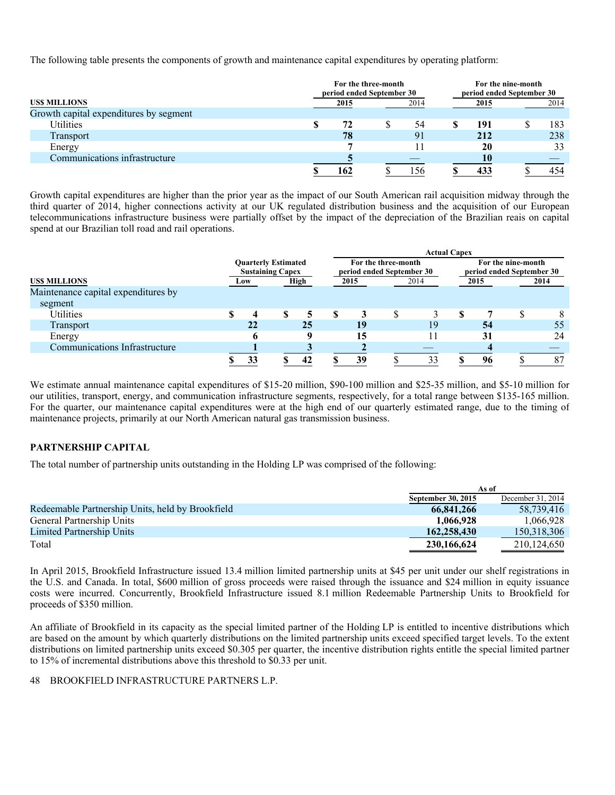The following table presents the components of growth and maintenance capital expenditures by operating platform:

|                                        | period ended September 30 | For the three-month | For the nine-month<br>period ended September 30 |      |  |      |
|----------------------------------------|---------------------------|---------------------|-------------------------------------------------|------|--|------|
| <b>USS MILLIONS</b>                    | 2015                      |                     | 2014                                            | 2015 |  | 2014 |
| Growth capital expenditures by segment |                           |                     |                                                 |      |  |      |
| Utilities                              | 72                        |                     | 54                                              | 191  |  | 183  |
| Transport                              | 78                        |                     | 91                                              | 212  |  | 238  |
| Energy                                 |                           |                     |                                                 | 20   |  | 33   |
| Communications infrastructure          |                           |                     |                                                 | 10   |  |      |
|                                        | 162                       |                     | 156                                             |      |  | 454  |

Growth capital expenditures are higher than the prior year as the impact of our South American rail acquisition midway through the third quarter of 2014, higher connections activity at our UK regulated distribution business and the acquisition of our European telecommunications infrastructure business were partially offset by the impact of the depreciation of the Brazilian reais on capital spend at our Brazilian toll road and rail operations.

|                                     |                                                       |  |      |      |                                                  |      | <b>Actual Capex</b>                             |      |  |      |
|-------------------------------------|-------------------------------------------------------|--|------|------|--------------------------------------------------|------|-------------------------------------------------|------|--|------|
|                                     | <b>Quarterly Estimated</b><br><b>Sustaining Capex</b> |  |      |      | For the three-month<br>period ended September 30 |      | For the nine-month<br>period ended September 30 |      |  |      |
| <b>USS MILLIONS</b>                 | Low                                                   |  | High | 2015 |                                                  | 2014 |                                                 | 2015 |  | 2014 |
| Maintenance capital expenditures by |                                                       |  |      |      |                                                  |      |                                                 |      |  |      |
| segment                             |                                                       |  |      |      |                                                  |      |                                                 |      |  |      |
| Utilities                           | 4                                                     |  |      | 3    |                                                  |      |                                                 |      |  | 8    |
| <b>Transport</b>                    | 22                                                    |  | 25   | 19   |                                                  | 19   |                                                 | 54   |  | 55   |
| Energy                              |                                                       |  |      | 15   |                                                  |      |                                                 | 31   |  | 24   |
| Communications Infrastructure       |                                                       |  |      |      |                                                  |      |                                                 |      |  |      |
|                                     | 33                                                    |  | 42   | 39   |                                                  | 33   |                                                 | 96   |  | 87   |

We estimate annual maintenance capital expenditures of \$15-20 million, \$90-100 million and \$25-35 million, and \$5-10 million for our utilities, transport, energy, and communication infrastructure segments, respectively, for a total range between \$135-165 million. For the quarter, our maintenance capital expenditures were at the high end of our quarterly estimated range, due to the timing of maintenance projects, primarily at our North American natural gas transmission business.

# **PARTNERSHIP CAPITAL**

The total number of partnership units outstanding in the Holding LP was comprised of the following:

|                                                  |                    | As of             |
|--------------------------------------------------|--------------------|-------------------|
|                                                  | September 30, 2015 | December 31, 2014 |
| Redeemable Partnership Units, held by Brookfield | 66,841,266         | 58.739.416        |
| General Partnership Units                        | 1,066,928          | 1.066.928         |
| Limited Partnership Units                        | 162,258,430        | 150.318.306       |
| Total                                            | 230,166,624        | 210.124.650       |

In April 2015, Brookfield Infrastructure issued 13.4 million limited partnership units at \$45 per unit under our shelf registrations in the U.S. and Canada. In total, \$600 million of gross proceeds were raised through the issuance and \$24 million in equity issuance costs were incurred. Concurrently, Brookfield Infrastructure issued 8.1 million Redeemable Partnership Units to Brookfield for proceeds of \$350 million.

An affiliate of Brookfield in its capacity as the special limited partner of the Holding LP is entitled to incentive distributions which are based on the amount by which quarterly distributions on the limited partnership units exceed specified target levels. To the extent distributions on limited partnership units exceed \$0.305 per quarter, the incentive distribution rights entitle the special limited partner to 15% of incremental distributions above this threshold to \$0.33 per unit.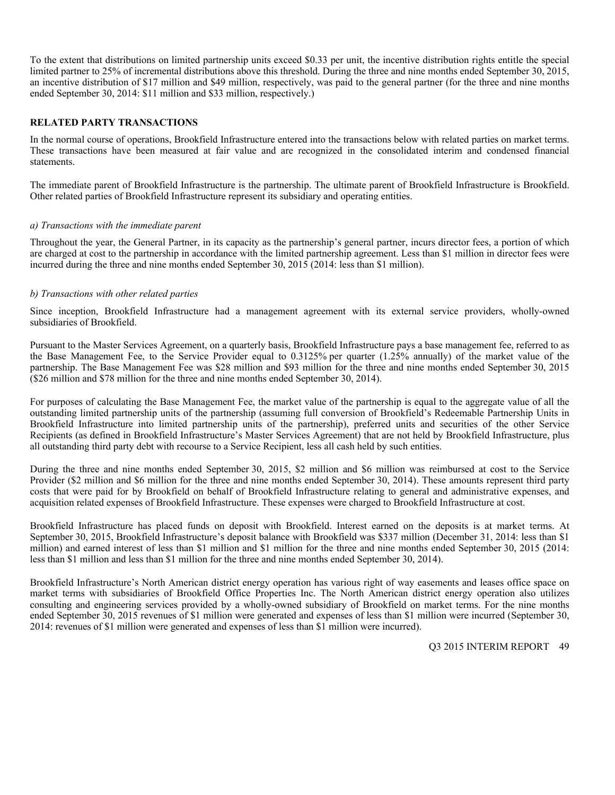To the extent that distributions on limited partnership units exceed \$0.33 per unit, the incentive distribution rights entitle the special limited partner to 25% of incremental distributions above this threshold. During the three and nine months ended September 30, 2015, an incentive distribution of \$17 million and \$49 million, respectively, was paid to the general partner (for the three and nine months ended September 30, 2014: \$11 million and \$33 million, respectively.)

#### **RELATED PARTY TRANSACTIONS**

In the normal course of operations, Brookfield Infrastructure entered into the transactions below with related parties on market terms. These transactions have been measured at fair value and are recognized in the consolidated interim and condensed financial statements.

The immediate parent of Brookfield Infrastructure is the partnership. The ultimate parent of Brookfield Infrastructure is Brookfield. Other related parties of Brookfield Infrastructure represent its subsidiary and operating entities.

#### *a) Transactions with the immediate parent*

Throughout the year, the General Partner, in its capacity as the partnership's general partner, incurs director fees, a portion of which are charged at cost to the partnership in accordance with the limited partnership agreement. Less than \$1 million in director fees were incurred during the three and nine months ended September 30, 2015 (2014: less than \$1 million).

#### *b) Transactions with other related parties*

Since inception, Brookfield Infrastructure had a management agreement with its external service providers, wholly-owned subsidiaries of Brookfield.

Pursuant to the Master Services Agreement, on a quarterly basis, Brookfield Infrastructure pays a base management fee, referred to as the Base Management Fee, to the Service Provider equal to 0.3125% per quarter (1.25% annually) of the market value of the partnership. The Base Management Fee was \$28 million and \$93 million for the three and nine months ended September 30, 2015 (\$26 million and \$78 million for the three and nine months ended September 30, 2014).

For purposes of calculating the Base Management Fee, the market value of the partnership is equal to the aggregate value of all the outstanding limited partnership units of the partnership (assuming full conversion of Brookfield's Redeemable Partnership Units in Brookfield Infrastructure into limited partnership units of the partnership), preferred units and securities of the other Service Recipients (as defined in Brookfield Infrastructure's Master Services Agreement) that are not held by Brookfield Infrastructure, plus all outstanding third party debt with recourse to a Service Recipient, less all cash held by such entities.

During the three and nine months ended September 30, 2015, \$2 million and \$6 million was reimbursed at cost to the Service Provider (\$2 million and \$6 million for the three and nine months ended September 30, 2014). These amounts represent third party costs that were paid for by Brookfield on behalf of Brookfield Infrastructure relating to general and administrative expenses, and acquisition related expenses of Brookfield Infrastructure. These expenses were charged to Brookfield Infrastructure at cost.

Brookfield Infrastructure has placed funds on deposit with Brookfield. Interest earned on the deposits is at market terms. At September 30, 2015, Brookfield Infrastructure's deposit balance with Brookfield was \$337 million (December 31, 2014: less than \$1 million) and earned interest of less than \$1 million and \$1 million for the three and nine months ended September 30, 2015 (2014: less than \$1 million and less than \$1 million for the three and nine months ended September 30, 2014).

Brookfield Infrastructure's North American district energy operation has various right of way easements and leases office space on market terms with subsidiaries of Brookfield Office Properties Inc. The North American district energy operation also utilizes consulting and engineering services provided by a wholly-owned subsidiary of Brookfield on market terms. For the nine months ended September 30, 2015 revenues of \$1 million were generated and expenses of less than \$1 million were incurred (September 30, 2014: revenues of \$1 million were generated and expenses of less than \$1 million were incurred).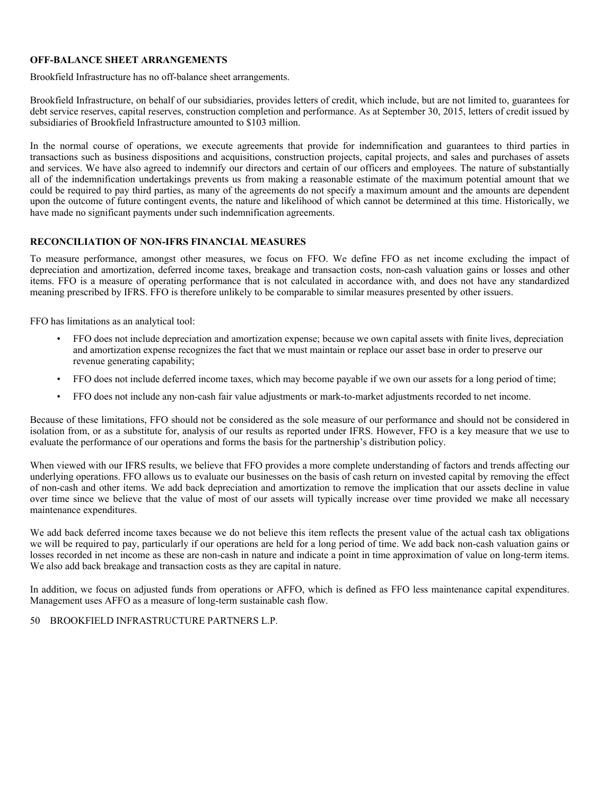#### **OFF-BALANCE SHEET ARRANGEMENTS**

Brookfield Infrastructure has no off-balance sheet arrangements.

Brookfield Infrastructure, on behalf of our subsidiaries, provides letters of credit, which include, but are not limited to, guarantees for debt service reserves, capital reserves, construction completion and performance. As at September 30, 2015, letters of credit issued by subsidiaries of Brookfield Infrastructure amounted to \$103 million.

In the normal course of operations, we execute agreements that provide for indemnification and guarantees to third parties in transactions such as business dispositions and acquisitions, construction projects, capital projects, and sales and purchases of assets and services. We have also agreed to indemnify our directors and certain of our officers and employees. The nature of substantially all of the indemnification undertakings prevents us from making a reasonable estimate of the maximum potential amount that we could be required to pay third parties, as many of the agreements do not specify a maximum amount and the amounts are dependent upon the outcome of future contingent events, the nature and likelihood of which cannot be determined at this time. Historically, we have made no significant payments under such indemnification agreements.

#### **RECONCILIATION OF NON-IFRS FINANCIAL MEASURES**

To measure performance, amongst other measures, we focus on FFO. We define FFO as net income excluding the impact of depreciation and amortization, deferred income taxes, breakage and transaction costs, non-cash valuation gains or losses and other items. FFO is a measure of operating performance that is not calculated in accordance with, and does not have any standardized meaning prescribed by IFRS. FFO is therefore unlikely to be comparable to similar measures presented by other issuers.

FFO has limitations as an analytical tool:

- FFO does not include depreciation and amortization expense; because we own capital assets with finite lives, depreciation and amortization expense recognizes the fact that we must maintain or replace our asset base in order to preserve our revenue generating capability;
- FFO does not include deferred income taxes, which may become payable if we own our assets for a long period of time;
- FFO does not include any non-cash fair value adjustments or mark-to-market adjustments recorded to net income.

Because of these limitations, FFO should not be considered as the sole measure of our performance and should not be considered in isolation from, or as a substitute for, analysis of our results as reported under IFRS. However, FFO is a key measure that we use to evaluate the performance of our operations and forms the basis for the partnership's distribution policy.

When viewed with our IFRS results, we believe that FFO provides a more complete understanding of factors and trends affecting our underlying operations. FFO allows us to evaluate our businesses on the basis of cash return on invested capital by removing the effect of non-cash and other items. We add back depreciation and amortization to remove the implication that our assets decline in value over time since we believe that the value of most of our assets will typically increase over time provided we make all necessary maintenance expenditures.

We add back deferred income taxes because we do not believe this item reflects the present value of the actual cash tax obligations we will be required to pay, particularly if our operations are held for a long period of time. We add back non-cash valuation gains or losses recorded in net income as these are non-cash in nature and indicate a point in time approximation of value on long-term items. We also add back breakage and transaction costs as they are capital in nature.

In addition, we focus on adjusted funds from operations or AFFO, which is defined as FFO less maintenance capital expenditures. Management uses AFFO as a measure of long-term sustainable cash flow.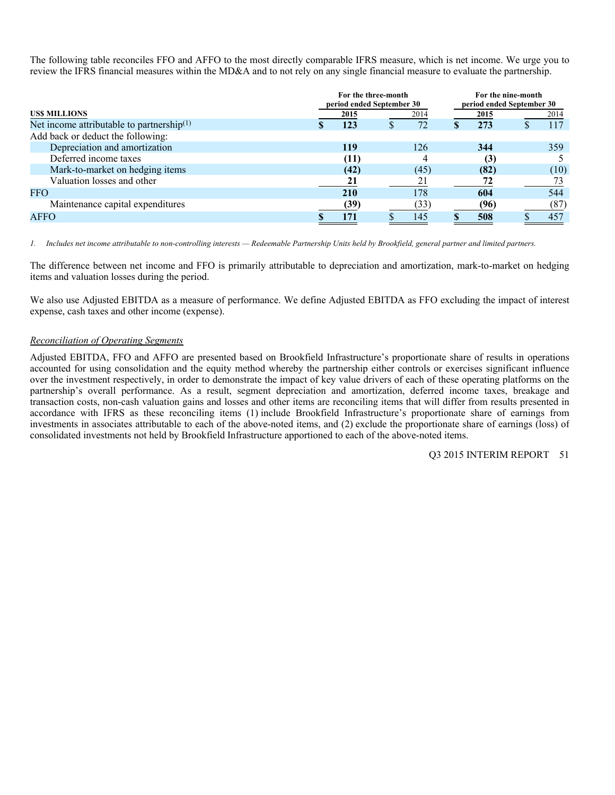The following table reconciles FFO and AFFO to the most directly comparable IFRS measure, which is net income. We urge you to review the IFRS financial measures within the MD&A and to not rely on any single financial measure to evaluate the partnership.

| period ended September 30 |  |
|---------------------------|--|
| 2014                      |  |
| 117                       |  |
|                           |  |
| 359                       |  |
|                           |  |
| (10)                      |  |
|                           |  |
| 544                       |  |
| (87)                      |  |
| 457                       |  |
|                           |  |

*1. Includes net income attributable to non-controlling interests — Redeemable Partnership Units held by Brookfield, general partner and limited partners.* 

The difference between net income and FFO is primarily attributable to depreciation and amortization, mark-to-market on hedging items and valuation losses during the period.

We also use Adjusted EBITDA as a measure of performance. We define Adjusted EBITDA as FFO excluding the impact of interest expense, cash taxes and other income (expense).

#### *Reconciliation of Operating Segments*

Adjusted EBITDA, FFO and AFFO are presented based on Brookfield Infrastructure's proportionate share of results in operations accounted for using consolidation and the equity method whereby the partnership either controls or exercises significant influence over the investment respectively, in order to demonstrate the impact of key value drivers of each of these operating platforms on the partnership's overall performance. As a result, segment depreciation and amortization, deferred income taxes, breakage and transaction costs, non-cash valuation gains and losses and other items are reconciling items that will differ from results presented in accordance with IFRS as these reconciling items (1) include Brookfield Infrastructure's proportionate share of earnings from investments in associates attributable to each of the above-noted items, and (2) exclude the proportionate share of earnings (loss) of consolidated investments not held by Brookfield Infrastructure apportioned to each of the above-noted items.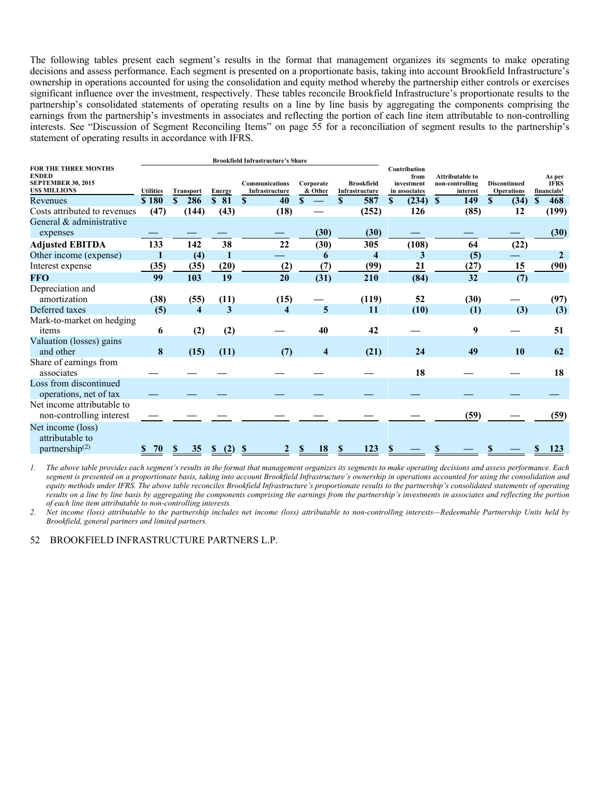The following tables present each segment's results in the format that management organizes its segments to make operating decisions and assess performance. Each segment is presented on a proportionate basis, taking into account Brookfield Infrastructure's ownership in operations accounted for using the consolidation and equity method whereby the partnership either controls or exercises significant influence over the investment, respectively. These tables reconcile Brookfield Infrastructure's proportionate results to the partnership's consolidated statements of operating results on a line by line basis by aggregating the components comprising the earnings from the partnership's investments in associates and reflecting the portion of each line item attributable to non-controlling interests. See "Discussion of Segment Reconciling Items" on page 55 for a reconciliation of segment results to the partnership's statement of operating results in accordance with IFRS.

|                                                                                          |                  |                                  |                      | <b>Brookfield Infrastructure's Share</b> |                      |                                     |                                                     |                                                       |                                          |                                                  |
|------------------------------------------------------------------------------------------|------------------|----------------------------------|----------------------|------------------------------------------|----------------------|-------------------------------------|-----------------------------------------------------|-------------------------------------------------------|------------------------------------------|--------------------------------------------------|
| FOR THE THREE MONTHS<br><b>ENDED</b><br><b>SEPTEMBER 30, 2015</b><br><b>USS MILLIONS</b> | <b>Utilities</b> | <b>Transport</b>                 | Energy               | Communications<br>Infrastructure         | Corporate<br>& Other | <b>Brookfield</b><br>Infrastructure | Contribution<br>from<br>investment<br>in associates | <b>Attributable to</b><br>non-controlling<br>interest | <b>Discontinued</b><br><b>Operations</b> | As per<br><b>IFRS</b><br>financials <sup>1</sup> |
| Revenues                                                                                 | \$180            | 286<br>S                         | 81<br><sup>\$</sup>  | 40<br><b>S</b>                           | S                    | 587<br>S.                           | (234)<br><sup>\$</sup>                              | <sup>\$</sup><br>149                                  | <b>S</b><br>(34)                         | 468<br>\$                                        |
| Costs attributed to revenues                                                             | (47)             | (144)                            | (43)                 | (18)                                     |                      | (252)                               | 126                                                 | (85)                                                  | 12                                       | (199)                                            |
| General & administrative<br>expenses                                                     |                  |                                  |                      |                                          | (30)                 | (30)                                |                                                     |                                                       |                                          | (30)                                             |
| <b>Adjusted EBITDA</b>                                                                   | 133              | 142                              | 38                   | 22                                       | (30)                 | 305                                 | (108)                                               | 64                                                    | (22)                                     |                                                  |
| Other income (expense)                                                                   |                  | (4)                              |                      |                                          | 6                    | $\overline{\bf{4}}$                 | 3                                                   | (5)                                                   |                                          | $\mathbf{2}$                                     |
| Interest expense                                                                         | (35)             | (35)                             | (20)                 | (2)                                      | (7)                  | (99)                                | 21                                                  | (27)                                                  | 15                                       | (90)                                             |
| <b>FFO</b>                                                                               | 99               | 103                              | 19                   | 20                                       | (31)                 | 210                                 | (84)                                                | 32                                                    | (7)                                      |                                                  |
| Depreciation and<br>amortization                                                         | (38)             | (55)                             | (11)                 | (15)                                     |                      | (119)                               | 52                                                  | (30)                                                  |                                          | (97)                                             |
| Deferred taxes                                                                           | (5)              | $\overline{\bf{4}}$              | 3                    | 4                                        | 5                    | 11                                  | (10)                                                | (1)                                                   | (3)                                      | (3)                                              |
| Mark-to-market on hedging<br>items                                                       | 6                | (2)                              | (2)                  |                                          | 40                   | 42                                  |                                                     | 9                                                     |                                          | 51                                               |
| Valuation (losses) gains<br>and other                                                    | 8                | (15)                             | (11)                 | (7)                                      | 4                    | (21)                                | 24                                                  | 49                                                    | <b>10</b>                                | 62                                               |
| Share of earnings from<br>associates                                                     |                  |                                  |                      |                                          |                      |                                     | 18                                                  |                                                       |                                          | 18                                               |
| Loss from discontinued<br>operations, net of tax                                         |                  |                                  |                      |                                          |                      |                                     |                                                     |                                                       |                                          |                                                  |
| Net income attributable to<br>non-controlling interest                                   |                  |                                  |                      |                                          |                      |                                     |                                                     | (59)                                                  |                                          | (59)                                             |
| Net income (loss)<br>attributable to<br>partnership $(2)$                                | 70               | 35 <sub>5</sub><br>$\mathbf{\$}$ | (2)<br>$\mathbf{\$}$ | $\mathbf{\$}$                            | 18<br>S              | 123<br>$\mathbf{\$}$                | \$                                                  |                                                       |                                          | 123                                              |

*1. The above table provides each segment's results in the format that management organizes its segments to make operating decisions and assess performance. Each segment is presented on a proportionate basis, taking into account Brookfield Infrastructure's ownership in operations accounted for using the consolidation and equity methods under IFRS. The above table reconciles Brookfield Infrastructure's proportionate results to the partnership's consolidated statements of operating results on a line by line basis by aggregating the components comprising the earnings from the partnership's investments in associates and reflecting the portion of each line item attributable to non-controlling interests.* 

*2. Net income (loss) attributable to the partnership includes net income (loss) attributable to non-controlling interests—Redeemable Partnership Units held by Brookfield, general partners and limited partners.*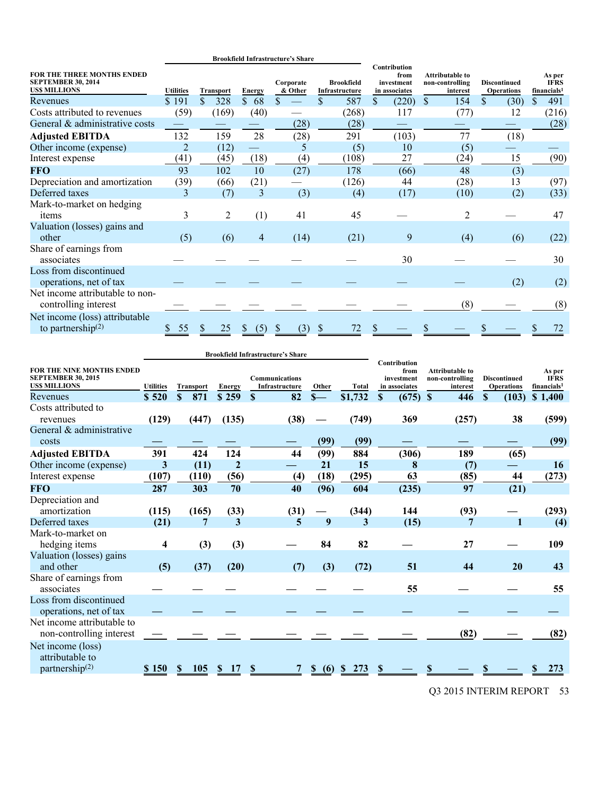|                                                                                |                  |                  |               | <b>Brookfield Infrastructure's Share</b> |                                     |                                                     |                                                       |                                          |                                                  |
|--------------------------------------------------------------------------------|------------------|------------------|---------------|------------------------------------------|-------------------------------------|-----------------------------------------------------|-------------------------------------------------------|------------------------------------------|--------------------------------------------------|
| FOR THE THREE MONTHS ENDED<br><b>SEPTEMBER 30, 2014</b><br><b>USS MILLIONS</b> | <b>Utilities</b> | <b>Transport</b> | <b>Energy</b> | Corporate<br>& Other                     | <b>Brookfield</b><br>Infrastructure | Contribution<br>from<br>investment<br>in associates | <b>Attributable to</b><br>non-controlling<br>interest | <b>Discontinued</b><br><b>Operations</b> | As per<br><b>IFRS</b><br>financials <sup>1</sup> |
| Revenues                                                                       | \$191            | \$<br>328        | \$<br>68      | S                                        | \$<br>587                           | \$<br>(220)                                         | \$<br>154                                             | \$<br>(30)                               | \$<br>491                                        |
| Costs attributed to revenues                                                   | (59)             | (169)            | (40)          |                                          | (268)                               | 117                                                 | (77)                                                  | 12                                       | (216)                                            |
| General & administrative costs                                                 |                  |                  |               | (28)                                     | (28)                                |                                                     |                                                       |                                          | (28)                                             |
| <b>Adjusted EBITDA</b>                                                         | 132              | 159              | 28            | (28)                                     | 291                                 | (103)                                               | 77                                                    | (18)                                     |                                                  |
| Other income (expense)                                                         | $\overline{2}$   | (12)             |               | 5                                        | (5)                                 | 10                                                  | (5)                                                   |                                          |                                                  |
| Interest expense                                                               | (41)             | (45)             | (18)          | (4)                                      | (108)                               | 27                                                  | (24)                                                  | 15                                       | (90)                                             |
| <b>FFO</b>                                                                     | 93               | 102              | 10            | (27)                                     | 178                                 | (66)                                                | 48                                                    | (3)                                      |                                                  |
| Depreciation and amortization                                                  | (39)             | (66)             | (21)          |                                          | (126)                               | 44                                                  | (28)                                                  | 13                                       | (97)                                             |
| Deferred taxes                                                                 | 3                | (7)              | 3             | (3)                                      | (4)                                 | (17)                                                | (10)                                                  | (2)                                      | (33)                                             |
| Mark-to-market on hedging<br>items                                             | 3                | 2                | (1)           | 41                                       | 45                                  |                                                     | $\overline{c}$                                        |                                          | 47                                               |
| Valuation (losses) gains and<br>other                                          | (5)              | (6)              | 4             | (14)                                     | (21)                                | 9                                                   | (4)                                                   | (6)                                      | (22)                                             |
| Share of earnings from<br>associates                                           |                  |                  |               |                                          |                                     | 30                                                  |                                                       |                                          | 30                                               |
| Loss from discontinued<br>operations, net of tax                               |                  |                  |               |                                          |                                     |                                                     |                                                       | (2)                                      | (2)                                              |
| Net income attributable to non-<br>controlling interest                        |                  |                  |               |                                          |                                     |                                                     | (8)                                                   |                                          | (8)                                              |
| Net income (loss) attributable<br>to partnership $(2)$                         | 55               |                  | (5)           | (3)                                      |                                     |                                                     |                                                       |                                          |                                                  |

|                                                                               |                  |                     |                | <b>Brookfield Infrastructure's Share</b> |                |              |                                                     |                                                       |                                          |                                                  |
|-------------------------------------------------------------------------------|------------------|---------------------|----------------|------------------------------------------|----------------|--------------|-----------------------------------------------------|-------------------------------------------------------|------------------------------------------|--------------------------------------------------|
| FOR THE NINE MONTHS ENDED<br><b>SEPTEMBER 30, 2015</b><br><b>USS MILLIONS</b> | <b>Utilities</b> | <b>Transport</b>    | <b>Energy</b>  | <b>Communications</b><br>Infrastructure  | Other          | <b>Total</b> | Contribution<br>from<br>investment<br>in associates | <b>Attributable to</b><br>non-controlling<br>interest | <b>Discontinued</b><br><b>Operations</b> | As per<br><b>IFRS</b><br>financials <sup>1</sup> |
| Revenues                                                                      | \$520            | $\mathbf{s}$<br>871 | \$259          | 82<br>S                                  | $S-$           | \$1,732      | $\mathbf S$<br>(675)                                | $\mathbf{\$}$<br>446                                  | S.<br>(103)                              | \$1,400                                          |
| Costs attributed to<br>revenues                                               | (129)            | (447)               | (135)          | (38)                                     |                | (749)        | 369                                                 | (257)                                                 | 38                                       | (599)                                            |
| General & administrative<br>costs                                             |                  |                     |                |                                          | (99)           | (99)         |                                                     |                                                       |                                          | (99)                                             |
| <b>Adjusted EBITDA</b>                                                        | 391              | 424                 | 124            | 44                                       | (99)           | 884          | (306)                                               | 189                                                   | (65)                                     |                                                  |
| Other income (expense)                                                        | 3                | (11)                | $\overline{2}$ |                                          | 21             | 15           | 8                                                   | (7)                                                   |                                          | 16                                               |
| Interest expense                                                              | (107)            | (110)               | (56)           | (4)                                      | (18)           | (295)        | 63                                                  | (85)                                                  | 44                                       | (273)                                            |
| <b>FFO</b>                                                                    | 287              | 303                 | 70             | 40                                       | (96)           | 604          | (235)                                               | 97                                                    | (21)                                     |                                                  |
| Depreciation and<br>amortization                                              | (115)            | (165)               | (33)           | (31)                                     |                | (344)        | 144                                                 | (93)                                                  |                                          | (293)                                            |
| Deferred taxes                                                                | (21)             | 7                   | 3              | 5                                        | 9              | 3            | (15)                                                | 7                                                     | $\mathbf{1}$                             | (4)                                              |
| Mark-to-market on<br>hedging items                                            | 4                | (3)                 | (3)            |                                          | 84             | 82           |                                                     | 27                                                    |                                          | 109                                              |
| Valuation (losses) gains<br>and other                                         | (5)              | (37)                | (20)           | (7)                                      | (3)            | (72)         | 51                                                  | 44                                                    | 20                                       | 43                                               |
| Share of earnings from<br>associates                                          |                  |                     |                |                                          |                |              | 55                                                  |                                                       |                                          | 55                                               |
| Loss from discontinued<br>operations, net of tax                              |                  |                     |                |                                          |                |              |                                                     |                                                       |                                          |                                                  |
| Net income attributable to<br>non-controlling interest                        |                  |                     |                |                                          |                |              |                                                     | (82)                                                  |                                          | (82)                                             |
| Net income (loss)<br>attributable to<br>partnership <sup>(2)</sup>            | \$150            | <b>105</b><br>S     | <sup>S</sup>   |                                          | $\frac{\$}(6)$ | 273<br>-SS   | S                                                   |                                                       |                                          | 273                                              |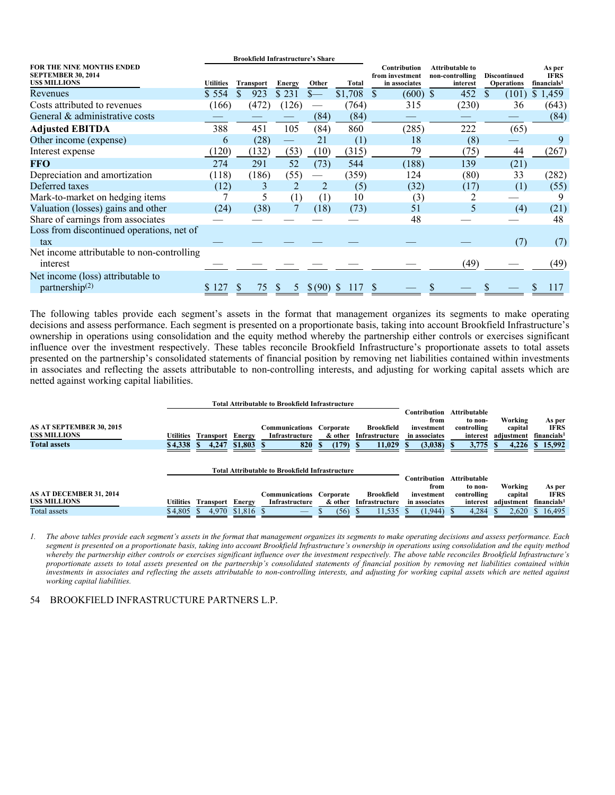| <b>Brookfield Infrastructure's Share</b>                                             |           |                  |               |         |         |                                                         |                                                |                                          |                                                  |  |  |
|--------------------------------------------------------------------------------------|-----------|------------------|---------------|---------|---------|---------------------------------------------------------|------------------------------------------------|------------------------------------------|--------------------------------------------------|--|--|
| <b>FOR THE NINE MONTHS ENDED</b><br><b>SEPTEMBER 30, 2014</b><br><b>USS MILLIONS</b> | Utilities | <b>Transport</b> | <b>Energy</b> | Other   | Total   | <b>Contribution</b><br>from investment<br>in associates | Attributable to<br>non-controlling<br>interest | <b>Discontinued</b><br><b>Operations</b> | As per<br><b>IFRS</b><br>financials <sup>1</sup> |  |  |
| Revenues                                                                             | \$554     | 923<br>S         | \$231         | $S-$    | \$1,708 | $\mathbb{S}$<br>$(600)$ \$                              | 452                                            | \$.<br>(101)                             | \$1,459                                          |  |  |
| Costs attributed to revenues                                                         | (166)     | (472)            | (126)         |         | (764)   | 315                                                     | (230)                                          | 36                                       | (643)                                            |  |  |
| General & administrative costs                                                       |           |                  |               | (84)    | (84)    |                                                         |                                                |                                          | (84)                                             |  |  |
| <b>Adjusted EBITDA</b>                                                               | 388       | 451              | 105           | (84)    | 860     | (285)                                                   | 222                                            | (65)                                     |                                                  |  |  |
| Other income (expense)                                                               | 6         | (28)             | -             | 21      | (1)     | 18                                                      | (8)                                            |                                          | 9                                                |  |  |
| Interest expense                                                                     | (120)     | (132)            | (53)          | (10)    | (315)   | 79                                                      | (75)                                           | 44                                       | (267)                                            |  |  |
| <b>FFO</b>                                                                           | 274       | 291              | 52            | (73)    | 544     | (188)                                                   | 139                                            | (21)                                     |                                                  |  |  |
| Depreciation and amortization                                                        | (118)     | (186)            | (55)          |         | (359)   | 124                                                     | (80)                                           | 33                                       | (282)                                            |  |  |
| Deferred taxes                                                                       | (12)      | 3                | 2             | 2       | (5)     | (32)                                                    | (17)                                           | (1)                                      | (55)                                             |  |  |
| Mark-to-market on hedging items                                                      |           | 5                | (1)           | (1)     | 10      | (3)                                                     |                                                |                                          | 9                                                |  |  |
| Valuation (losses) gains and other                                                   | (24)      | (38)             |               | (18)    | (73)    | 51                                                      | 5                                              | (4)                                      | (21)                                             |  |  |
| Share of earnings from associates                                                    |           |                  |               |         |         | 48                                                      |                                                |                                          | 48                                               |  |  |
| Loss from discontinued operations, net of                                            |           |                  |               |         |         |                                                         |                                                |                                          |                                                  |  |  |
| tax                                                                                  |           |                  |               |         |         |                                                         |                                                | (7)                                      | (7)                                              |  |  |
| Net income attributable to non-controlling<br>interest                               |           |                  |               |         |         |                                                         | (49)                                           |                                          | (49)                                             |  |  |
| Net income (loss) attributable to                                                    |           |                  |               |         |         |                                                         |                                                |                                          |                                                  |  |  |
| partnership $(2)$                                                                    |           | 75<br>S          | Ж             | \$ (90) |         |                                                         |                                                |                                          | 117                                              |  |  |

The following tables provide each segment's assets in the format that management organizes its segments to make operating decisions and assess performance. Each segment is presented on a proportionate basis, taking into account Brookfield Infrastructure's ownership in operations using consolidation and the equity method whereby the partnership either controls or exercises significant influence over the investment respectively. These tables reconcile Brookfield Infrastructure's proportionate assets to total assets presented on the partnership's consolidated statements of financial position by removing net liabilities contained within investments in associates and reflecting the assets attributable to non-controlling interests, and adjusting for working capital assets which are netted against working capital liabilities.

|                          |                  |                  |             | Total Attributable to Brookfield Infrastructure |            |                   |               |                     |            |                         |
|--------------------------|------------------|------------------|-------------|-------------------------------------------------|------------|-------------------|---------------|---------------------|------------|-------------------------|
|                          |                  |                  |             |                                                 |            |                   | Contribution  | <b>Attributable</b> |            |                         |
|                          |                  |                  |             |                                                 |            |                   | from          | to non-             | Working    | As per                  |
| AS AT SEPTEMBER 30, 2015 |                  |                  |             | <b>Communications Corporate</b>                 |            | <b>Brookfield</b> | investment    | controlling         | capital    | <b>IFRS</b>             |
| <b>USS MILLIONS</b>      | <b>Utilities</b> | Transport        | Energy      | Infrastructure                                  | & other    | Infrastructure    | in associates | interest            | adiustment | financials <sup>1</sup> |
| <b>Total assets</b>      | \$4,338          | 4,247<br>-8      | $$1,803$ \$ | 820                                             | $(179)$ \$ | 11,029            | (3,038)       | $3,775$ \$          | 4,226      | \$15,992                |
|                          |                  |                  |             |                                                 |            |                   |               |                     |            |                         |
|                          |                  |                  |             |                                                 |            |                   |               |                     |            |                         |
|                          |                  |                  |             | Total Attributable to Brookfield Infrastructure |            |                   |               |                     |            |                         |
|                          |                  |                  |             |                                                 |            |                   | Contribution  | <b>Attributable</b> |            |                         |
|                          |                  |                  |             |                                                 |            |                   | from          | to non-             | Working    | As per                  |
| AS AT DECEMBER 31, 2014  |                  |                  |             | <b>Communications Corporate</b>                 |            | <b>Brookfield</b> | investment    | controlling         | capital    | <b>IFRS</b>             |
| <b>USS MILLIONS</b>      | <b>Utilities</b> | <b>Transport</b> | Energy      | Infrastructure                                  | & other    | Infrastructure    | in associates | interest            | adiustment | financials <sup>1</sup> |
| Total assets             | \$4,805          | 4.970            | $$1,816$ \$ |                                                 | (56)       | 11,535            | (1,944)       | 4,284               | 2,620      | 16,495                  |
|                          |                  |                  |             |                                                 |            |                   |               |                     |            |                         |

*1. The above tables provide each segment's assets in the format that management organizes its segments to make operating decisions and assess performance. Each segment is presented on a proportionate basis, taking into account Brookfield Infrastructure's ownership in operations using consolidation and the equity method whereby the partnership either controls or exercises significant influence over the investment respectively. The above table reconciles Brookfield Infrastructure's proportionate assets to total assets presented on the partnership's consolidated statements of financial position by removing net liabilities contained within investments in associates and reflecting the assets attributable to non-controlling interests, and adjusting for working capital assets which are netted against working capital liabilities.*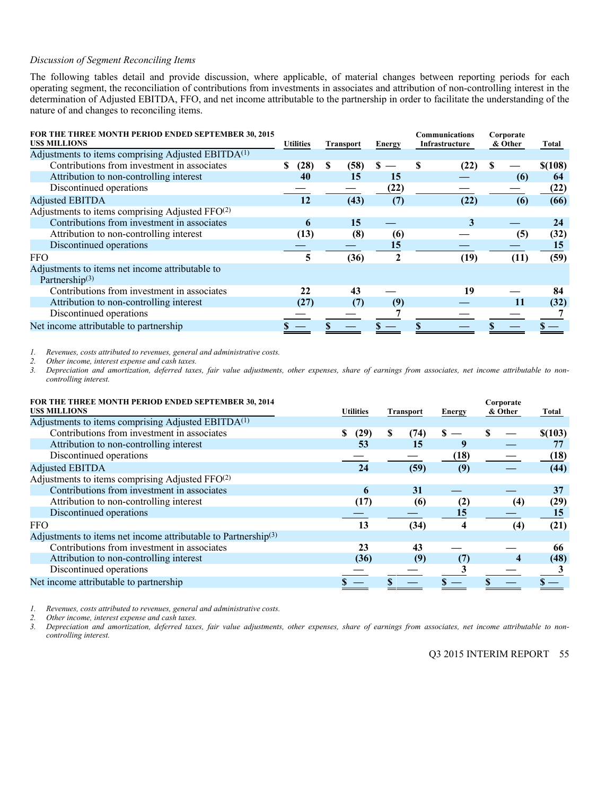#### *Discussion of Segment Reconciling Items*

The following tables detail and provide discussion, where applicable, of material changes between reporting periods for each operating segment, the reconciliation of contributions from investments in associates and attribution of non-controlling interest in the determination of Adjusted EBITDA, FFO, and net income attributable to the partnership in order to facilitate the understanding of the nature of and changes to reconciling items.

| <b>FOR THE THREE MONTH PERIOD ENDED SEPTEMBER 30, 2015</b><br><b>USS MILLIONS</b> | <b>Utilities</b> | <b>Transport</b> | <b>Energy</b> | <b>Communications</b><br>Infrastructure |      | Corporate<br>& Other | Total   |
|-----------------------------------------------------------------------------------|------------------|------------------|---------------|-----------------------------------------|------|----------------------|---------|
| Adjustments to items comprising Adjusted EBITDA <sup>(1)</sup>                    |                  |                  |               |                                         |      |                      |         |
| Contributions from investment in associates                                       | (28)<br>S        | S<br>(58)        | S             | S                                       |      | \$.                  | \$(108) |
| Attribution to non-controlling interest                                           | 40               | 15               | 15            |                                         |      | (6)                  | 64      |
| Discontinued operations                                                           |                  |                  | (22)          |                                         |      |                      | (22)    |
| <b>Adjusted EBITDA</b>                                                            | 12               | (43)             | (7)           |                                         | (22) | (6)                  | (66)    |
| Adjustments to items comprising Adjusted FFO(2)                                   |                  |                  |               |                                         |      |                      |         |
| Contributions from investment in associates                                       | 6                | 15               |               |                                         | 3    |                      | 24      |
| Attribution to non-controlling interest                                           | (13)             | (8)              | (6)           |                                         |      | (5)                  | (32)    |
| Discontinued operations                                                           |                  |                  | 15            |                                         |      |                      | 15      |
| <b>FFO</b>                                                                        | 5                | (36)             | $\mathbf{c}$  |                                         | (19) | (11)                 | (59)    |
| Adjustments to items net income attributable to<br>Partnership $(3)$              |                  |                  |               |                                         |      |                      |         |
| Contributions from investment in associates                                       | 22               | 43               |               |                                         | 19   |                      | 84      |
| Attribution to non-controlling interest                                           | (27)             | (7)              | (9)           |                                         |      | 11                   | (32)    |
| Discontinued operations                                                           |                  |                  |               |                                         |      |                      |         |
| Net income attributable to partnership                                            |                  |                  |               |                                         |      |                      |         |

*1. Revenues, costs attributed to revenues, general and administrative costs.* 

*2. Other income, interest expense and cash taxes. 3. Depreciation and amortization, deferred taxes, fair value adjustments, other expenses, share of earnings from associates, net income attributable to noncontrolling interest.* 

| FOR THE THREE MONTH PERIOD ENDED SEPTEMBER 30, 2014<br><b>USS MILLIONS</b> | <b>Utilities</b> | Transport  | Energy                  | Corporate<br>& Other | Total   |
|----------------------------------------------------------------------------|------------------|------------|-------------------------|----------------------|---------|
| Adjustments to items comprising Adjusted EBITDA <sup>(1)</sup>             |                  |            |                         |                      |         |
| Contributions from investment in associates                                | (29)             | S.<br>(74) | S                       |                      | \$(103) |
| Attribution to non-controlling interest                                    | 53               | 15         | 9                       |                      |         |
| Discontinued operations                                                    |                  |            | (18)                    |                      | (18)    |
| <b>Adjusted EBITDA</b>                                                     | 24               | (59)       | (9)                     |                      | (44)    |
| Adjustments to items comprising Adjusted FFO <sup>(2)</sup>                |                  |            |                         |                      |         |
| Contributions from investment in associates                                | 6                | 31         |                         |                      | 37      |
| Attribution to non-controlling interest                                    | (17)             | (6)        | (2)                     | (4)                  | (29)    |
| Discontinued operations                                                    |                  |            | 15                      |                      | 15      |
| <b>FFO</b>                                                                 | 13               | (34)       | $\overline{\mathbf{4}}$ | (4)                  | (21)    |
| Adjustments to items net income attributable to Partnership <sup>(3)</sup> |                  |            |                         |                      |         |
| Contributions from investment in associates                                | 23               | 43         |                         |                      | 66      |
| Attribution to non-controlling interest                                    | (36)             | (9)        | (7)                     | 4                    | (48)    |
| Discontinued operations                                                    |                  |            |                         |                      |         |
| Net income attributable to partnership                                     |                  |            |                         |                      |         |

*1. Revenues, costs attributed to revenues, general and administrative costs.* 

*2. Other income, interest expense and cash taxes.* 

*3. Depreciation and amortization, deferred taxes, fair value adjustments, other expenses, share of earnings from associates, net income attributable to noncontrolling interest.*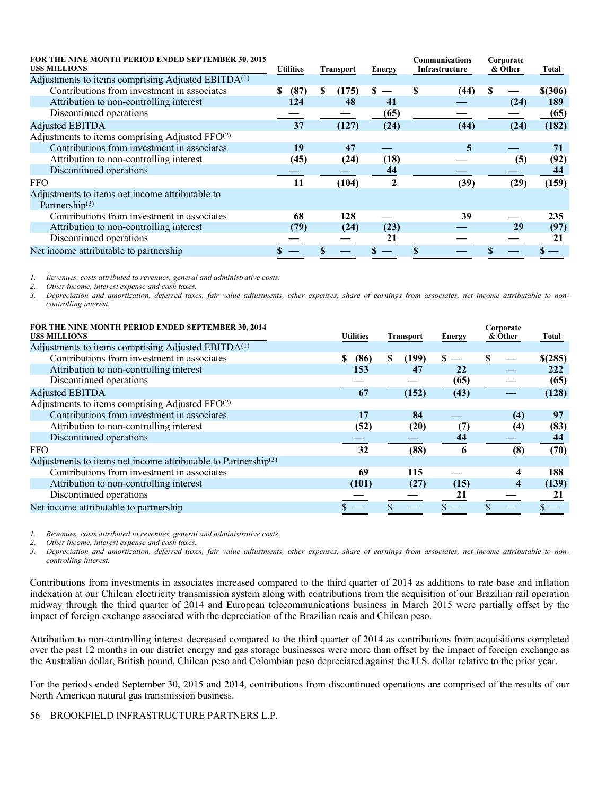| FOR THE NINE MONTH PERIOD ENDED SEPTEMBER 30, 2015<br><b>USS MILLIONS</b> |           | <b>Utilities</b><br>Transport |       | Energy         | <b>Communications</b><br>Infrastructure |      | Corporate<br>& Other |      | Total   |
|---------------------------------------------------------------------------|-----------|-------------------------------|-------|----------------|-----------------------------------------|------|----------------------|------|---------|
| Adjustments to items comprising Adjusted EBITDA <sup>(1)</sup>            |           |                               |       |                |                                         |      |                      |      |         |
| Contributions from investment in associates                               | (87)<br>S | S                             | (175) | S              | S                                       | (44) | S                    |      | \$(306) |
| Attribution to non-controlling interest                                   | 124       |                               | 48    | 41             |                                         |      |                      | (24) | 189     |
| Discontinued operations                                                   |           |                               |       | (65)           |                                         |      |                      |      | (65)    |
| <b>Adjusted EBITDA</b>                                                    | 37        |                               | (127) | (24)           |                                         | (44) |                      | (24) | (182)   |
| Adjustments to items comprising Adjusted FFO(2)                           |           |                               |       |                |                                         |      |                      |      |         |
| Contributions from investment in associates                               | 19        |                               | 47    |                |                                         | 5    |                      |      | 71      |
| Attribution to non-controlling interest                                   | (45)      |                               | (24)  | (18)           |                                         |      |                      | (5)  | (92)    |
| Discontinued operations                                                   |           |                               |       | 44             |                                         |      |                      |      | 44      |
| <b>FFO</b>                                                                | 11        |                               | (104) | $\overline{2}$ |                                         | (39) |                      | (29) | (159)   |
| Adjustments to items net income attributable to<br>Partnership $(3)$      |           |                               |       |                |                                         |      |                      |      |         |
| Contributions from investment in associates                               | 68        |                               | 128   |                |                                         | 39   |                      |      | 235     |
| Attribution to non-controlling interest                                   | (79)      |                               | (24)  | (23)           |                                         |      |                      | 29   | (97)    |
| Discontinued operations                                                   |           |                               |       | 21             |                                         |      |                      |      | 21      |
| Net income attributable to partnership                                    |           |                               |       |                |                                         |      |                      |      |         |

*1. Revenues, costs attributed to revenues, general and administrative costs.* 

*2. Other income, interest expense and cash taxes.* 

*3. Depreciation and amortization, deferred taxes, fair value adjustments, other expenses, share of earnings from associates, net income attributable to noncontrolling interest.* 

| FOR THE NINE MONTH PERIOD ENDED SEPTEMBER 30, 2014<br><b>USS MILLIONS</b> | <b>Utilities</b> | <b>Transport</b> | <b>Energy</b> | Corporate<br>& Other | Total   |
|---------------------------------------------------------------------------|------------------|------------------|---------------|----------------------|---------|
| Adjustments to items comprising Adjusted EBITDA <sup>(1)</sup>            |                  |                  |               |                      |         |
| Contributions from investment in associates                               | S<br>(86)        | S<br>(199)       |               |                      | \$(285) |
| Attribution to non-controlling interest                                   | 153              | 47               | 22            |                      | 222     |
| Discontinued operations                                                   |                  |                  | (65)          |                      | (65)    |
| <b>Adjusted EBITDA</b>                                                    | 67               | (152)            | (43)          |                      | (128)   |
| Adjustments to items comprising Adjusted FFO <sup>(2)</sup>               |                  |                  |               |                      |         |
| Contributions from investment in associates                               | 17               | 84               |               | (4)                  | 97      |
| Attribution to non-controlling interest                                   | (52)             | (20)             | (7)           | (4)                  | (83)    |
| Discontinued operations                                                   |                  |                  | 44            |                      | 44      |
| <b>FFO</b>                                                                | 32               | (88)             | 6             | (8)                  | (70)    |
| Adjustments to items net income attributable to Partnership $(3)$         |                  |                  |               |                      |         |
| Contributions from investment in associates                               | 69               | 115              |               | 4                    | 188     |
| Attribution to non-controlling interest                                   | (101)            | (27)             | (15)          | 4                    | (139)   |
| Discontinued operations                                                   |                  |                  | 21            |                      | 21      |
| Net income attributable to partnership                                    |                  |                  |               |                      |         |

*1. Revenues, costs attributed to revenues, general and administrative costs.* 

*2. Other income, interest expense and cash taxes.* 

*3. Depreciation and amortization, deferred taxes, fair value adjustments, other expenses, share of earnings from associates, net income attributable to noncontrolling interest.* 

Contributions from investments in associates increased compared to the third quarter of 2014 as additions to rate base and inflation indexation at our Chilean electricity transmission system along with contributions from the acquisition of our Brazilian rail operation midway through the third quarter of 2014 and European telecommunications business in March 2015 were partially offset by the impact of foreign exchange associated with the depreciation of the Brazilian reais and Chilean peso.

Attribution to non-controlling interest decreased compared to the third quarter of 2014 as contributions from acquisitions completed over the past 12 months in our district energy and gas storage businesses were more than offset by the impact of foreign exchange as the Australian dollar, British pound, Chilean peso and Colombian peso depreciated against the U.S. dollar relative to the prior year.

For the periods ended September 30, 2015 and 2014, contributions from discontinued operations are comprised of the results of our North American natural gas transmission business.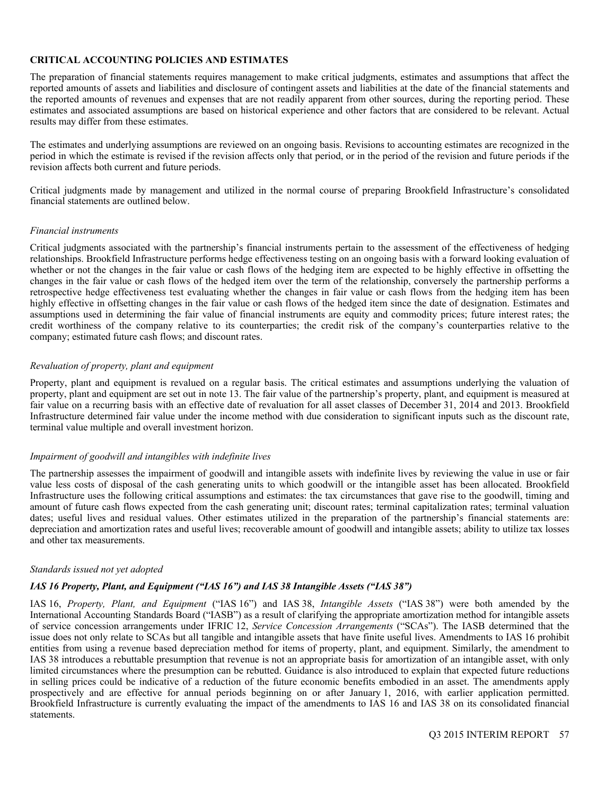# **CRITICAL ACCOUNTING POLICIES AND ESTIMATES**

The preparation of financial statements requires management to make critical judgments, estimates and assumptions that affect the reported amounts of assets and liabilities and disclosure of contingent assets and liabilities at the date of the financial statements and the reported amounts of revenues and expenses that are not readily apparent from other sources, during the reporting period. These estimates and associated assumptions are based on historical experience and other factors that are considered to be relevant. Actual results may differ from these estimates.

The estimates and underlying assumptions are reviewed on an ongoing basis. Revisions to accounting estimates are recognized in the period in which the estimate is revised if the revision affects only that period, or in the period of the revision and future periods if the revision affects both current and future periods.

Critical judgments made by management and utilized in the normal course of preparing Brookfield Infrastructure's consolidated financial statements are outlined below.

#### *Financial instruments*

Critical judgments associated with the partnership's financial instruments pertain to the assessment of the effectiveness of hedging relationships. Brookfield Infrastructure performs hedge effectiveness testing on an ongoing basis with a forward looking evaluation of whether or not the changes in the fair value or cash flows of the hedging item are expected to be highly effective in offsetting the changes in the fair value or cash flows of the hedged item over the term of the relationship, conversely the partnership performs a retrospective hedge effectiveness test evaluating whether the changes in fair value or cash flows from the hedging item has been highly effective in offsetting changes in the fair value or cash flows of the hedged item since the date of designation. Estimates and assumptions used in determining the fair value of financial instruments are equity and commodity prices; future interest rates; the credit worthiness of the company relative to its counterparties; the credit risk of the company's counterparties relative to the company; estimated future cash flows; and discount rates.

#### *Revaluation of property, plant and equipment*

Property, plant and equipment is revalued on a regular basis. The critical estimates and assumptions underlying the valuation of property, plant and equipment are set out in note 13. The fair value of the partnership's property, plant, and equipment is measured at fair value on a recurring basis with an effective date of revaluation for all asset classes of December 31, 2014 and 2013. Brookfield Infrastructure determined fair value under the income method with due consideration to significant inputs such as the discount rate, terminal value multiple and overall investment horizon.

#### *Impairment of goodwill and intangibles with indefinite lives*

The partnership assesses the impairment of goodwill and intangible assets with indefinite lives by reviewing the value in use or fair value less costs of disposal of the cash generating units to which goodwill or the intangible asset has been allocated. Brookfield Infrastructure uses the following critical assumptions and estimates: the tax circumstances that gave rise to the goodwill, timing and amount of future cash flows expected from the cash generating unit; discount rates; terminal capitalization rates; terminal valuation dates; useful lives and residual values. Other estimates utilized in the preparation of the partnership's financial statements are: depreciation and amortization rates and useful lives; recoverable amount of goodwill and intangible assets; ability to utilize tax losses and other tax measurements.

#### *Standards issued not yet adopted*

# *IAS 16 Property, Plant, and Equipment ("IAS 16") and IAS 38 Intangible Assets ("IAS 38")*

IAS 16, *Property, Plant, and Equipment* ("IAS 16") and IAS 38, *Intangible Assets* ("IAS 38") were both amended by the International Accounting Standards Board ("IASB") as a result of clarifying the appropriate amortization method for intangible assets of service concession arrangements under IFRIC 12, *Service Concession Arrangements* ("SCAs"). The IASB determined that the issue does not only relate to SCAs but all tangible and intangible assets that have finite useful lives. Amendments to IAS 16 prohibit entities from using a revenue based depreciation method for items of property, plant, and equipment. Similarly, the amendment to IAS 38 introduces a rebuttable presumption that revenue is not an appropriate basis for amortization of an intangible asset, with only limited circumstances where the presumption can be rebutted. Guidance is also introduced to explain that expected future reductions in selling prices could be indicative of a reduction of the future economic benefits embodied in an asset. The amendments apply prospectively and are effective for annual periods beginning on or after January 1, 2016, with earlier application permitted. Brookfield Infrastructure is currently evaluating the impact of the amendments to IAS 16 and IAS 38 on its consolidated financial statements.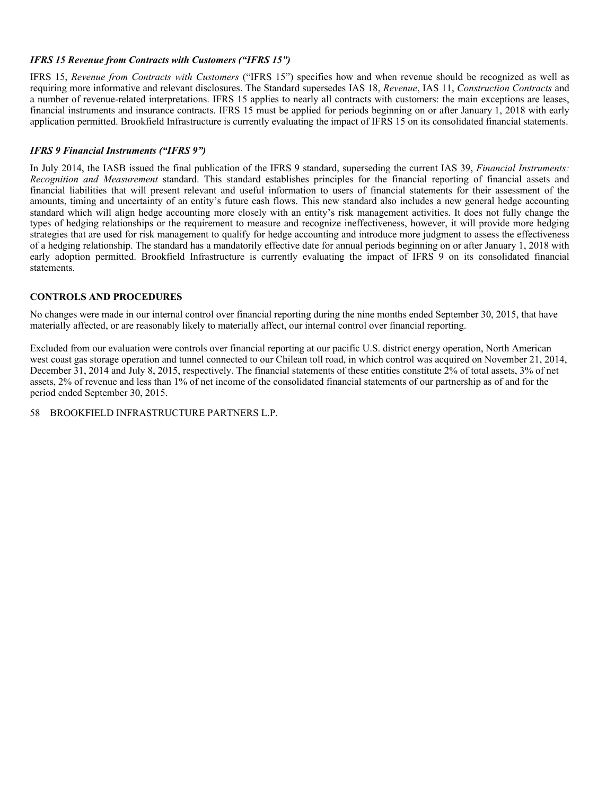# *IFRS 15 Revenue from Contracts with Customers ("IFRS 15")*

IFRS 15, *Revenue from Contracts with Customers* ("IFRS 15") specifies how and when revenue should be recognized as well as requiring more informative and relevant disclosures. The Standard supersedes IAS 18, *Revenue*, IAS 11, *Construction Contracts* and a number of revenue-related interpretations. IFRS 15 applies to nearly all contracts with customers: the main exceptions are leases, financial instruments and insurance contracts. IFRS 15 must be applied for periods beginning on or after January 1, 2018 with early application permitted. Brookfield Infrastructure is currently evaluating the impact of IFRS 15 on its consolidated financial statements.

# *IFRS 9 Financial Instruments ("IFRS 9")*

In July 2014, the IASB issued the final publication of the IFRS 9 standard, superseding the current IAS 39, *Financial Instruments: Recognition and Measurement* standard. This standard establishes principles for the financial reporting of financial assets and financial liabilities that will present relevant and useful information to users of financial statements for their assessment of the amounts, timing and uncertainty of an entity's future cash flows. This new standard also includes a new general hedge accounting standard which will align hedge accounting more closely with an entity's risk management activities. It does not fully change the types of hedging relationships or the requirement to measure and recognize ineffectiveness, however, it will provide more hedging strategies that are used for risk management to qualify for hedge accounting and introduce more judgment to assess the effectiveness of a hedging relationship. The standard has a mandatorily effective date for annual periods beginning on or after January 1, 2018 with early adoption permitted. Brookfield Infrastructure is currently evaluating the impact of IFRS 9 on its consolidated financial statements.

# **CONTROLS AND PROCEDURES**

No changes were made in our internal control over financial reporting during the nine months ended September 30, 2015, that have materially affected, or are reasonably likely to materially affect, our internal control over financial reporting.

Excluded from our evaluation were controls over financial reporting at our pacific U.S. district energy operation, North American west coast gas storage operation and tunnel connected to our Chilean toll road, in which control was acquired on November 21, 2014, December 31, 2014 and July 8, 2015, respectively. The financial statements of these entities constitute 2% of total assets, 3% of net assets, 2% of revenue and less than 1% of net income of the consolidated financial statements of our partnership as of and for the period ended September 30, 2015.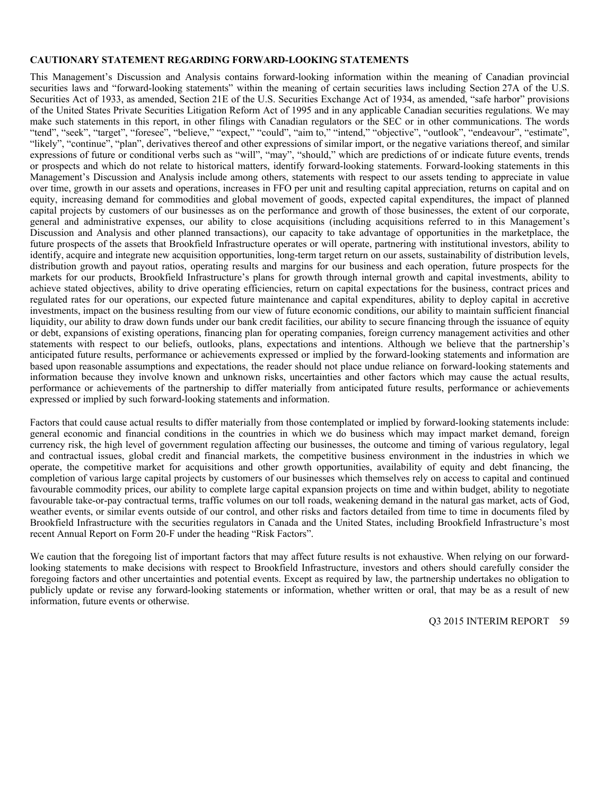#### **CAUTIONARY STATEMENT REGARDING FORWARD-LOOKING STATEMENTS**

This Management's Discussion and Analysis contains forward-looking information within the meaning of Canadian provincial securities laws and "forward-looking statements" within the meaning of certain securities laws including Section 27A of the U.S. Securities Act of 1933, as amended, Section 21E of the U.S. Securities Exchange Act of 1934, as amended, "safe harbor" provisions of the United States Private Securities Litigation Reform Act of 1995 and in any applicable Canadian securities regulations. We may make such statements in this report, in other filings with Canadian regulators or the SEC or in other communications. The words "tend", "seek", "target", "foresee", "believe," "expect," "could", "aim to," "intend," "objective", "outlook", "endeavour", "estimate", "likely", "continue", "plan", derivatives thereof and other expressions of similar import, or the negative variations thereof, and similar expressions of future or conditional verbs such as "will", "may", "should," which are predictions of or indicate future events, trends or prospects and which do not relate to historical matters, identify forward-looking statements. Forward-looking statements in this Management's Discussion and Analysis include among others, statements with respect to our assets tending to appreciate in value over time, growth in our assets and operations, increases in FFO per unit and resulting capital appreciation, returns on capital and on equity, increasing demand for commodities and global movement of goods, expected capital expenditures, the impact of planned capital projects by customers of our businesses as on the performance and growth of those businesses, the extent of our corporate, general and administrative expenses, our ability to close acquisitions (including acquisitions referred to in this Management's Discussion and Analysis and other planned transactions), our capacity to take advantage of opportunities in the marketplace, the future prospects of the assets that Brookfield Infrastructure operates or will operate, partnering with institutional investors, ability to identify, acquire and integrate new acquisition opportunities, long-term target return on our assets, sustainability of distribution levels, distribution growth and payout ratios, operating results and margins for our business and each operation, future prospects for the markets for our products, Brookfield Infrastructure's plans for growth through internal growth and capital investments, ability to achieve stated objectives, ability to drive operating efficiencies, return on capital expectations for the business, contract prices and regulated rates for our operations, our expected future maintenance and capital expenditures, ability to deploy capital in accretive investments, impact on the business resulting from our view of future economic conditions, our ability to maintain sufficient financial liquidity, our ability to draw down funds under our bank credit facilities, our ability to secure financing through the issuance of equity or debt, expansions of existing operations, financing plan for operating companies, foreign currency management activities and other statements with respect to our beliefs, outlooks, plans, expectations and intentions. Although we believe that the partnership's anticipated future results, performance or achievements expressed or implied by the forward-looking statements and information are based upon reasonable assumptions and expectations, the reader should not place undue reliance on forward-looking statements and information because they involve known and unknown risks, uncertainties and other factors which may cause the actual results, performance or achievements of the partnership to differ materially from anticipated future results, performance or achievements expressed or implied by such forward-looking statements and information.

Factors that could cause actual results to differ materially from those contemplated or implied by forward-looking statements include: general economic and financial conditions in the countries in which we do business which may impact market demand, foreign currency risk, the high level of government regulation affecting our businesses, the outcome and timing of various regulatory, legal and contractual issues, global credit and financial markets, the competitive business environment in the industries in which we operate, the competitive market for acquisitions and other growth opportunities, availability of equity and debt financing, the completion of various large capital projects by customers of our businesses which themselves rely on access to capital and continued favourable commodity prices, our ability to complete large capital expansion projects on time and within budget, ability to negotiate favourable take-or-pay contractual terms, traffic volumes on our toll roads, weakening demand in the natural gas market, acts of God, weather events, or similar events outside of our control, and other risks and factors detailed from time to time in documents filed by Brookfield Infrastructure with the securities regulators in Canada and the United States, including Brookfield Infrastructure's most recent Annual Report on Form 20-F under the heading "Risk Factors".

We caution that the foregoing list of important factors that may affect future results is not exhaustive. When relying on our forwardlooking statements to make decisions with respect to Brookfield Infrastructure, investors and others should carefully consider the foregoing factors and other uncertainties and potential events. Except as required by law, the partnership undertakes no obligation to publicly update or revise any forward-looking statements or information, whether written or oral, that may be as a result of new information, future events or otherwise.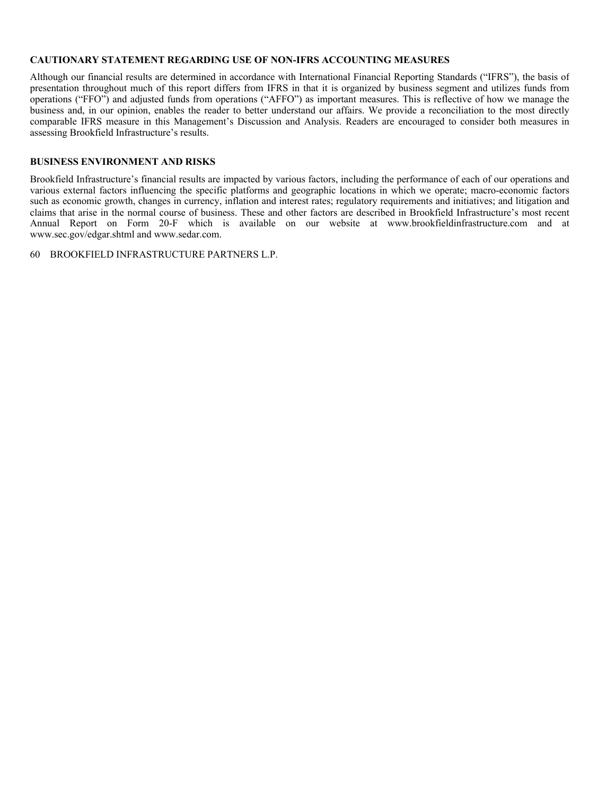#### **CAUTIONARY STATEMENT REGARDING USE OF NON-IFRS ACCOUNTING MEASURES**

Although our financial results are determined in accordance with International Financial Reporting Standards ("IFRS"), the basis of presentation throughout much of this report differs from IFRS in that it is organized by business segment and utilizes funds from operations ("FFO") and adjusted funds from operations ("AFFO") as important measures. This is reflective of how we manage the business and, in our opinion, enables the reader to better understand our affairs. We provide a reconciliation to the most directly comparable IFRS measure in this Management's Discussion and Analysis. Readers are encouraged to consider both measures in assessing Brookfield Infrastructure's results.

# **BUSINESS ENVIRONMENT AND RISKS**

Brookfield Infrastructure's financial results are impacted by various factors, including the performance of each of our operations and various external factors influencing the specific platforms and geographic locations in which we operate; macro-economic factors such as economic growth, changes in currency, inflation and interest rates; regulatory requirements and initiatives; and litigation and claims that arise in the normal course of business. These and other factors are described in Brookfield Infrastructure's most recent Annual Report on Form 20-F which is available on our website at www.brookfieldinfrastructure.com and at www.sec.gov/edgar.shtml and www.sedar.com.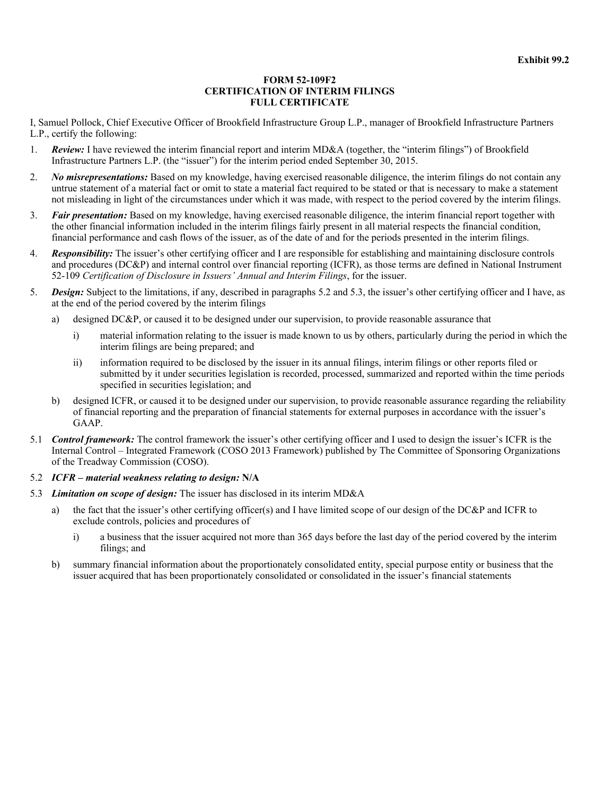#### **FORM 52-109F2 CERTIFICATION OF INTERIM FILINGS FULL CERTIFICATE**

I, Samuel Pollock, Chief Executive Officer of Brookfield Infrastructure Group L.P., manager of Brookfield Infrastructure Partners L.P., certify the following:

- 1. *Review:* I have reviewed the interim financial report and interim MD&A (together, the "interim filings") of Brookfield Infrastructure Partners L.P. (the "issuer") for the interim period ended September 30, 2015.
- 2. *No misrepresentations:* Based on my knowledge, having exercised reasonable diligence, the interim filings do not contain any untrue statement of a material fact or omit to state a material fact required to be stated or that is necessary to make a statement not misleading in light of the circumstances under which it was made, with respect to the period covered by the interim filings.
- 3. *Fair presentation:* Based on my knowledge, having exercised reasonable diligence, the interim financial report together with the other financial information included in the interim filings fairly present in all material respects the financial condition, financial performance and cash flows of the issuer, as of the date of and for the periods presented in the interim filings.
- 4. *Responsibility:* The issuer's other certifying officer and I are responsible for establishing and maintaining disclosure controls and procedures (DC&P) and internal control over financial reporting (ICFR), as those terms are defined in National Instrument 52-109 *Certification of Disclosure in Issuers' Annual and Interim Filings*, for the issuer.
- 5. *Design:* Subject to the limitations, if any, described in paragraphs 5.2 and 5.3, the issuer's other certifying officer and I have, as at the end of the period covered by the interim filings
	- a) designed DC&P, or caused it to be designed under our supervision, to provide reasonable assurance that
		- i) material information relating to the issuer is made known to us by others, particularly during the period in which the interim filings are being prepared; and
		- ii) information required to be disclosed by the issuer in its annual filings, interim filings or other reports filed or submitted by it under securities legislation is recorded, processed, summarized and reported within the time periods specified in securities legislation; and
	- b) designed ICFR, or caused it to be designed under our supervision, to provide reasonable assurance regarding the reliability of financial reporting and the preparation of financial statements for external purposes in accordance with the issuer's GAAP.
- 5.1 *Control framework:* The control framework the issuer's other certifying officer and I used to design the issuer's ICFR is the Internal Control – Integrated Framework (COSO 2013 Framework) published by The Committee of Sponsoring Organizations of the Treadway Commission (COSO).
- 5.2 *ICFR material weakness relating to design:* **N/A**
- 5.3 *Limitation on scope of design:* The issuer has disclosed in its interim MD&A
	- a) the fact that the issuer's other certifying officer(s) and I have limited scope of our design of the DC&P and ICFR to exclude controls, policies and procedures of
		- i) a business that the issuer acquired not more than 365 days before the last day of the period covered by the interim filings; and
	- b) summary financial information about the proportionately consolidated entity, special purpose entity or business that the issuer acquired that has been proportionately consolidated or consolidated in the issuer's financial statements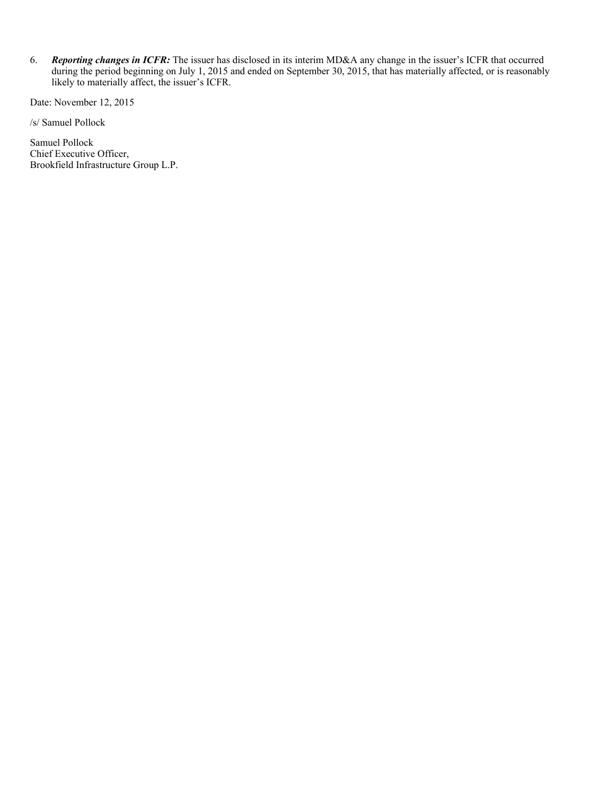6. *Reporting changes in ICFR:* The issuer has disclosed in its interim MD&A any change in the issuer's ICFR that occurred during the period beginning on July 1, 2015 and ended on September 30, 2015, that has materially affected, or is reasonably likely to materially affect, the issuer's ICFR.

Date: November 12, 2015

/s/ Samuel Pollock

Samuel Pollock Chief Executive Officer, Brookfield Infrastructure Group L.P.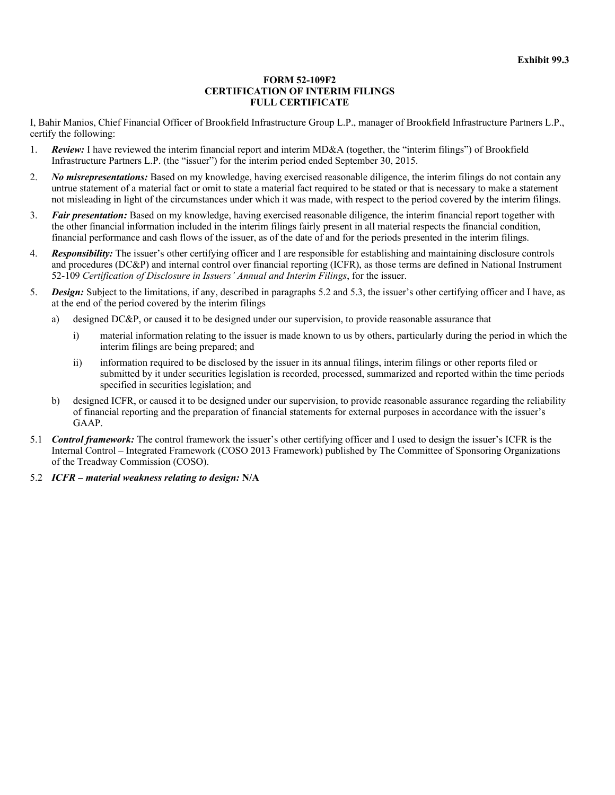#### **FORM 52-109F2 CERTIFICATION OF INTERIM FILINGS FULL CERTIFICATE**

I, Bahir Manios, Chief Financial Officer of Brookfield Infrastructure Group L.P., manager of Brookfield Infrastructure Partners L.P., certify the following:

- 1. *Review:* I have reviewed the interim financial report and interim MD&A (together, the "interim filings") of Brookfield Infrastructure Partners L.P. (the "issuer") for the interim period ended September 30, 2015.
- 2. *No misrepresentations:* Based on my knowledge, having exercised reasonable diligence, the interim filings do not contain any untrue statement of a material fact or omit to state a material fact required to be stated or that is necessary to make a statement not misleading in light of the circumstances under which it was made, with respect to the period covered by the interim filings.
- 3. *Fair presentation:* Based on my knowledge, having exercised reasonable diligence, the interim financial report together with the other financial information included in the interim filings fairly present in all material respects the financial condition, financial performance and cash flows of the issuer, as of the date of and for the periods presented in the interim filings.
- 4. *Responsibility:* The issuer's other certifying officer and I are responsible for establishing and maintaining disclosure controls and procedures (DC&P) and internal control over financial reporting (ICFR), as those terms are defined in National Instrument 52-109 *Certification of Disclosure in Issuers' Annual and Interim Filings*, for the issuer.
- 5. *Design:* Subject to the limitations, if any, described in paragraphs 5.2 and 5.3, the issuer's other certifying officer and I have, as at the end of the period covered by the interim filings
	- a) designed DC&P, or caused it to be designed under our supervision, to provide reasonable assurance that
		- i) material information relating to the issuer is made known to us by others, particularly during the period in which the interim filings are being prepared; and
		- ii) information required to be disclosed by the issuer in its annual filings, interim filings or other reports filed or submitted by it under securities legislation is recorded, processed, summarized and reported within the time periods specified in securities legislation; and
	- b) designed ICFR, or caused it to be designed under our supervision, to provide reasonable assurance regarding the reliability of financial reporting and the preparation of financial statements for external purposes in accordance with the issuer's GAAP.
- 5.1 *Control framework:* The control framework the issuer's other certifying officer and I used to design the issuer's ICFR is the Internal Control – Integrated Framework (COSO 2013 Framework) published by The Committee of Sponsoring Organizations of the Treadway Commission (COSO).
- 5.2 *ICFR material weakness relating to design:* **N/A**